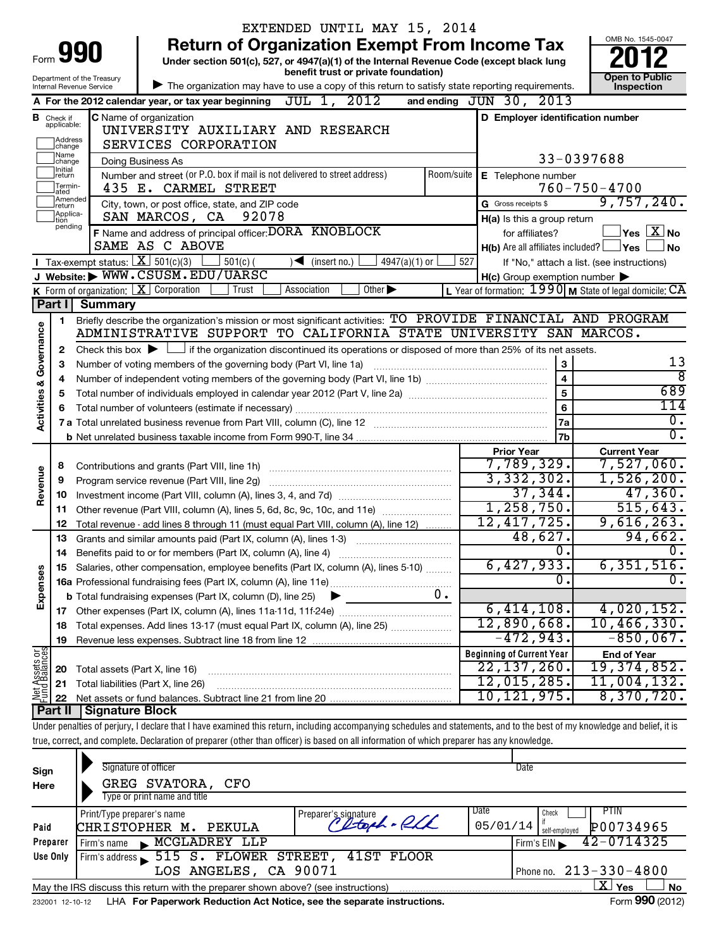|                            |                                         |                                                | EXTENDED UNTIL MAY 15, 2014                                                                                                                                                       |                                                                   | OMB No. 1545-0047                          |  |
|----------------------------|-----------------------------------------|------------------------------------------------|-----------------------------------------------------------------------------------------------------------------------------------------------------------------------------------|-------------------------------------------------------------------|--------------------------------------------|--|
| 990<br>Form                |                                         |                                                | <b>Return of Organization Exempt From Income Tax</b><br>Under section 501(c), 527, or 4947(a)(1) of the Internal Revenue Code (except black lung                                  |                                                                   |                                            |  |
|                            |                                         | Department of the Treasury                     | benefit trust or private foundation)                                                                                                                                              |                                                                   | <b>Open to Public</b>                      |  |
|                            |                                         | Internal Revenue Service                       | The organization may have to use a copy of this return to satisfy state reporting requirements.                                                                                   |                                                                   | Inspection                                 |  |
|                            |                                         |                                                | A For the 2012 calendar year, or tax year beginning $JUL$ 1, $2012$<br>and ending                                                                                                 | JUN 30,<br>2013                                                   |                                            |  |
| <b>B</b> Check if          | applicable:                             |                                                | C Name of organization<br>UNIVERSITY AUXILIARY AND RESEARCH                                                                                                                       | D Employer identification number                                  |                                            |  |
|                            | Address<br>change                       |                                                | SERVICES CORPORATION                                                                                                                                                              |                                                                   |                                            |  |
|                            | Name<br> change                         |                                                | Doing Business As                                                                                                                                                                 | 33-0397688                                                        |                                            |  |
|                            | 1Initial<br> return<br>Termin-<br>lated |                                                | Number and street (or P.O. box if mail is not delivered to street address)<br>Room/suite<br>435 E. CARMEL STREET                                                                  | E Telephone number                                                | $760 - 750 - 4700$                         |  |
|                            | Amended<br>Ireturn                      |                                                | City, town, or post office, state, and ZIP code                                                                                                                                   | G Gross receipts \$                                               | 9,757,240.                                 |  |
|                            | Applica-<br>Ition                       |                                                | SAN MARCOS, CA 92078                                                                                                                                                              | H(a) Is this a group return                                       |                                            |  |
|                            | pending                                 |                                                | F Name and address of principal officer: DORA KNOBLOCK                                                                                                                            | for affiliates?                                                   | $\vert$ Yes $\vert$ $\rm X$ $\vert$ No     |  |
|                            |                                         |                                                | SAME AS C ABOVE                                                                                                                                                                   | $H(b)$ Are all affiliates included? $\Box$ Yes                    | <b>No</b>                                  |  |
|                            |                                         | Tax-exempt status: $X \overline{301(c)(3)}$    | $501(c)$ (<br>$\sqrt{\frac{1}{1}}$ (insert no.)<br>$4947(a)(1)$ or                                                                                                                | 527                                                               | If "No," attach a list. (see instructions) |  |
|                            |                                         |                                                | J Website: WWW.CSUSM.EDU/UARSC                                                                                                                                                    | $H(c)$ Group exemption number $\blacktriangleright$               |                                            |  |
|                            |                                         | <b>K</b> Form of organization: $X$ Corporation | Other $\blacktriangleright$<br>Trust<br>Association                                                                                                                               | L Year of formation: $1990 \text{ m}$ State of legal domicile: CA |                                            |  |
|                            | Part I                                  | <b>Summary</b>                                 |                                                                                                                                                                                   |                                                                   |                                            |  |
|                            | 1                                       |                                                | Briefly describe the organization's mission or most significant activities: TO PROVIDE FINANCIAL AND PROGRAM<br>ADMINISTRATIVE SUPPORT TO CALIFORNIA STATE UNIVERSITY SAN MARCOS. |                                                                   |                                            |  |
| Governance                 | $\mathbf{2}$                            |                                                | Check this box $\blacktriangleright$ $\Box$ if the organization discontinued its operations or disposed of more than 25% of its net assets.                                       |                                                                   |                                            |  |
|                            | 3                                       |                                                | Number of voting members of the governing body (Part VI, line 1a)                                                                                                                 | 3                                                                 | 13                                         |  |
|                            | 4                                       |                                                |                                                                                                                                                                                   | $\overline{\mathbf{4}}$                                           | ह                                          |  |
|                            | 5                                       |                                                |                                                                                                                                                                                   | 5                                                                 | 689                                        |  |
| <b>Activities &amp;</b>    | 6                                       |                                                |                                                                                                                                                                                   | 6                                                                 | 114                                        |  |
|                            |                                         |                                                |                                                                                                                                                                                   | 7a                                                                | $\overline{0}$ .                           |  |
|                            |                                         |                                                |                                                                                                                                                                                   | 7 <sub>b</sub>                                                    | $\overline{0}$ .                           |  |
|                            |                                         |                                                |                                                                                                                                                                                   | <b>Prior Year</b>                                                 | <b>Current Year</b>                        |  |
|                            | 8                                       |                                                |                                                                                                                                                                                   | 7,789,329.                                                        | 7,527,060.                                 |  |
|                            | 9                                       |                                                |                                                                                                                                                                                   | 3,332,302.                                                        | 1,526,200.                                 |  |
| Revenue                    | 10                                      |                                                |                                                                                                                                                                                   | 37,344.                                                           | 47,360.                                    |  |
|                            | 11                                      |                                                | Other revenue (Part VIII, column (A), lines 5, 6d, 8c, 9c, 10c, and 11e)                                                                                                          | 1,258,750.                                                        | 515, 643.                                  |  |
|                            | 12                                      |                                                | Total revenue - add lines 8 through 11 (must equal Part VIII, column (A), line 12)                                                                                                | 12,417,725.                                                       | 9,616,263.                                 |  |
|                            | 13                                      |                                                | Grants and similar amounts paid (Part IX, column (A), lines 1-3)                                                                                                                  | 48,627.                                                           | 94,662.                                    |  |
|                            | 14                                      |                                                | Benefits paid to or for members (Part IX, column (A), line 4)                                                                                                                     | $\overline{0}$ .                                                  | $\overline{0}$ .                           |  |
| Expenses                   | 15                                      |                                                | Salaries, other compensation, employee benefits (Part IX, column (A), lines 5-10)                                                                                                 | 6,427,933.<br>0.                                                  | 6,351,516.<br>$\overline{0}$ .             |  |
|                            |                                         |                                                | υ.                                                                                                                                                                                |                                                                   |                                            |  |
|                            |                                         |                                                | <b>b</b> Total fundraising expenses (Part IX, column (D), line 25)<br>$\blacktriangleright$                                                                                       | 6,414,108.                                                        | 4,020,152.                                 |  |
|                            | 17<br>18                                |                                                | Total expenses. Add lines 13-17 (must equal Part IX, column (A), line 25)                                                                                                         | 12,890,668.                                                       | 10, 466, 330.                              |  |
|                            | 19                                      |                                                |                                                                                                                                                                                   | $-472,943.$                                                       | $-850,067$ .                               |  |
|                            |                                         |                                                |                                                                                                                                                                                   | <b>Beginning of Current Year</b>                                  | <b>End of Year</b>                         |  |
|                            | 20                                      | Total assets (Part X, line 16)                 |                                                                                                                                                                                   | 22, 137, 260.                                                     | 19, 374, 852.                              |  |
|                            | 21                                      |                                                | Total liabilities (Part X, line 26)                                                                                                                                               | 12,015,285.                                                       | 11,004,132.                                |  |
| Net Assets or              | 22                                      |                                                |                                                                                                                                                                                   | 10, 121, 975.                                                     | 8,370,720.                                 |  |
| Signature Block<br>Part II |                                         |                                                |                                                                                                                                                                                   |                                                                   |                                            |  |
|                            |                                         |                                                |                                                                                                                                                                                   |                                                                   |                                            |  |
|                            |                                         |                                                | Under penalties of perjury, I declare that I have examined this return, including accompanying schedules and statements, and to the best of my knowledge and belief, it is        |                                                                   |                                            |  |
|                            |                                         |                                                | true, correct, and complete. Declaration of preparer (other than officer) is based on all information of which preparer has any knowledge.                                        |                                                                   |                                            |  |

| əıgn     |                                                                                                 |                                      |                           |                              |
|----------|-------------------------------------------------------------------------------------------------|--------------------------------------|---------------------------|------------------------------|
| Here     | GREG SVATORA, CFO                                                                               |                                      |                           |                              |
|          | Type or print name and title                                                                    |                                      |                           |                              |
|          | Print/Type preparer's name                                                                      |                                      | Date<br>Check             | PIIN                         |
| Paid     | CHRISTOPHER M.<br>PEKULA                                                                        | Preparer's signature<br>Chtoph - PLL | 05/01/14<br>self-emploved | P00734965                    |
| Preparer | MCGLADREY LLP<br>Firm's name                                                                    |                                      |                           | Firm's EIN 42-0714325        |
| Use Only | Firm's address 515 S. FLOWER STREET, 41ST FLOOR                                                 |                                      |                           |                              |
|          | LOS ANGELES, CA 90071                                                                           |                                      |                           | Phone no. $213 - 330 - 4800$ |
|          | May the IRS discuss this return with the preparer shown above? (see instructions)               |                                      |                           | ΧI<br><b>No</b><br>Yes       |
|          | according to the state of the Demonstrated Depletation Antibiotics and the computed included in |                                      |                           | $T_{2} = 000 (0010)$         |

232001 12-10-12 **For Paperwork Reduction Act Notice, see the separate instructions.** LHA Form (2012)

**990**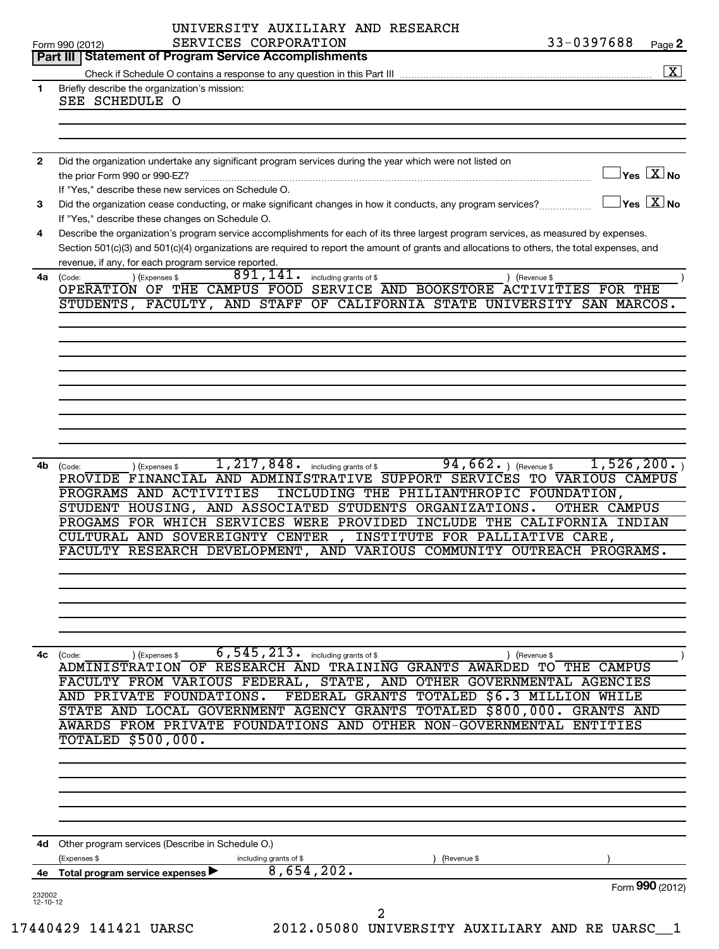|                | UNIVERSITY AUXILIARY AND RESEARCH<br>33-0397688<br>SERVICES CORPORATION<br>Page 2<br>Form 990 (2012)                                                                 |
|----------------|----------------------------------------------------------------------------------------------------------------------------------------------------------------------|
|                | Part III   Statement of Program Service Accomplishments                                                                                                              |
|                | $\boxed{\textbf{X}}$                                                                                                                                                 |
| 1              | Briefly describe the organization's mission:                                                                                                                         |
|                | SEE SCHEDULE O                                                                                                                                                       |
|                |                                                                                                                                                                      |
|                |                                                                                                                                                                      |
| $\mathbf{2}$   | Did the organization undertake any significant program services during the year which were not listed on                                                             |
|                | $\Box$ Yes $[\overline{\mathrm{X}}]$ No<br>the prior Form 990 or 990-EZ?                                                                                             |
|                | If "Yes," describe these new services on Schedule O.                                                                                                                 |
| 3              | $\Box$ Yes $[\overline{\mathrm{X}}]$ No<br>Did the organization cease conducting, or make significant changes in how it conducts, any program services?              |
|                | If "Yes," describe these changes on Schedule O.                                                                                                                      |
| 4              | Describe the organization's program service accomplishments for each of its three largest program services, as measured by expenses.                                 |
|                | Section 501(c)(3) and 501(c)(4) organizations are required to report the amount of grants and allocations to others, the total expenses, and                         |
|                | revenue, if any, for each program service reported.<br>891,141.<br>4a (Code:                                                                                         |
|                | including grants of \$<br>) (Expenses \$<br>) (Revenue \$<br>OPERATION OF THE CAMPUS FOOD SERVICE AND BOOKSTORE ACTIVITIES FOR THE                                   |
|                | STUDENTS, FACULTY, AND STAFF OF CALIFORNIA STATE UNIVERSITY SAN MARCOS.                                                                                              |
|                |                                                                                                                                                                      |
|                |                                                                                                                                                                      |
|                |                                                                                                                                                                      |
|                |                                                                                                                                                                      |
|                |                                                                                                                                                                      |
|                |                                                                                                                                                                      |
|                |                                                                                                                                                                      |
|                |                                                                                                                                                                      |
|                |                                                                                                                                                                      |
|                | 1,526,200.                                                                                                                                                           |
| 4b             | 1, 217, 848. including grants of \$<br>$94, 662.$ (Revenue \$<br>(Code:<br>) (Expenses \$<br>PROVIDE FINANCIAL AND ADMINISTRATIVE SUPPORT SERVICES TO VARIOUS CAMPUS |
|                | PROGRAMS AND ACTIVITIES<br>INCLUDING THE PHILIANTHROPIC FOUNDATION,                                                                                                  |
|                | STUDENT HOUSING, AND ASSOCIATED STUDENTS ORGANIZATIONS.<br><b>OTHER CAMPUS</b>                                                                                       |
|                | PROGAMS FOR WHICH SERVICES WERE PROVIDED INCLUDE THE CALIFORNIA INDIAN                                                                                               |
|                | CULTURAL AND SOVEREIGNTY CENTER<br>INSTITUTE FOR PALLIATIVE CARE,<br>$\overline{ }$                                                                                  |
|                | FACULTY RESEARCH DEVELOPMENT, AND VARIOUS COMMUNITY OUTREACH PROGRAMS.                                                                                               |
|                |                                                                                                                                                                      |
|                |                                                                                                                                                                      |
|                |                                                                                                                                                                      |
|                |                                                                                                                                                                      |
|                |                                                                                                                                                                      |
|                |                                                                                                                                                                      |
| 4с             | $6, 545, 213$ $\cdot$ including grants of \$<br>(Expenses \$<br>(Revenue \$<br>(Code:<br>ADMINISTRATION OF RESEARCH AND TRAINING GRANTS AWARDED TO THE CAMPUS        |
|                | FACULTY FROM VARIOUS FEDERAL,<br>STATE, AND OTHER GOVERNMENTAL AGENCIES                                                                                              |
|                | FEDERAL GRANTS TOTALED \$6.3 MILLION WHILE<br>AND PRIVATE FOUNDATIONS.                                                                                               |
|                | STATE AND LOCAL GOVERNMENT AGENCY GRANTS TOTALED \$800,000.<br><b>GRANTS AND</b>                                                                                     |
|                | AWARDS FROM PRIVATE FOUNDATIONS AND OTHER NON-GOVERNMENTAL ENTITIES                                                                                                  |
|                | <b>TOTALED \$500,000.</b>                                                                                                                                            |
|                |                                                                                                                                                                      |
|                |                                                                                                                                                                      |
|                |                                                                                                                                                                      |
|                |                                                                                                                                                                      |
|                |                                                                                                                                                                      |
|                |                                                                                                                                                                      |
|                | 4d Other program services (Describe in Schedule O.)                                                                                                                  |
|                | (Expenses \$<br>(Revenue \$<br>including grants of \$                                                                                                                |
| 4е             | 8,654,202.<br>Total program service expenses                                                                                                                         |
| 232002         | Form 990 (2012)                                                                                                                                                      |
| $12 - 10 - 12$ |                                                                                                                                                                      |
|                | 2                                                                                                                                                                    |
|                | 17440429 141421 UARSC<br>2012.05080 UNIVERSITY AUXILIARY AND RE UARSC_1                                                                                              |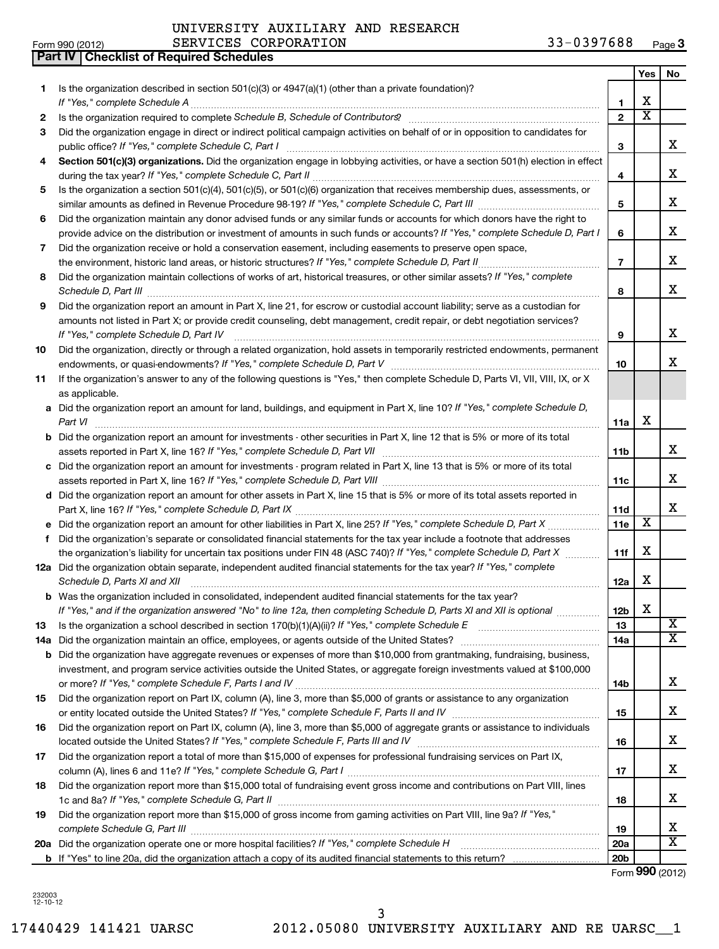|  | Form 990 (2012) |  |
|--|-----------------|--|

**Part IV Checklist of Required Schedules**

## UNIVERSITY AUXILIARY AND RESEARCH

| Is the organization described in section $501(c)(3)$ or $4947(a)(1)$ (other than a private foundation)?<br>1<br>If "Yes," complete Schedule A<br>1<br>$\overline{2}$<br>2<br>Did the organization engage in direct or indirect political campaign activities on behalf of or in opposition to candidates for<br>3<br>public office? If "Yes," complete Schedule C, Part I<br>3<br>Section 501(c)(3) organizations. Did the organization engage in lobbying activities, or have a section 501(h) election in effect<br>4<br>Is the organization a section 501(c)(4), 501(c)(5), or 501(c)(6) organization that receives membership dues, assessments, or<br>5<br>5<br>Did the organization maintain any donor advised funds or any similar funds or accounts for which donors have the right to<br>6<br>provide advice on the distribution or investment of amounts in such funds or accounts? If "Yes," complete Schedule D, Part I<br>6<br>Did the organization receive or hold a conservation easement, including easements to preserve open space,<br>7 | x<br>$\overline{\textbf{x}}$ | x<br>x<br>x<br>x           |
|------------------------------------------------------------------------------------------------------------------------------------------------------------------------------------------------------------------------------------------------------------------------------------------------------------------------------------------------------------------------------------------------------------------------------------------------------------------------------------------------------------------------------------------------------------------------------------------------------------------------------------------------------------------------------------------------------------------------------------------------------------------------------------------------------------------------------------------------------------------------------------------------------------------------------------------------------------------------------------------------------------------------------------------------------------|------------------------------|----------------------------|
|                                                                                                                                                                                                                                                                                                                                                                                                                                                                                                                                                                                                                                                                                                                                                                                                                                                                                                                                                                                                                                                            |                              |                            |
|                                                                                                                                                                                                                                                                                                                                                                                                                                                                                                                                                                                                                                                                                                                                                                                                                                                                                                                                                                                                                                                            |                              |                            |
|                                                                                                                                                                                                                                                                                                                                                                                                                                                                                                                                                                                                                                                                                                                                                                                                                                                                                                                                                                                                                                                            |                              |                            |
|                                                                                                                                                                                                                                                                                                                                                                                                                                                                                                                                                                                                                                                                                                                                                                                                                                                                                                                                                                                                                                                            |                              |                            |
|                                                                                                                                                                                                                                                                                                                                                                                                                                                                                                                                                                                                                                                                                                                                                                                                                                                                                                                                                                                                                                                            |                              |                            |
|                                                                                                                                                                                                                                                                                                                                                                                                                                                                                                                                                                                                                                                                                                                                                                                                                                                                                                                                                                                                                                                            |                              |                            |
|                                                                                                                                                                                                                                                                                                                                                                                                                                                                                                                                                                                                                                                                                                                                                                                                                                                                                                                                                                                                                                                            |                              |                            |
|                                                                                                                                                                                                                                                                                                                                                                                                                                                                                                                                                                                                                                                                                                                                                                                                                                                                                                                                                                                                                                                            |                              |                            |
|                                                                                                                                                                                                                                                                                                                                                                                                                                                                                                                                                                                                                                                                                                                                                                                                                                                                                                                                                                                                                                                            |                              |                            |
|                                                                                                                                                                                                                                                                                                                                                                                                                                                                                                                                                                                                                                                                                                                                                                                                                                                                                                                                                                                                                                                            |                              |                            |
| the environment, historic land areas, or historic structures? If "Yes," complete Schedule D, Part II<br>$\overline{\phantom{a}}$                                                                                                                                                                                                                                                                                                                                                                                                                                                                                                                                                                                                                                                                                                                                                                                                                                                                                                                           |                              | x                          |
| Did the organization maintain collections of works of art, historical treasures, or other similar assets? If "Yes," complete<br>8<br>Schedule D, Part III<br>8                                                                                                                                                                                                                                                                                                                                                                                                                                                                                                                                                                                                                                                                                                                                                                                                                                                                                             |                              | x                          |
| Did the organization report an amount in Part X, line 21, for escrow or custodial account liability; serve as a custodian for<br>9                                                                                                                                                                                                                                                                                                                                                                                                                                                                                                                                                                                                                                                                                                                                                                                                                                                                                                                         |                              |                            |
| amounts not listed in Part X; or provide credit counseling, debt management, credit repair, or debt negotiation services?<br>If "Yes," complete Schedule D, Part IV<br>9                                                                                                                                                                                                                                                                                                                                                                                                                                                                                                                                                                                                                                                                                                                                                                                                                                                                                   |                              | x                          |
| Did the organization, directly or through a related organization, hold assets in temporarily restricted endowments, permanent<br>10                                                                                                                                                                                                                                                                                                                                                                                                                                                                                                                                                                                                                                                                                                                                                                                                                                                                                                                        |                              |                            |
| 10                                                                                                                                                                                                                                                                                                                                                                                                                                                                                                                                                                                                                                                                                                                                                                                                                                                                                                                                                                                                                                                         |                              | x                          |
| If the organization's answer to any of the following questions is "Yes," then complete Schedule D, Parts VI, VII, VIII, IX, or X<br>11<br>as applicable.                                                                                                                                                                                                                                                                                                                                                                                                                                                                                                                                                                                                                                                                                                                                                                                                                                                                                                   |                              |                            |
| a Did the organization report an amount for land, buildings, and equipment in Part X, line 10? If "Yes," complete Schedule D,                                                                                                                                                                                                                                                                                                                                                                                                                                                                                                                                                                                                                                                                                                                                                                                                                                                                                                                              |                              |                            |
| Part VI<br>11a                                                                                                                                                                                                                                                                                                                                                                                                                                                                                                                                                                                                                                                                                                                                                                                                                                                                                                                                                                                                                                             | х                            |                            |
| <b>b</b> Did the organization report an amount for investments - other securities in Part X, line 12 that is 5% or more of its total                                                                                                                                                                                                                                                                                                                                                                                                                                                                                                                                                                                                                                                                                                                                                                                                                                                                                                                       |                              |                            |
| 11b                                                                                                                                                                                                                                                                                                                                                                                                                                                                                                                                                                                                                                                                                                                                                                                                                                                                                                                                                                                                                                                        |                              | x                          |
| c Did the organization report an amount for investments - program related in Part X, line 13 that is 5% or more of its total                                                                                                                                                                                                                                                                                                                                                                                                                                                                                                                                                                                                                                                                                                                                                                                                                                                                                                                               |                              |                            |
| 11c                                                                                                                                                                                                                                                                                                                                                                                                                                                                                                                                                                                                                                                                                                                                                                                                                                                                                                                                                                                                                                                        |                              | x                          |
| d Did the organization report an amount for other assets in Part X, line 15 that is 5% or more of its total assets reported in                                                                                                                                                                                                                                                                                                                                                                                                                                                                                                                                                                                                                                                                                                                                                                                                                                                                                                                             |                              | x                          |
| 11d<br><b>e</b> Did the organization report an amount for other liabilities in Part X, line 25? If "Yes," complete Schedule D, Part X<br>11e                                                                                                                                                                                                                                                                                                                                                                                                                                                                                                                                                                                                                                                                                                                                                                                                                                                                                                               | $\overline{\textbf{x}}$      |                            |
| Did the organization's separate or consolidated financial statements for the tax year include a footnote that addresses<br>f                                                                                                                                                                                                                                                                                                                                                                                                                                                                                                                                                                                                                                                                                                                                                                                                                                                                                                                               |                              |                            |
| the organization's liability for uncertain tax positions under FIN 48 (ASC 740)? If "Yes," complete Schedule D, Part X<br>11f                                                                                                                                                                                                                                                                                                                                                                                                                                                                                                                                                                                                                                                                                                                                                                                                                                                                                                                              | X                            |                            |
| 12a Did the organization obtain separate, independent audited financial statements for the tax year? If "Yes," complete                                                                                                                                                                                                                                                                                                                                                                                                                                                                                                                                                                                                                                                                                                                                                                                                                                                                                                                                    |                              |                            |
| Schedule D, Parts XI and XII<br>12a                                                                                                                                                                                                                                                                                                                                                                                                                                                                                                                                                                                                                                                                                                                                                                                                                                                                                                                                                                                                                        | х                            |                            |
| <b>b</b> Was the organization included in consolidated, independent audited financial statements for the tax year?                                                                                                                                                                                                                                                                                                                                                                                                                                                                                                                                                                                                                                                                                                                                                                                                                                                                                                                                         |                              |                            |
| If "Yes," and if the organization answered "No" to line 12a, then completing Schedule D, Parts XI and XII is optional www.<br>12 <sub>b</sub>                                                                                                                                                                                                                                                                                                                                                                                                                                                                                                                                                                                                                                                                                                                                                                                                                                                                                                              | X                            |                            |
| Is the organization a school described in section $170(b)(1)(A)(ii)$ ? If "Yes," complete Schedule E<br>13<br>13                                                                                                                                                                                                                                                                                                                                                                                                                                                                                                                                                                                                                                                                                                                                                                                                                                                                                                                                           |                              | $\overline{\text{X}}$<br>x |
| Did the organization maintain an office, employees, or agents outside of the United States?<br>14a<br>14a                                                                                                                                                                                                                                                                                                                                                                                                                                                                                                                                                                                                                                                                                                                                                                                                                                                                                                                                                  |                              |                            |
| Did the organization have aggregate revenues or expenses of more than \$10,000 from grantmaking, fundraising, business,<br>b<br>investment, and program service activities outside the United States, or aggregate foreign investments valued at \$100,000                                                                                                                                                                                                                                                                                                                                                                                                                                                                                                                                                                                                                                                                                                                                                                                                 |                              |                            |
| 14b                                                                                                                                                                                                                                                                                                                                                                                                                                                                                                                                                                                                                                                                                                                                                                                                                                                                                                                                                                                                                                                        |                              | x                          |
| Did the organization report on Part IX, column (A), line 3, more than \$5,000 of grants or assistance to any organization<br>15                                                                                                                                                                                                                                                                                                                                                                                                                                                                                                                                                                                                                                                                                                                                                                                                                                                                                                                            |                              |                            |
| 15                                                                                                                                                                                                                                                                                                                                                                                                                                                                                                                                                                                                                                                                                                                                                                                                                                                                                                                                                                                                                                                         |                              | x                          |
| Did the organization report on Part IX, column (A), line 3, more than \$5,000 of aggregate grants or assistance to individuals<br>16                                                                                                                                                                                                                                                                                                                                                                                                                                                                                                                                                                                                                                                                                                                                                                                                                                                                                                                       |                              |                            |
| 16                                                                                                                                                                                                                                                                                                                                                                                                                                                                                                                                                                                                                                                                                                                                                                                                                                                                                                                                                                                                                                                         |                              | x                          |
| Did the organization report a total of more than \$15,000 of expenses for professional fundraising services on Part IX,<br>17                                                                                                                                                                                                                                                                                                                                                                                                                                                                                                                                                                                                                                                                                                                                                                                                                                                                                                                              |                              | x                          |
| 17<br>Did the organization report more than \$15,000 total of fundraising event gross income and contributions on Part VIII, lines<br>18                                                                                                                                                                                                                                                                                                                                                                                                                                                                                                                                                                                                                                                                                                                                                                                                                                                                                                                   |                              |                            |
| 18                                                                                                                                                                                                                                                                                                                                                                                                                                                                                                                                                                                                                                                                                                                                                                                                                                                                                                                                                                                                                                                         |                              | x                          |
| Did the organization report more than \$15,000 of gross income from gaming activities on Part VIII, line 9a? If "Yes,"<br>19<br>19                                                                                                                                                                                                                                                                                                                                                                                                                                                                                                                                                                                                                                                                                                                                                                                                                                                                                                                         |                              | x                          |
| 20a Did the organization operate one or more hospital facilities? If "Yes," complete Schedule H<br>20a                                                                                                                                                                                                                                                                                                                                                                                                                                                                                                                                                                                                                                                                                                                                                                                                                                                                                                                                                     |                              | x                          |
| 20 <sub>b</sub>                                                                                                                                                                                                                                                                                                                                                                                                                                                                                                                                                                                                                                                                                                                                                                                                                                                                                                                                                                                                                                            |                              |                            |

Form (2012) **990**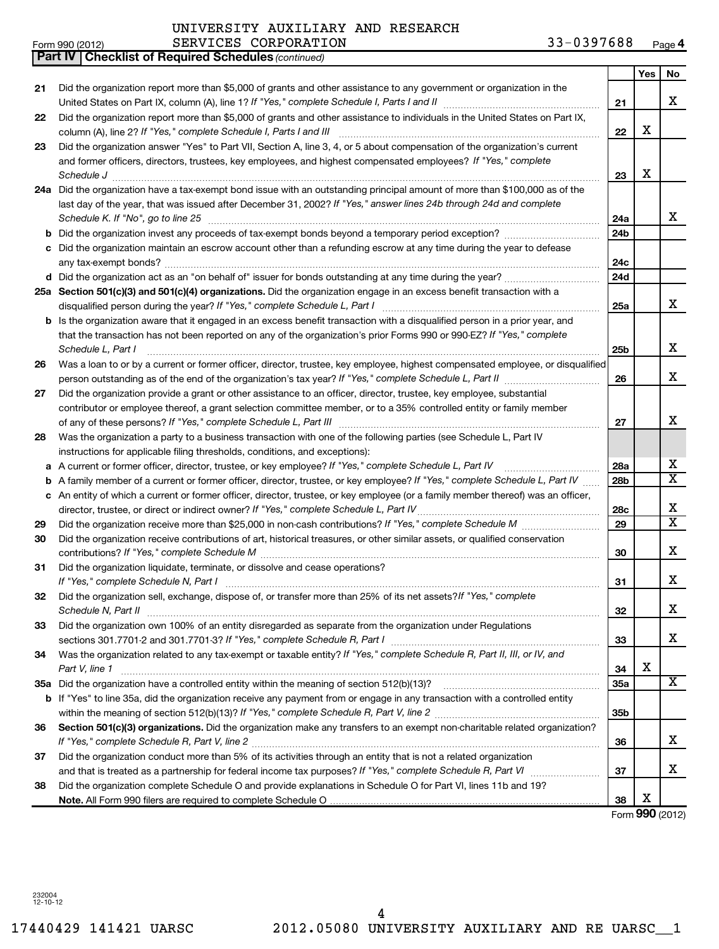| Form 990 (2012) | CORPORATION<br><b>SERVICES</b> | 397688<br>035<br>Page $\theta$ |
|-----------------|--------------------------------|--------------------------------|
|-----------------|--------------------------------|--------------------------------|

|    | <b>Part IV   Checklist of Required Schedules (continued)</b>                                                                                                                |                 |                 |                         |
|----|-----------------------------------------------------------------------------------------------------------------------------------------------------------------------------|-----------------|-----------------|-------------------------|
|    |                                                                                                                                                                             |                 | Yes             | No                      |
| 21 | Did the organization report more than \$5,000 of grants and other assistance to any government or organization in the                                                       |                 |                 |                         |
|    |                                                                                                                                                                             | 21              |                 | X                       |
| 22 | Did the organization report more than \$5,000 of grants and other assistance to individuals in the United States on Part IX,                                                |                 |                 |                         |
|    | column (A), line 2? If "Yes," complete Schedule I, Parts I and III                                                                                                          | 22              | X               |                         |
|    | Did the organization answer "Yes" to Part VII, Section A, line 3, 4, or 5 about compensation of the organization's current                                                  |                 |                 |                         |
| 23 |                                                                                                                                                                             |                 |                 |                         |
|    | and former officers, directors, trustees, key employees, and highest compensated employees? If "Yes," complete                                                              |                 | х               |                         |
|    | Schedule J                                                                                                                                                                  | 23              |                 |                         |
|    | 24a Did the organization have a tax-exempt bond issue with an outstanding principal amount of more than \$100,000 as of the                                                 |                 |                 |                         |
|    | last day of the year, that was issued after December 31, 2002? If "Yes," answer lines 24b through 24d and complete                                                          |                 |                 |                         |
|    | Schedule K. If "No", go to line 25                                                                                                                                          | 24a             |                 | x                       |
|    |                                                                                                                                                                             | 24b             |                 |                         |
|    | Did the organization maintain an escrow account other than a refunding escrow at any time during the year to defease                                                        |                 |                 |                         |
|    |                                                                                                                                                                             | 24c             |                 |                         |
|    |                                                                                                                                                                             | 24d             |                 |                         |
|    | 25a Section 501(c)(3) and 501(c)(4) organizations. Did the organization engage in an excess benefit transaction with a                                                      |                 |                 |                         |
|    |                                                                                                                                                                             | 25a             |                 | x                       |
|    | <b>b</b> Is the organization aware that it engaged in an excess benefit transaction with a disqualified person in a prior year, and                                         |                 |                 |                         |
|    | that the transaction has not been reported on any of the organization's prior Forms 990 or 990-EZ? If "Yes," complete                                                       |                 |                 |                         |
|    | Schedule L, Part I                                                                                                                                                          | 25 <sub>b</sub> |                 | X                       |
| 26 | Was a loan to or by a current or former officer, director, trustee, key employee, highest compensated employee, or disqualified                                             |                 |                 |                         |
|    |                                                                                                                                                                             | 26              |                 | X                       |
| 27 | Did the organization provide a grant or other assistance to an officer, director, trustee, key employee, substantial                                                        |                 |                 |                         |
|    | contributor or employee thereof, a grant selection committee member, or to a 35% controlled entity or family member                                                         |                 |                 |                         |
|    |                                                                                                                                                                             | 27              |                 | X                       |
| 28 | Was the organization a party to a business transaction with one of the following parties (see Schedule L, Part IV                                                           |                 |                 |                         |
|    | instructions for applicable filing thresholds, conditions, and exceptions):                                                                                                 |                 |                 |                         |
|    |                                                                                                                                                                             |                 |                 | х                       |
|    | a A current or former officer, director, trustee, or key employee? If "Yes," complete Schedule L, Part IV                                                                   | 28a             |                 | $\overline{\textbf{X}}$ |
| b  | A family member of a current or former officer, director, trustee, or key employee? If "Yes," complete Schedule L, Part IV                                                  | 28b             |                 |                         |
|    | c An entity of which a current or former officer, director, trustee, or key employee (or a family member thereof) was an officer,                                           |                 |                 |                         |
|    | director, trustee, or direct or indirect owner? If "Yes," complete Schedule L, Part IV                                                                                      | 28c             |                 | X                       |
| 29 |                                                                                                                                                                             | 29              |                 | $\overline{\textbf{X}}$ |
| 30 | Did the organization receive contributions of art, historical treasures, or other similar assets, or qualified conservation                                                 |                 |                 |                         |
|    |                                                                                                                                                                             | 30              |                 | X                       |
| 31 | Did the organization liquidate, terminate, or dissolve and cease operations?                                                                                                |                 |                 |                         |
|    |                                                                                                                                                                             | 31              |                 | x                       |
| 32 | Did the organization sell, exchange, dispose of, or transfer more than 25% of its net assets? If "Yes," complete                                                            |                 |                 |                         |
|    | Schedule N, Part II                                                                                                                                                         | 32              |                 | x                       |
| 33 | Did the organization own 100% of an entity disregarded as separate from the organization under Regulations                                                                  |                 |                 |                         |
|    | sections 301.7701-2 and 301.7701-3? If "Yes," complete Schedule R, Part I [1] [1] [1] [1] [1] [1] sections 301.7701-2 and 301.7701-3? If "Yes," complete Schedule R, Part I | 33              |                 | x                       |
| 34 | Was the organization related to any tax-exempt or taxable entity? If "Yes," complete Schedule R, Part II, III, or IV, and                                                   |                 |                 |                         |
|    | Part V, line 1                                                                                                                                                              | 34              | х               |                         |
|    |                                                                                                                                                                             | <b>35a</b>      |                 | X                       |
|    | <b>b</b> If "Yes" to line 35a, did the organization receive any payment from or engage in any transaction with a controlled entity                                          |                 |                 |                         |
|    |                                                                                                                                                                             | 35b             |                 |                         |
| 36 | Section 501(c)(3) organizations. Did the organization make any transfers to an exempt non-charitable related organization?                                                  |                 |                 |                         |
|    |                                                                                                                                                                             | 36              |                 | X                       |
| 37 | Did the organization conduct more than 5% of its activities through an entity that is not a related organization                                                            |                 |                 |                         |
|    |                                                                                                                                                                             | 37              |                 | х                       |
| 38 | Did the organization complete Schedule O and provide explanations in Schedule O for Part VI, lines 11b and 19?                                                              |                 |                 |                         |
|    |                                                                                                                                                                             | 38              | X               |                         |
|    |                                                                                                                                                                             |                 | Form 990 (2012) |                         |
|    |                                                                                                                                                                             |                 |                 |                         |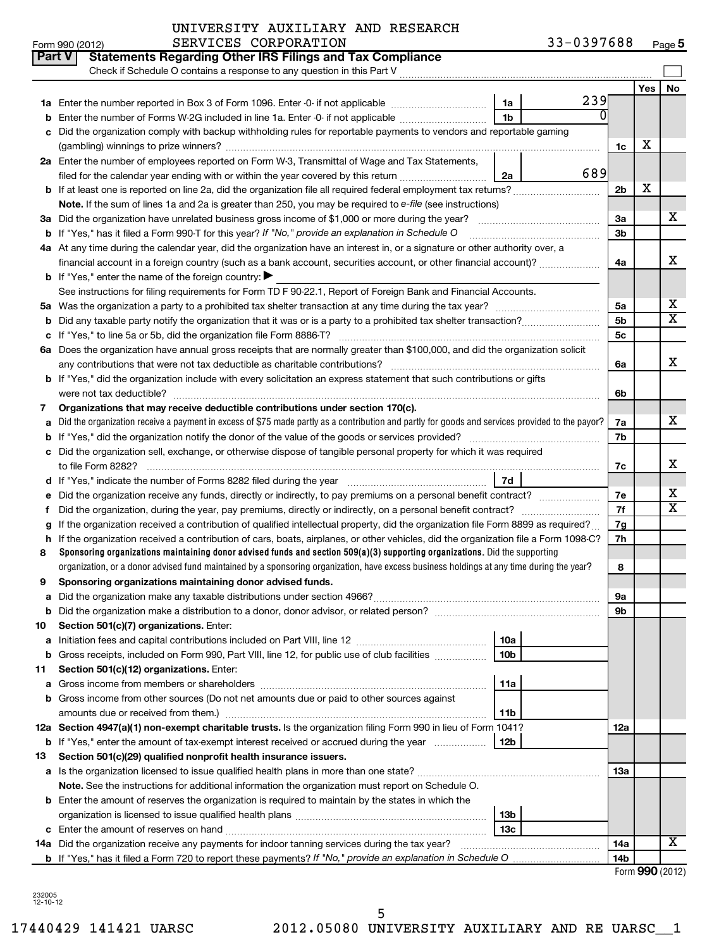|    | <b>Part V</b><br><b>Statements Regarding Other IRS Filings and Tax Compliance</b><br>Check if Schedule O contains a response to any question in this Part V                                                                                                                |                 |     |                |     |                         |
|----|----------------------------------------------------------------------------------------------------------------------------------------------------------------------------------------------------------------------------------------------------------------------------|-----------------|-----|----------------|-----|-------------------------|
|    |                                                                                                                                                                                                                                                                            |                 |     |                | Yes | No                      |
|    |                                                                                                                                                                                                                                                                            | 1a              | 239 |                |     |                         |
|    | Enter the number of Forms W-2G included in line 1a. Enter -0- if not applicable                                                                                                                                                                                            | 1 <sub>b</sub>  |     |                |     |                         |
| C  | Did the organization comply with backup withholding rules for reportable payments to vendors and reportable gaming                                                                                                                                                         |                 |     |                |     |                         |
|    |                                                                                                                                                                                                                                                                            |                 |     | 1c             | х   |                         |
|    | 2a Enter the number of employees reported on Form W-3, Transmittal of Wage and Tax Statements,                                                                                                                                                                             |                 |     |                |     |                         |
|    | filed for the calendar year ending with or within the year covered by this return                                                                                                                                                                                          | 2a              | 689 |                |     |                         |
|    | <b>b</b> If at least one is reported on line 2a, did the organization file all required federal employment tax returns?                                                                                                                                                    |                 |     | 2 <sub>b</sub> | х   |                         |
|    | Note. If the sum of lines 1a and 2a is greater than 250, you may be required to e-file (see instructions)                                                                                                                                                                  |                 |     |                |     |                         |
|    |                                                                                                                                                                                                                                                                            |                 |     | За             |     | х                       |
|    | <b>b</b> If "Yes," has it filed a Form 990-T for this year? If "No," provide an explanation in Schedule O                                                                                                                                                                  |                 |     | 3b             |     |                         |
|    | 4a At any time during the calendar year, did the organization have an interest in, or a signature or other authority over, a                                                                                                                                               |                 |     |                |     |                         |
|    | financial account in a foreign country (such as a bank account, securities account, or other financial account)?                                                                                                                                                           |                 |     | 4a             |     | x                       |
|    | <b>b</b> If "Yes," enter the name of the foreign country: $\blacktriangleright$                                                                                                                                                                                            |                 |     |                |     |                         |
|    | See instructions for filing requirements for Form TD F 90-22.1, Report of Foreign Bank and Financial Accounts.                                                                                                                                                             |                 |     |                |     |                         |
| 5a |                                                                                                                                                                                                                                                                            |                 |     | 5а             |     | х                       |
| b  |                                                                                                                                                                                                                                                                            |                 |     | 5 <sub>b</sub> |     | $\overline{\texttt{x}}$ |
|    |                                                                                                                                                                                                                                                                            |                 |     | 5 <sub>c</sub> |     |                         |
|    | 6a Does the organization have annual gross receipts that are normally greater than \$100,000, and did the organization solicit                                                                                                                                             |                 |     |                |     |                         |
|    | any contributions that were not tax deductible as charitable contributions?                                                                                                                                                                                                |                 |     | 6a             |     | x                       |
|    | <b>b</b> If "Yes," did the organization include with every solicitation an express statement that such contributions or gifts                                                                                                                                              |                 |     |                |     |                         |
|    | were not tax deductible?                                                                                                                                                                                                                                                   |                 |     | 6b             |     |                         |
| 7  | Organizations that may receive deductible contributions under section 170(c).                                                                                                                                                                                              |                 |     |                |     |                         |
| a  | Did the organization receive a payment in excess of \$75 made partly as a contribution and partly for goods and services provided to the payor?                                                                                                                            |                 |     | 7a             |     | x.                      |
| b  |                                                                                                                                                                                                                                                                            |                 |     | 7b             |     |                         |
| с  | Did the organization sell, exchange, or otherwise dispose of tangible personal property for which it was required                                                                                                                                                          |                 |     |                |     |                         |
|    | to file Form 8282?                                                                                                                                                                                                                                                         |                 |     | 7c             |     | х                       |
|    |                                                                                                                                                                                                                                                                            | 7d              |     |                |     |                         |
|    |                                                                                                                                                                                                                                                                            |                 |     | 7е             |     | х<br>X                  |
| f  |                                                                                                                                                                                                                                                                            |                 |     | 7f             |     |                         |
|    | If the organization received a contribution of qualified intellectual property, did the organization file Form 8899 as required?                                                                                                                                           |                 |     | 7g             |     |                         |
| h  | If the organization received a contribution of cars, boats, airplanes, or other vehicles, did the organization file a Form 1098-C?                                                                                                                                         |                 |     | 7h             |     |                         |
| 8  | Sponsoring organizations maintaining donor advised funds and section $509(a)(3)$ supporting organizations. Did the supporting<br>organization, or a donor advised fund maintained by a sponsoring organization, have excess business holdings at any time during the year? |                 |     |                |     |                         |
|    |                                                                                                                                                                                                                                                                            |                 |     | 8              |     |                         |
| 9  | Sponsoring organizations maintaining donor advised funds.                                                                                                                                                                                                                  |                 |     |                |     |                         |
|    |                                                                                                                                                                                                                                                                            |                 |     | эа<br>9b       |     |                         |
| 10 | <b>b</b> Did the organization make a distribution to a donor, donor advisor, or related person?<br>Section 501(c)(7) organizations. Enter:                                                                                                                                 |                 |     |                |     |                         |
| а  |                                                                                                                                                                                                                                                                            | 10a             |     |                |     |                         |
|    | <b>b</b> Gross receipts, included on Form 990, Part VIII, line 12, for public use of club facilities <i>manumum</i>                                                                                                                                                        | 10 <sub>b</sub> |     |                |     |                         |
| 11 | Section 501(c)(12) organizations. Enter:                                                                                                                                                                                                                                   |                 |     |                |     |                         |
| а  |                                                                                                                                                                                                                                                                            | 11a             |     |                |     |                         |
|    | <b>b</b> Gross income from other sources (Do not net amounts due or paid to other sources against                                                                                                                                                                          |                 |     |                |     |                         |
|    | amounts due or received from them.)                                                                                                                                                                                                                                        | 11b             |     |                |     |                         |
|    | 12a Section 4947(a)(1) non-exempt charitable trusts. Is the organization filing Form 990 in lieu of Form 1041?                                                                                                                                                             |                 |     | 12a            |     |                         |
|    | b If "Yes," enter the amount of tax-exempt interest received or accrued during the year                                                                                                                                                                                    | 12b             |     |                |     |                         |
| 13 | Section 501(c)(29) qualified nonprofit health insurance issuers.                                                                                                                                                                                                           |                 |     |                |     |                         |
|    | a Is the organization licensed to issue qualified health plans in more than one state?                                                                                                                                                                                     |                 |     | 1За            |     |                         |
|    | Note. See the instructions for additional information the organization must report on Schedule O.                                                                                                                                                                          |                 |     |                |     |                         |
|    | <b>b</b> Enter the amount of reserves the organization is required to maintain by the states in which the                                                                                                                                                                  |                 |     |                |     |                         |
|    |                                                                                                                                                                                                                                                                            | 13 <sub>b</sub> |     |                |     |                         |
|    |                                                                                                                                                                                                                                                                            | 13c             |     |                |     |                         |
|    | 14a Did the organization receive any payments for indoor tanning services during the tax year?                                                                                                                                                                             |                 |     | 14a            |     | x                       |
|    | <b>b</b> If "Yes," has it filed a Form 720 to report these payments? If "No," provide an explanation in Schedule O                                                                                                                                                         |                 |     | 14b            |     |                         |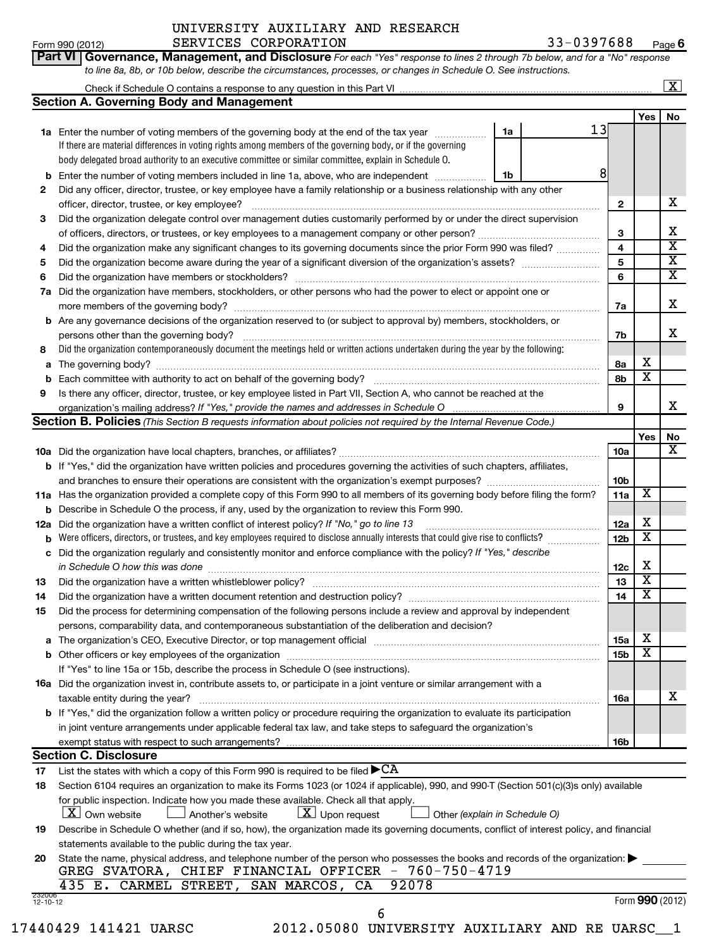|    | SERVICES CORPORATION<br>Form 990 (2012)                                                                                             | 33-0397688 |                         |                         | $Page$ 6                |
|----|-------------------------------------------------------------------------------------------------------------------------------------|------------|-------------------------|-------------------------|-------------------------|
|    | Governance, Management, and Disclosure For each "Yes" response to lines 2 through 7b below, and for a "No" response<br>Part VI I    |            |                         |                         |                         |
|    | to line 8a, 8b, or 10b below, describe the circumstances, processes, or changes in Schedule O. See instructions.                    |            |                         |                         |                         |
|    |                                                                                                                                     |            |                         |                         | $\overline{\mathbf{X}}$ |
|    | <b>Section A. Governing Body and Management</b>                                                                                     |            |                         |                         |                         |
|    |                                                                                                                                     |            |                         | <b>Yes</b>              | No                      |
|    | 1a<br>1a Enter the number of voting members of the governing body at the end of the tax year                                        | 13         |                         |                         |                         |
|    | If there are material differences in voting rights among members of the governing body, or if the governing                         |            |                         |                         |                         |
|    | body delegated broad authority to an executive committee or similar committee, explain in Schedule O.                               |            |                         |                         |                         |
|    | <b>b</b> Enter the number of voting members included in line 1a, above, who are independent<br>1b                                   | 8          |                         |                         |                         |
| 2  | Did any officer, director, trustee, or key employee have a family relationship or a business relationship with any other            |            |                         |                         |                         |
|    |                                                                                                                                     |            | $\mathbf{2}$            |                         | x                       |
| 3  | Did the organization delegate control over management duties customarily performed by or under the direct supervision               |            |                         |                         |                         |
|    |                                                                                                                                     |            | 3                       |                         | X                       |
| 4  | Did the organization make any significant changes to its governing documents since the prior Form 990 was filed?                    |            | $\overline{\mathbf{4}}$ |                         | X                       |
| 5  |                                                                                                                                     |            | 5                       |                         | х                       |
| 6  |                                                                                                                                     |            | 6                       |                         | x                       |
|    | 7a Did the organization have members, stockholders, or other persons who had the power to elect or appoint one or                   |            |                         |                         |                         |
|    | more members of the governing body?                                                                                                 |            | 7a                      |                         | x                       |
|    | <b>b</b> Are any governance decisions of the organization reserved to (or subject to approval by) members, stockholders, or         |            |                         |                         |                         |
|    | persons other than the governing body?                                                                                              |            | 7b                      |                         | x.                      |
| 8  | Did the organization contemporaneously document the meetings held or written actions undertaken during the year by the following:   |            |                         |                         |                         |
|    |                                                                                                                                     |            | 8a                      | X                       |                         |
| b  |                                                                                                                                     |            | 8b                      | $\overline{\mathbf{x}}$ |                         |
| 9  | Is there any officer, director, trustee, or key employee listed in Part VII, Section A, who cannot be reached at the                |            |                         |                         |                         |
|    |                                                                                                                                     |            | 9                       |                         | X                       |
|    | Section B. Policies (This Section B requests information about policies not required by the Internal Revenue Code.)                 |            |                         |                         |                         |
|    |                                                                                                                                     |            |                         | Yes                     | No                      |
|    |                                                                                                                                     |            | 10a                     |                         | x                       |
|    | <b>b</b> If "Yes," did the organization have written policies and procedures governing the activities of such chapters, affiliates, |            |                         |                         |                         |
|    |                                                                                                                                     |            | 10 <sub>b</sub>         |                         |                         |
|    | 11a Has the organization provided a complete copy of this Form 990 to all members of its governing body before filing the form?     |            | 11a                     | $\overline{\textbf{x}}$ |                         |
|    | <b>b</b> Describe in Schedule O the process, if any, used by the organization to review this Form 990.                              |            |                         |                         |                         |
|    | <b>12a</b> Did the organization have a written conflict of interest policy? If "No," go to line 13                                  |            | 12a                     | X                       |                         |
| b  | Were officers, directors, or trustees, and key employees required to disclose annually interests that could give rise to conflicts? |            | 12 <sub>b</sub>         | $\overline{\textbf{x}}$ |                         |
|    | c Did the organization regularly and consistently monitor and enforce compliance with the policy? If "Yes," describe                |            |                         |                         |                         |
|    | in Schedule O how this was done <i>manufacture contract to the set of the set of the set of the set of the set of t</i>             |            | 12c                     | X                       |                         |
| 13 |                                                                                                                                     |            | 13                      | $\overline{\textbf{x}}$ |                         |
| 14 |                                                                                                                                     |            | 14                      | х                       |                         |
| 15 | Did the process for determining compensation of the following persons include a review and approval by independent                  |            |                         |                         |                         |
|    | persons, comparability data, and contemporaneous substantiation of the deliberation and decision?                                   |            |                         |                         |                         |

|    | <b>16a</b> Did the organization invest in, contribute assets to, or participate in a joint venture or similar arrangement with a                                                                                                  |     |  |
|----|-----------------------------------------------------------------------------------------------------------------------------------------------------------------------------------------------------------------------------------|-----|--|
|    | taxable entity during the year?                                                                                                                                                                                                   | 16a |  |
|    | <b>b</b> If "Yes," did the organization follow a written policy or procedure requiring the organization to evaluate its participation                                                                                             |     |  |
|    | in joint venture arrangements under applicable federal tax law, and take steps to safeguard the organization's                                                                                                                    |     |  |
|    |                                                                                                                                                                                                                                   | 16b |  |
|    | <b>Section C. Disclosure</b>                                                                                                                                                                                                      |     |  |
| 17 | List the states with which a copy of this Form 990 is required to be filed $\blacktriangleright$ $\rm CA$                                                                                                                         |     |  |
| 18 | Section 6104 requires an organization to make its Forms 1023 (or 1024 if applicable), 990, and 990-T (Section 501(c)(3)s only) available                                                                                          |     |  |
|    | for public inspection. Indicate how you made these available. Check all that apply.<br>$\boxed{\mathbf{X}}$ Upon request<br>$\lfloor \mathbf{X} \rfloor$ Own website<br>Another's website<br>$\Box$ Other (explain in Schedule O) |     |  |
| 19 | Describe in Schedule O whether (and if so, how), the organization made its governing documents, conflict of interest policy, and financial<br>statements available to the public during the tax year.                             |     |  |

If "Yes" to line 15a or 15b, describe the process in Schedule O (see instructions).

**a** The organization's CEO, Executive Director, or top management official encontrary construction controller to **b** Other officers or key employees of the organization ~~~~~~~~~~~~~~~~~~~~~~~~~~~~~~~~~~~~

|                                            |  | 20 State the name, physical address, and telephone number of the person who possesses the books and records of the organization: |  |
|--------------------------------------------|--|----------------------------------------------------------------------------------------------------------------------------------|--|
|                                            |  | GREG SVATORA, CHIEF FINANCIAL OFFICER - 760-750-4719                                                                             |  |
| 435 E. CARMEL STREET, SAN MARCOS, CA 92078 |  |                                                                                                                                  |  |

**15a 15b**

X  $\overline{\texttt{x}}$ 

X

17440429 141421 UARSC 2012.05080 UNIVERSITY AUXILIARY AND RE UARSC\_\_1

|          | 6 |
|----------|---|
| 05080 UN |   |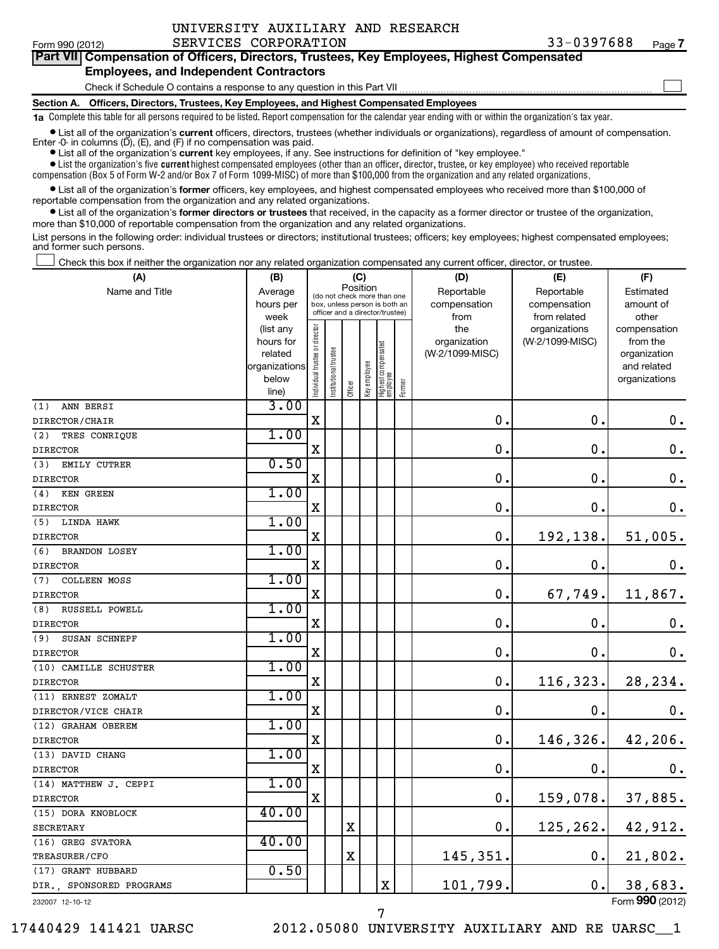$\sim$ 

## **Part VII Compensation of Officers, Directors, Trustees, Key Employees, Highest Compensated Employees, and Independent Contractors**

Check if Schedule O contains a response to any question in this Part VII

**Section A. Officers, Directors, Trustees, Key Employees, and Highest Compensated Employees**

**1a**  Complete this table for all persons required to be listed. Report compensation for the calendar year ending with or within the organization's tax year.

**•** List all of the organization's current officers, directors, trustees (whether individuals or organizations), regardless of amount of compensation. Enter -0- in columns  $(D)$ ,  $(E)$ , and  $(F)$  if no compensation was paid.

**•** List all of the organization's **current** key employees, if any. See instructions for definition of "key employee."

 $\bullet$  List the organization's five  $\tt current$  highest compensated employees (other than an officer, director, trustee, or key employee) who received reportable compensation (Box 5 of Form W-2 and/or Box 7 of Form 1099-MISC) of more than \$100,000 from the organization and any related organizations .

 $\bullet$  List all of the organization's former officers, key employees, and highest compensated employees who received more than \$100,000 of reportable compensation from the organization and any related organizations.

**•** List all of the organization's former directors or trustees that received, in the capacity as a former director or trustee of the organization, more than \$10,000 of reportable compensation from the organization and any related organizations.

List persons in the following order: individual trustees or directors; institutional trustees; officers; key employees; highest compensated employees; and former such persons.

Check this box if neither the organization nor any related organization compensated any current officer, director, or trustee.  $\left\vert \cdot\right\vert$ 

| (A)                         | (B)                      |                                |                                                                  | (C)         |              |                                 |        | (D)             | (E)             | (F)                         |
|-----------------------------|--------------------------|--------------------------------|------------------------------------------------------------------|-------------|--------------|---------------------------------|--------|-----------------|-----------------|-----------------------------|
| Name and Title              | Average                  |                                | (do not check more than one                                      | Position    |              |                                 |        | Reportable      | Reportable      | Estimated                   |
|                             | hours per                |                                | box, unless person is both an<br>officer and a director/trustee) |             |              |                                 |        | compensation    | compensation    | amount of                   |
|                             | week                     |                                |                                                                  |             |              |                                 |        | from            | from related    | other                       |
|                             | (list any                |                                |                                                                  |             |              |                                 |        | the             | organizations   | compensation                |
|                             | hours for                |                                |                                                                  |             |              |                                 |        | organization    | (W-2/1099-MISC) | from the                    |
|                             | related<br>organizations |                                |                                                                  |             |              |                                 |        | (W-2/1099-MISC) |                 | organization<br>and related |
|                             | below                    |                                |                                                                  |             |              |                                 |        |                 |                 | organizations               |
|                             | line)                    | Individual trustee or director | Institutional trustee                                            | Officer     | Key employee | Highest compensated<br>employee | Former |                 |                 |                             |
| ANN BERSI<br>(1)            | 3.00                     |                                |                                                                  |             |              |                                 |        |                 |                 |                             |
| DIRECTOR/CHAIR              |                          | $\mathbf X$                    |                                                                  |             |              |                                 |        | 0.              | $\mathbf 0$ .   | 0.                          |
| (2)<br>TRES CONRIQUE        | 1.00                     |                                |                                                                  |             |              |                                 |        |                 |                 |                             |
| <b>DIRECTOR</b>             |                          | $\mathbf X$                    |                                                                  |             |              |                                 |        | $\mathbf 0$ .   | 0.              | $\mathbf 0$ .               |
| (3)<br>EMILY CUTRER         | 0.50                     |                                |                                                                  |             |              |                                 |        |                 |                 |                             |
| <b>DIRECTOR</b>             |                          | X                              |                                                                  |             |              |                                 |        | $\mathbf 0$ .   | $\mathbf 0$     | $\mathbf 0$ .               |
| (4)<br>KEN GREEN            | 1.00                     |                                |                                                                  |             |              |                                 |        |                 |                 |                             |
| <b>DIRECTOR</b>             |                          | X                              |                                                                  |             |              |                                 |        | $\mathbf 0$ .   | 0.              | $\mathbf 0$ .               |
| (5) LINDA HAWK              | 1.00                     |                                |                                                                  |             |              |                                 |        |                 |                 |                             |
| <b>DIRECTOR</b>             |                          | X                              |                                                                  |             |              |                                 |        | $\mathbf 0$ .   | 192,138.        | 51,005.                     |
| (6)<br><b>BRANDON LOSEY</b> | 1.00                     |                                |                                                                  |             |              |                                 |        |                 |                 |                             |
| <b>DIRECTOR</b>             |                          | $\mathbf X$                    |                                                                  |             |              |                                 |        | $\mathbf 0$ .   | $\mathbf 0$     | 0.                          |
| <b>COLLEEN MOSS</b><br>(7)  | 1.00                     |                                |                                                                  |             |              |                                 |        |                 |                 |                             |
| <b>DIRECTOR</b>             |                          | $\mathbf X$                    |                                                                  |             |              |                                 |        | 0.              | 67,749.         | 11,867.                     |
| RUSSELL POWELL<br>(8)       | 1.00                     |                                |                                                                  |             |              |                                 |        |                 |                 |                             |
| <b>DIRECTOR</b>             |                          | $\mathbf X$                    |                                                                  |             |              |                                 |        | $\mathbf 0$ .   | $\mathbf 0$ .   | $\mathbf 0$ .               |
| (9)<br>SUSAN SCHNEPF        | 1.00                     |                                |                                                                  |             |              |                                 |        |                 |                 |                             |
| <b>DIRECTOR</b>             |                          | $\mathbf X$                    |                                                                  |             |              |                                 |        | $\mathbf 0$ .   | $\mathbf 0$ .   | $\mathbf 0$ .               |
| (10) CAMILLE SCHUSTER       | 1.00                     |                                |                                                                  |             |              |                                 |        |                 |                 |                             |
| <b>DIRECTOR</b>             |                          | X                              |                                                                  |             |              |                                 |        | 0.              | 116, 323.       | 28, 234.                    |
| (11) ERNEST ZOMALT          | 1.00                     |                                |                                                                  |             |              |                                 |        |                 |                 |                             |
| DIRECTOR/VICE CHAIR         |                          | X                              |                                                                  |             |              |                                 |        | 0.              | $\mathbf 0$ .   | $0$ .                       |
| (12) GRAHAM OBEREM          | 1.00                     |                                |                                                                  |             |              |                                 |        |                 |                 |                             |
| <b>DIRECTOR</b>             |                          | X                              |                                                                  |             |              |                                 |        | 0.              | 146,326.        | 42,206.                     |
| (13) DAVID CHANG            | 1.00                     |                                |                                                                  |             |              |                                 |        |                 |                 |                             |
| <b>DIRECTOR</b>             |                          | X                              |                                                                  |             |              |                                 |        | $\mathbf 0$ .   | 0.              | 0.                          |
| (14) MATTHEW J. CEPPI       | 1.00                     |                                |                                                                  |             |              |                                 |        |                 |                 |                             |
| <b>DIRECTOR</b>             |                          | $\mathbf X$                    |                                                                  |             |              |                                 |        | 0.              | 159,078.        | 37,885.                     |
| (15) DORA KNOBLOCK          | 40.00                    |                                |                                                                  |             |              |                                 |        |                 |                 |                             |
| <b>SECRETARY</b>            |                          |                                |                                                                  | X           |              |                                 |        | 0.              | 125, 262.       | 42,912.                     |
| (16) GREG SVATORA           | 40.00                    |                                |                                                                  |             |              |                                 |        |                 |                 |                             |
| TREASURER/CFO               |                          |                                |                                                                  | $\mathbf X$ |              |                                 |        | 145,351.        | 0.              | 21,802.                     |
| (17) GRANT HUBBARD          | 0.50                     |                                |                                                                  |             |              |                                 |        |                 |                 |                             |
| DIR., SPONSORED PROGRAMS    |                          |                                |                                                                  |             |              | $\mathbf X$                     |        | 101,799.        | 0.              | 38,683.                     |
| 232007 12-10-12             |                          |                                |                                                                  |             |              |                                 |        |                 |                 | Form 990 (2012)             |

7

17440429 141421 UARSC 2012.05080 UNIVERSITY AUXILIARY AND RE UARSC\_\_1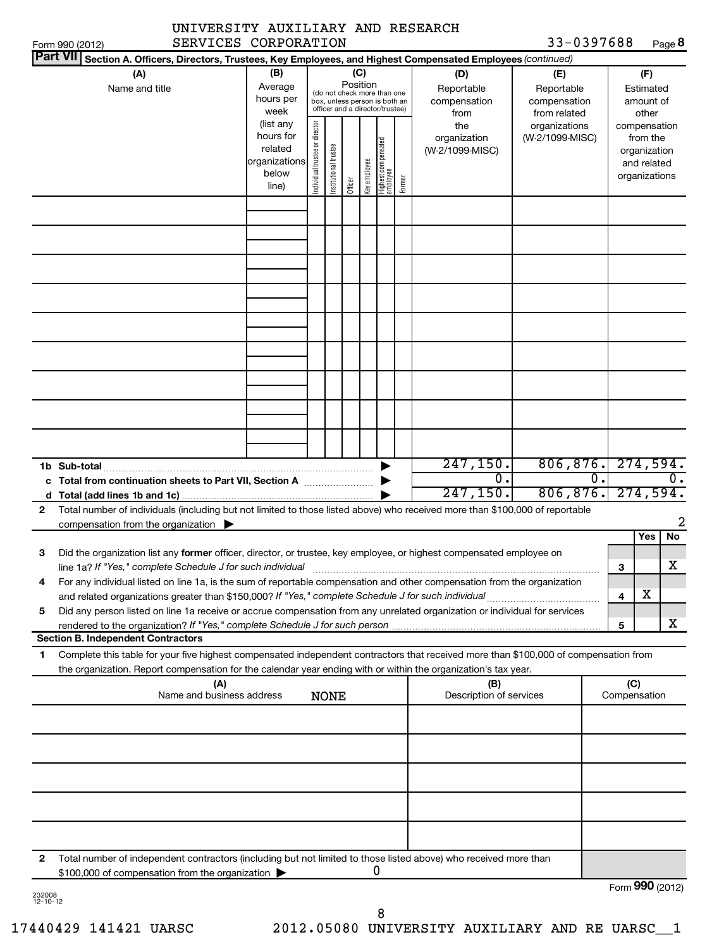|   | SERVICES CORPORATION<br>Form 990 (2012)                                                                                      |                        |                                |                       |          |              |                                                                  |        |                      | 33-0397688                              |   |                    | Page 8           |
|---|------------------------------------------------------------------------------------------------------------------------------|------------------------|--------------------------------|-----------------------|----------|--------------|------------------------------------------------------------------|--------|----------------------|-----------------------------------------|---|--------------------|------------------|
|   | <b>Part VII</b><br>Section A. Officers, Directors, Trustees, Key Employees, and Highest Compensated Employees (continued)    |                        |                                |                       |          |              |                                                                  |        |                      |                                         |   |                    |                  |
|   | (A)                                                                                                                          | (B)                    |                                |                       | (C)      |              |                                                                  |        | (D)                  | (E)                                     |   | (F)                |                  |
|   | Name and title                                                                                                               | Average<br>hours per   |                                |                       | Position |              | (do not check more than one                                      |        | Reportable           | Reportable                              |   | Estimated          |                  |
|   |                                                                                                                              | week                   |                                |                       |          |              | box, unless person is both an<br>officer and a director/trustee) |        | compensation<br>from | compensation<br>from related            |   | amount of<br>other |                  |
|   |                                                                                                                              | (list any              |                                |                       |          |              |                                                                  |        | the                  | organizations                           |   | compensation       |                  |
|   |                                                                                                                              | hours for              |                                |                       |          |              |                                                                  |        | organization         | (W-2/1099-MISC)                         |   | from the           |                  |
|   |                                                                                                                              | related                |                                |                       |          |              |                                                                  |        | (W-2/1099-MISC)      |                                         |   | organization       |                  |
|   |                                                                                                                              | organizations<br>below |                                |                       |          |              |                                                                  |        |                      |                                         |   | and related        |                  |
|   |                                                                                                                              | line)                  | Individual trustee or director | Institutional trustee | Officer  | key employee | Highest compensated<br>employee                                  | Former |                      |                                         |   | organizations      |                  |
|   |                                                                                                                              |                        |                                |                       |          |              |                                                                  |        |                      |                                         |   |                    |                  |
|   |                                                                                                                              |                        |                                |                       |          |              |                                                                  |        |                      |                                         |   |                    |                  |
|   |                                                                                                                              |                        |                                |                       |          |              |                                                                  |        |                      |                                         |   |                    |                  |
|   |                                                                                                                              |                        |                                |                       |          |              |                                                                  |        |                      |                                         |   |                    |                  |
|   |                                                                                                                              |                        |                                |                       |          |              |                                                                  |        |                      |                                         |   |                    |                  |
|   |                                                                                                                              |                        |                                |                       |          |              |                                                                  |        |                      |                                         |   |                    |                  |
|   |                                                                                                                              |                        |                                |                       |          |              |                                                                  |        |                      |                                         |   |                    |                  |
|   |                                                                                                                              |                        |                                |                       |          |              |                                                                  |        |                      |                                         |   |                    |                  |
|   |                                                                                                                              |                        |                                |                       |          |              |                                                                  |        |                      |                                         |   |                    |                  |
|   |                                                                                                                              |                        |                                |                       |          |              |                                                                  |        |                      |                                         |   |                    |                  |
|   |                                                                                                                              |                        |                                |                       |          |              |                                                                  |        |                      |                                         |   |                    |                  |
|   |                                                                                                                              |                        |                                |                       |          |              |                                                                  |        |                      |                                         |   |                    |                  |
|   |                                                                                                                              |                        |                                |                       |          |              |                                                                  |        |                      |                                         |   |                    |                  |
|   | 1b Sub-total                                                                                                                 |                        |                                |                       |          |              |                                                                  |        | 247, 150.            | 806, 876.                               |   |                    | 274,594.         |
|   | c Total from continuation sheets to Part VII, Section A                                                                      |                        |                                |                       |          |              |                                                                  |        | σ.                   | $\overline{\mathfrak{0}}$ .             |   |                    | $\overline{0}$ . |
|   |                                                                                                                              |                        |                                |                       |          |              |                                                                  |        | 247, 150.            | 806, 876.                               |   | 274,594.           |                  |
| 2 | Total number of individuals (including but not limited to those listed above) who received more than \$100,000 of reportable |                        |                                |                       |          |              |                                                                  |        |                      |                                         |   |                    |                  |
|   | compensation from the organization $\blacktriangleright$                                                                     |                        |                                |                       |          |              |                                                                  |        |                      |                                         |   |                    | 2                |
|   |                                                                                                                              |                        |                                |                       |          |              |                                                                  |        |                      |                                         |   | <b>Yes</b>         | No               |
| з | Did the organization list any former officer, director, or trustee, key employee, or highest compensated employee on         |                        |                                |                       |          |              |                                                                  |        |                      |                                         |   |                    |                  |
|   | line 1a? If "Yes," complete Schedule J for such individual                                                                   |                        |                                |                       |          |              |                                                                  |        |                      |                                         | 3 |                    | х                |
| 4 | For any individual listed on line 1a, is the sum of reportable compensation and other compensation from the organization     |                        |                                |                       |          |              |                                                                  |        |                      |                                         | 4 | х                  |                  |
|   | the contract of the contract of the contract of the contract of the contract of the contract of the contract of              |                        |                                |                       |          |              |                                                                  |        |                      | the property of the control of the con- |   |                    |                  |

| Section B. Independent Contractors                                                                                         |
|----------------------------------------------------------------------------------------------------------------------------|
| rendered to the organization? If "Yes," complete Schedule J for such person                                                |
| Did any person listed on line 1a receive or accrue compensation from any unrelated organization or individual for services |

**1** Complete this table for your five highest compensated independent contractors that received more than \$100,000 of compensation from the organization. Report compensation for the calendar year ending with or within the organization's tax year.

|   | (A)<br>Name and business address<br><b>NONE</b>                                                                                                                                           | (B)<br>Description of services | (C)<br>Compensation |
|---|-------------------------------------------------------------------------------------------------------------------------------------------------------------------------------------------|--------------------------------|---------------------|
|   |                                                                                                                                                                                           |                                |                     |
|   |                                                                                                                                                                                           |                                |                     |
|   |                                                                                                                                                                                           |                                |                     |
|   |                                                                                                                                                                                           |                                |                     |
|   |                                                                                                                                                                                           |                                |                     |
| 2 | Total number of independent contractors (including but not limited to those listed above) who received more than<br>\$100,000 of compensation from the organization $\blacktriangleright$ |                                |                     |
|   |                                                                                                                                                                                           |                                | $Form$ 990 (2012)   |

| 232008   |  |
|----------|--|
| 12-10-12 |  |

Form (2012) **990**

**5**

X

8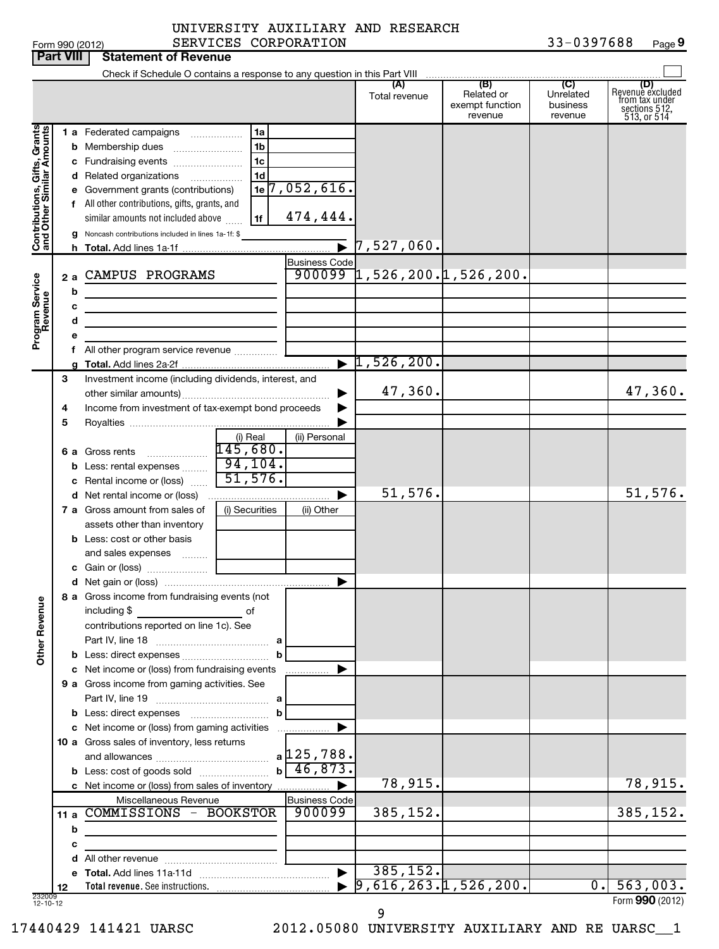|  | rm 990 (2012) |  |
|--|---------------|--|

### Form 990 (2012) SERVICES CORPORATION 3 3-0 3 9 7 6 8 8 Page UNIVERSITY AUXILIARY AND RESEARCH SERVICES CORPORATION

33-0397688 Page 9

|                                                           | <b>Part VIII</b> | <b>Statement of Revenue</b>                                                                                                                                                                                                          |                                                                |                                           |                                                         |                                                 |                                         |                                                                           |
|-----------------------------------------------------------|------------------|--------------------------------------------------------------------------------------------------------------------------------------------------------------------------------------------------------------------------------------|----------------------------------------------------------------|-------------------------------------------|---------------------------------------------------------|-------------------------------------------------|-----------------------------------------|---------------------------------------------------------------------------|
|                                                           |                  | Check if Schedule O contains a response to any question in this Part VIII                                                                                                                                                            |                                                                |                                           |                                                         |                                                 |                                         |                                                                           |
|                                                           |                  |                                                                                                                                                                                                                                      |                                                                |                                           | Total revenue                                           | (B)<br>Related or<br>exempt function<br>revenue | (C)<br>Unrelated<br>business<br>revenue | (D)<br>Revenue excluded<br>trom tax under<br>sections 512,<br>513, or 514 |
| Contributions, Gifts, Grants<br>and Other Similar Amounts |                  | 1 a Federated campaigns<br><b>b</b> Membership dues<br>c Fundraising events<br>d Related organizations<br>e Government grants (contributions)<br>f All other contributions, gifts, grants, and<br>similar amounts not included above | 1a<br>1 <sub>b</sub><br>1 <sub>c</sub><br>1 <sub>d</sub><br>1f | $1e$ <sup>7</sup> , 052, 616.<br>474,444. |                                                         |                                                 |                                         |                                                                           |
|                                                           |                  | Noncash contributions included in lines 1a-1f: \$                                                                                                                                                                                    |                                                                |                                           | $\triangleright$ 7,527,060.                             |                                                 |                                         |                                                                           |
|                                                           |                  |                                                                                                                                                                                                                                      |                                                                |                                           |                                                         |                                                 |                                         |                                                                           |
| Program Service<br>Revenue                                | 2a<br>b          | CAMPUS PROGRAMS                                                                                                                                                                                                                      |                                                                | <b>Business Code</b>                      | $900099$ 1, 526, 200. 1, 526, 200.                      |                                                 |                                         |                                                                           |
|                                                           | c                |                                                                                                                                                                                                                                      |                                                                |                                           |                                                         |                                                 |                                         |                                                                           |
|                                                           | d                | <u> 1989 - Johann Barbara, martxa alemaniar a</u>                                                                                                                                                                                    |                                                                |                                           |                                                         |                                                 |                                         |                                                                           |
|                                                           | е                |                                                                                                                                                                                                                                      |                                                                |                                           |                                                         |                                                 |                                         |                                                                           |
|                                                           |                  |                                                                                                                                                                                                                                      |                                                                |                                           | $\blacktriangleright$ 1,526,200.                        |                                                 |                                         |                                                                           |
|                                                           | 3                | Investment income (including dividends, interest, and                                                                                                                                                                                |                                                                |                                           | 47,360.                                                 |                                                 |                                         | 47,360.                                                                   |
|                                                           | 4                | Income from investment of tax-exempt bond proceeds                                                                                                                                                                                   |                                                                |                                           |                                                         |                                                 |                                         |                                                                           |
|                                                           | 5                |                                                                                                                                                                                                                                      |                                                                |                                           |                                                         |                                                 |                                         |                                                                           |
|                                                           |                  | <b>6 a</b> Gross rents                                                                                                                                                                                                               | (i) Real<br>145,680.                                           | (ii) Personal                             |                                                         |                                                 |                                         |                                                                           |
|                                                           |                  | <b>b</b> Less: rental expenses                                                                                                                                                                                                       | 94,104.<br>51,576.                                             |                                           |                                                         |                                                 |                                         |                                                                           |
|                                                           |                  | c Rental income or (loss)<br>d Net rental income or (loss)                                                                                                                                                                           |                                                                | ▶                                         | 51,576.                                                 |                                                 |                                         | 51,576.                                                                   |
|                                                           |                  | <b>7 a</b> Gross amount from sales of                                                                                                                                                                                                | (i) Securities                                                 | (ii) Other                                |                                                         |                                                 |                                         |                                                                           |
|                                                           |                  | assets other than inventory                                                                                                                                                                                                          |                                                                |                                           |                                                         |                                                 |                                         |                                                                           |
|                                                           |                  | <b>b</b> Less: cost or other basis<br>and sales expenses                                                                                                                                                                             |                                                                |                                           |                                                         |                                                 |                                         |                                                                           |
|                                                           |                  |                                                                                                                                                                                                                                      |                                                                |                                           |                                                         |                                                 |                                         |                                                                           |
|                                                           |                  | 8 a Gross income from fundraising events (not                                                                                                                                                                                        |                                                                | ▶                                         |                                                         |                                                 |                                         |                                                                           |
| <b>Other Revenue</b>                                      |                  | including \$<br><u>and the second second second</u> of<br>contributions reported on line 1c). See                                                                                                                                    | b                                                              |                                           |                                                         |                                                 |                                         |                                                                           |
|                                                           |                  | c Net income or (loss) from fundraising events                                                                                                                                                                                       |                                                                | .                                         |                                                         |                                                 |                                         |                                                                           |
|                                                           |                  | 9 a Gross income from gaming activities. See                                                                                                                                                                                         |                                                                |                                           |                                                         |                                                 |                                         |                                                                           |
|                                                           |                  |                                                                                                                                                                                                                                      | b                                                              |                                           |                                                         |                                                 |                                         |                                                                           |
|                                                           |                  | c Net income or (loss) from gaming activities                                                                                                                                                                                        |                                                                | ▶                                         |                                                         |                                                 |                                         |                                                                           |
|                                                           |                  | 10 a Gross sales of inventory, less returns                                                                                                                                                                                          |                                                                | $b \overline{46,873.}$                    |                                                         |                                                 |                                         |                                                                           |
|                                                           |                  | c Net income or (loss) from sales of inventory                                                                                                                                                                                       |                                                                | ▶                                         | 78,915.                                                 |                                                 |                                         | 78,915.                                                                   |
|                                                           |                  | Miscellaneous Revenue                                                                                                                                                                                                                |                                                                | <b>Business Code</b>                      |                                                         |                                                 |                                         |                                                                           |
|                                                           |                  | 11 a COMMISSIONS - BOOKSTOR                                                                                                                                                                                                          |                                                                | 900099                                    | 385,152.                                                |                                                 |                                         | 385,152.                                                                  |
|                                                           | b                |                                                                                                                                                                                                                                      |                                                                |                                           |                                                         |                                                 |                                         |                                                                           |
|                                                           | с                |                                                                                                                                                                                                                                      |                                                                |                                           |                                                         |                                                 |                                         |                                                                           |
|                                                           |                  |                                                                                                                                                                                                                                      |                                                                |                                           |                                                         |                                                 |                                         |                                                                           |
|                                                           |                  |                                                                                                                                                                                                                                      |                                                                |                                           | 385, 152.<br>$\blacktriangleright$ 9,616,263.1,526,200. |                                                 | $\overline{0.}$                         | 563,003.                                                                  |
| 232009<br>12-10-12                                        | 12               |                                                                                                                                                                                                                                      |                                                                |                                           |                                                         |                                                 |                                         | Form 990 (2012)                                                           |

9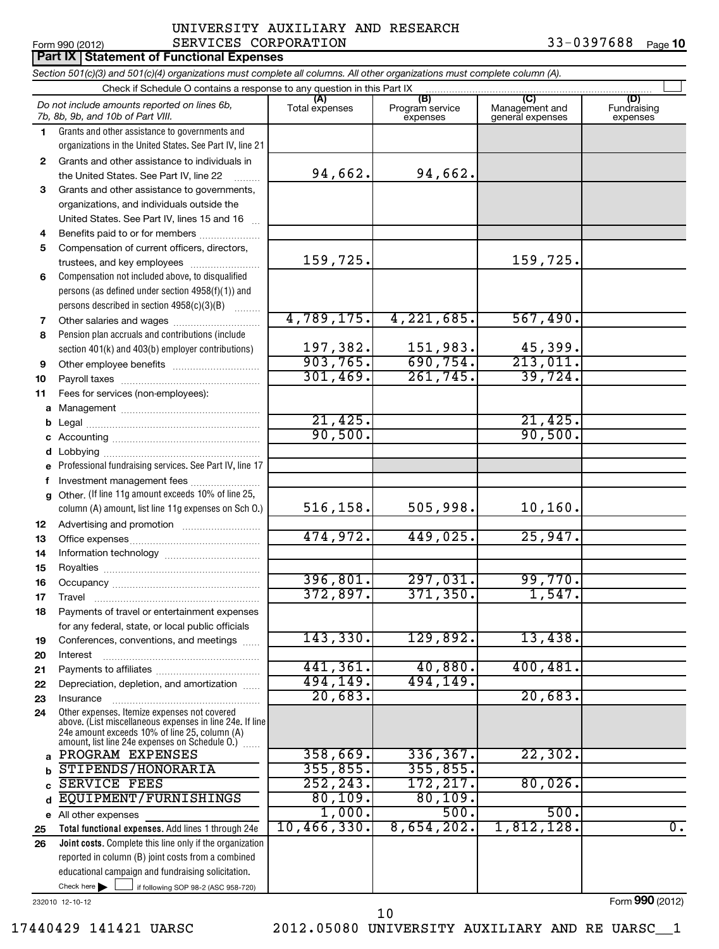## Form 990 (2012)  $SERVICES \hbox{ CORPORTION}$  33-0397688  $_{Page}$ **Part IX Statement of Functional Expenses** UNIVERSITY AUXILIARY AND RESEARCH

|                | Section 501(c)(3) and 501(c)(4) organizations must complete all columns. All other organizations must complete column (A).                                  |                       |                                    |                                    |                                |  |  |  |  |  |  |
|----------------|-------------------------------------------------------------------------------------------------------------------------------------------------------------|-----------------------|------------------------------------|------------------------------------|--------------------------------|--|--|--|--|--|--|
|                | Check if Schedule O contains a response to any question in this Part IX<br>(C)<br>(A)                                                                       |                       |                                    |                                    |                                |  |  |  |  |  |  |
|                | Do not include amounts reported on lines 6b,<br>7b, 8b, 9b, and 10b of Part VIII.                                                                           | Total expenses        | (B)<br>Program service<br>expenses | Management and<br>general expenses | (D)<br>Fundraising<br>expenses |  |  |  |  |  |  |
| $\blacksquare$ | Grants and other assistance to governments and                                                                                                              |                       |                                    |                                    |                                |  |  |  |  |  |  |
|                | organizations in the United States. See Part IV, line 21                                                                                                    |                       |                                    |                                    |                                |  |  |  |  |  |  |
| 2              | Grants and other assistance to individuals in                                                                                                               |                       |                                    |                                    |                                |  |  |  |  |  |  |
|                | the United States. See Part IV, line 22                                                                                                                     | 94,662.               | 94,662.                            |                                    |                                |  |  |  |  |  |  |
| 3              | Grants and other assistance to governments,                                                                                                                 |                       |                                    |                                    |                                |  |  |  |  |  |  |
|                | organizations, and individuals outside the                                                                                                                  |                       |                                    |                                    |                                |  |  |  |  |  |  |
|                | United States. See Part IV, lines 15 and 16                                                                                                                 |                       |                                    |                                    |                                |  |  |  |  |  |  |
| 4              | Benefits paid to or for members                                                                                                                             |                       |                                    |                                    |                                |  |  |  |  |  |  |
| 5              | Compensation of current officers, directors,                                                                                                                |                       |                                    |                                    |                                |  |  |  |  |  |  |
|                | trustees, and key employees                                                                                                                                 | 159,725.              |                                    | 159,725.                           |                                |  |  |  |  |  |  |
| 6              | Compensation not included above, to disqualified                                                                                                            |                       |                                    |                                    |                                |  |  |  |  |  |  |
|                | persons (as defined under section 4958(f)(1)) and                                                                                                           |                       |                                    |                                    |                                |  |  |  |  |  |  |
|                | persons described in section 4958(c)(3)(B)                                                                                                                  | 4,789,175.            | $\overline{4,221,685}$ .           | 567,490.                           |                                |  |  |  |  |  |  |
| 7<br>8         | Pension plan accruals and contributions (include                                                                                                            |                       |                                    |                                    |                                |  |  |  |  |  |  |
|                | section 401(k) and 403(b) employer contributions)                                                                                                           | 197, 382.             | 151,983.                           | 45,399.                            |                                |  |  |  |  |  |  |
| 9              |                                                                                                                                                             | 903, 765.             | 690, 754.                          | 213,011.                           |                                |  |  |  |  |  |  |
| 10             |                                                                                                                                                             | 301, 469.             | 261,745.                           | 39,724.                            |                                |  |  |  |  |  |  |
| 11             | Fees for services (non-employees):                                                                                                                          |                       |                                    |                                    |                                |  |  |  |  |  |  |
| а              |                                                                                                                                                             |                       |                                    |                                    |                                |  |  |  |  |  |  |
| b              |                                                                                                                                                             | 21,425.               |                                    | 21,425.                            |                                |  |  |  |  |  |  |
| c              |                                                                                                                                                             | 90,500.               |                                    | 90,500.                            |                                |  |  |  |  |  |  |
| d              |                                                                                                                                                             |                       |                                    |                                    |                                |  |  |  |  |  |  |
| e              | Professional fundraising services. See Part IV, line 17                                                                                                     |                       |                                    |                                    |                                |  |  |  |  |  |  |
| f              | Investment management fees                                                                                                                                  |                       |                                    |                                    |                                |  |  |  |  |  |  |
| g              | Other. (If line 11g amount exceeds 10% of line 25,                                                                                                          |                       |                                    |                                    |                                |  |  |  |  |  |  |
|                | column (A) amount, list line 11g expenses on Sch O.)                                                                                                        | 516, 158.             | 505,998.                           | 10,160.                            |                                |  |  |  |  |  |  |
| 12             |                                                                                                                                                             |                       |                                    |                                    |                                |  |  |  |  |  |  |
| 13             |                                                                                                                                                             | 474,972.              | 449,025.                           | 25,947.                            |                                |  |  |  |  |  |  |
| 14             |                                                                                                                                                             |                       |                                    |                                    |                                |  |  |  |  |  |  |
| 15             |                                                                                                                                                             |                       |                                    |                                    |                                |  |  |  |  |  |  |
| 16             |                                                                                                                                                             | 396,801.              | 297,031.                           | 99,770.                            |                                |  |  |  |  |  |  |
| 17             |                                                                                                                                                             | 372,897.              | 371, 350.                          | 1,547.                             |                                |  |  |  |  |  |  |
| 18             | Payments of travel or entertainment expenses                                                                                                                |                       |                                    |                                    |                                |  |  |  |  |  |  |
|                | for any federal, state, or local public officials                                                                                                           |                       |                                    |                                    |                                |  |  |  |  |  |  |
| 19             | Conferences, conventions, and meetings                                                                                                                      | 143,330.              | 129,892.                           | 13,438.                            |                                |  |  |  |  |  |  |
| 20             | Interest                                                                                                                                                    |                       |                                    |                                    |                                |  |  |  |  |  |  |
| 21             |                                                                                                                                                             | 441, 361.<br>494,149. | 40,880.<br>494,149.                | 400, 481.                          |                                |  |  |  |  |  |  |
| 22             | Depreciation, depletion, and amortization                                                                                                                   | 20,683.               |                                    | 20,683.                            |                                |  |  |  |  |  |  |
| 23             | Insurance<br>Other expenses. Itemize expenses not covered                                                                                                   |                       |                                    |                                    |                                |  |  |  |  |  |  |
| 24             | above. (List miscellaneous expenses in line 24e. If line<br>24e amount exceeds 10% of line 25, column (A)<br>amount, list line 24e expenses on Schedule O.) |                       |                                    |                                    |                                |  |  |  |  |  |  |
| a              | PROGRAM EXPENSES                                                                                                                                            | 358,669.              | 336, 367.                          | 22, 302.                           |                                |  |  |  |  |  |  |
| b              | STIPENDS/HONORARIA                                                                                                                                          | 355,855.              | 355,855.                           |                                    |                                |  |  |  |  |  |  |
| c              | <b>SERVICE FEES</b>                                                                                                                                         | 252, 243.             | 172, 217.                          | 80,026.                            |                                |  |  |  |  |  |  |
| d              | EQUIPMENT/FURNISHINGS                                                                                                                                       | 80, 109.              | 80,109.                            |                                    |                                |  |  |  |  |  |  |
| е              | All other expenses                                                                                                                                          | 1,000.                | 500.                               | 500.                               |                                |  |  |  |  |  |  |
| 25             | Total functional expenses. Add lines 1 through 24e                                                                                                          | 10,466,330.           | 8,654,202.                         | 1,812,128.                         | $\overline{0}$ .               |  |  |  |  |  |  |
| 26             | Joint costs. Complete this line only if the organization                                                                                                    |                       |                                    |                                    |                                |  |  |  |  |  |  |
|                | reported in column (B) joint costs from a combined                                                                                                          |                       |                                    |                                    |                                |  |  |  |  |  |  |
|                | educational campaign and fundraising solicitation.                                                                                                          |                       |                                    |                                    |                                |  |  |  |  |  |  |
|                | Check here<br>if following SOP 98-2 (ASC 958-720)                                                                                                           |                       |                                    |                                    |                                |  |  |  |  |  |  |

232010 12-10-12

Form **990** (2012)

17440429 141421 UARSC 2012.05080 UNIVERSITY AUXILIARY AND RE UARSC\_\_1 10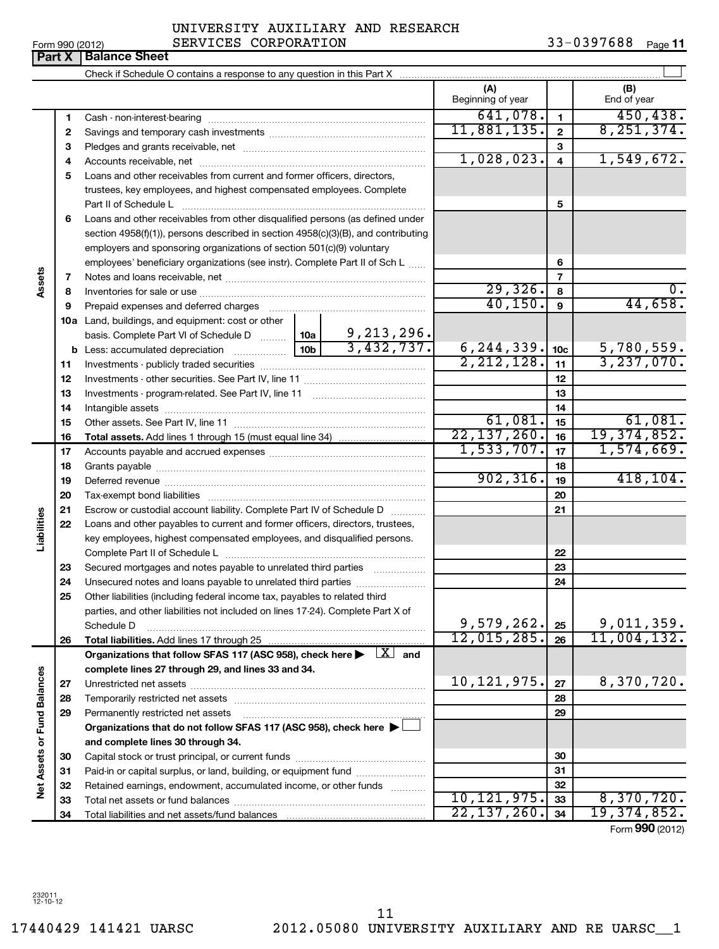|                 | UNIVERSITY AUXILIARY AND RESEARCH |            |        |
|-----------------|-----------------------------------|------------|--------|
| Form 990 (2012) | SERVICES CORPORATION              | 33-0397688 | Page 1 |

|                             |          |                                                                                                        |                               | (A)<br>Beginning of year |                         | (B)<br>End of year |
|-----------------------------|----------|--------------------------------------------------------------------------------------------------------|-------------------------------|--------------------------|-------------------------|--------------------|
|                             | 1        |                                                                                                        |                               | 641,078.                 | 1                       | 450, 438.          |
|                             | 2        |                                                                                                        |                               | 11,881,135.              | $\mathbf{2}$            | 8, 251, 374.       |
|                             | 3        |                                                                                                        |                               |                          | 3                       |                    |
|                             | 4        |                                                                                                        |                               | 1,028,023.               | $\overline{\mathbf{4}}$ | 1,549,672.         |
|                             | 5        | Loans and other receivables from current and former officers, directors,                               |                               |                          |                         |                    |
|                             |          | trustees, key employees, and highest compensated employees. Complete                                   |                               |                          |                         |                    |
|                             |          | Part II of Schedule L                                                                                  |                               |                          | 5                       |                    |
|                             | 6        | Loans and other receivables from other disqualified persons (as defined under                          |                               |                          |                         |                    |
|                             |          | section $4958(f)(1)$ , persons described in section $4958(c)(3)(B)$ , and contributing                 |                               |                          |                         |                    |
|                             |          | employers and sponsoring organizations of section 501(c)(9) voluntary                                  |                               |                          |                         |                    |
|                             |          | employees' beneficiary organizations (see instr). Complete Part II of Sch L                            |                               |                          | 6                       |                    |
| Assets                      | 7        |                                                                                                        |                               |                          | $\overline{7}$          |                    |
|                             | 8        |                                                                                                        |                               | 29,326.                  | 8                       |                    |
|                             | 9        |                                                                                                        |                               | 40, 150.                 | 9                       | 44,658.            |
|                             |          | 10a Land, buildings, and equipment: cost or other                                                      |                               |                          |                         |                    |
|                             |          | basis. Complete Part VI of Schedule D  10a                                                             | $\frac{9,213,296}{3,432,737}$ |                          |                         |                    |
|                             |          |                                                                                                        |                               | 6, 244, 339.             | 10 <sub>c</sub>         | 5,780,559.         |
|                             | 11       |                                                                                                        |                               | 2, 212, 128.             | 11                      | 3, 237, 070.       |
|                             | 12       |                                                                                                        |                               |                          | 12                      |                    |
|                             | 13       |                                                                                                        |                               |                          | 13                      |                    |
|                             | 14       |                                                                                                        |                               | 61,081.                  | 14                      | 61,081.            |
|                             | 15       |                                                                                                        |                               | 22, 137, 260.            | 15                      | 19, 374, 852.      |
|                             | 16<br>17 |                                                                                                        |                               | 1,533,707.               | 16<br>17                | 1,574,669.         |
|                             | 18       |                                                                                                        |                               | 18                       |                         |                    |
|                             | 19       |                                                                                                        |                               | 902, 316.                | 19                      | 418, 104.          |
|                             | 20       |                                                                                                        |                               |                          | 20                      |                    |
|                             | 21       | Escrow or custodial account liability. Complete Part IV of Schedule D                                  | $\overline{\phantom{a}}$      |                          | 21                      |                    |
|                             | 22       | Loans and other payables to current and former officers, directors, trustees,                          |                               |                          |                         |                    |
| abilities                   |          | key employees, highest compensated employees, and disqualified persons.                                |                               |                          |                         |                    |
|                             |          | Complete Part II of Schedule L                                                                         |                               |                          | 22                      |                    |
|                             | 23       | Secured mortgages and notes payable to unrelated third parties                                         |                               |                          | 23                      |                    |
|                             | 24       | Unsecured notes and loans payable to unrelated third parties                                           |                               |                          | 24                      |                    |
|                             | 25       | Other liabilities (including federal income tax, payables to related third                             |                               |                          |                         |                    |
|                             |          | parties, and other liabilities not included on lines 17-24). Complete Part X of                        |                               |                          |                         |                    |
|                             |          | Schedule D                                                                                             |                               | 9,579,262.]              | 25                      | 9,011,359.         |
|                             | 26       |                                                                                                        |                               | 12,015,285.              | 26                      | 11,004,132.        |
|                             |          | Organizations that follow SFAS 117 (ASC 958), check here $\blacktriangleright$ $\Box X$ and            |                               |                          |                         |                    |
|                             |          | complete lines 27 through 29, and lines 33 and 34.                                                     |                               |                          |                         |                    |
|                             | 27       | Unrestricted net assets                                                                                |                               | 10, 121, 975.            | 27                      | 8,370,720.         |
|                             | 28       |                                                                                                        |                               |                          | 28                      |                    |
|                             | 29       | Permanently restricted net assets<br>Organizations that do not follow SFAS 117 (ASC 958), check here > |                               |                          | 29                      |                    |
|                             |          | and complete lines 30 through 34.                                                                      |                               |                          |                         |                    |
| Net Assets or Fund Balances | 30       |                                                                                                        |                               |                          | 30                      |                    |
|                             | 31       | Paid-in or capital surplus, or land, building, or equipment fund                                       |                               |                          | 31                      |                    |
|                             | 32       | Retained earnings, endowment, accumulated income, or other funds                                       |                               |                          | 32                      |                    |
|                             | 33       |                                                                                                        |                               | 10, 121, 975.            | 33                      | 8,370,720.         |
|                             | 34       |                                                                                                        |                               | 22, 137, 260.            | 34                      | 19, 374, 852.      |
|                             |          |                                                                                                        |                               |                          |                         | Form 990 (2012)    |

**Part X Balance Sheet**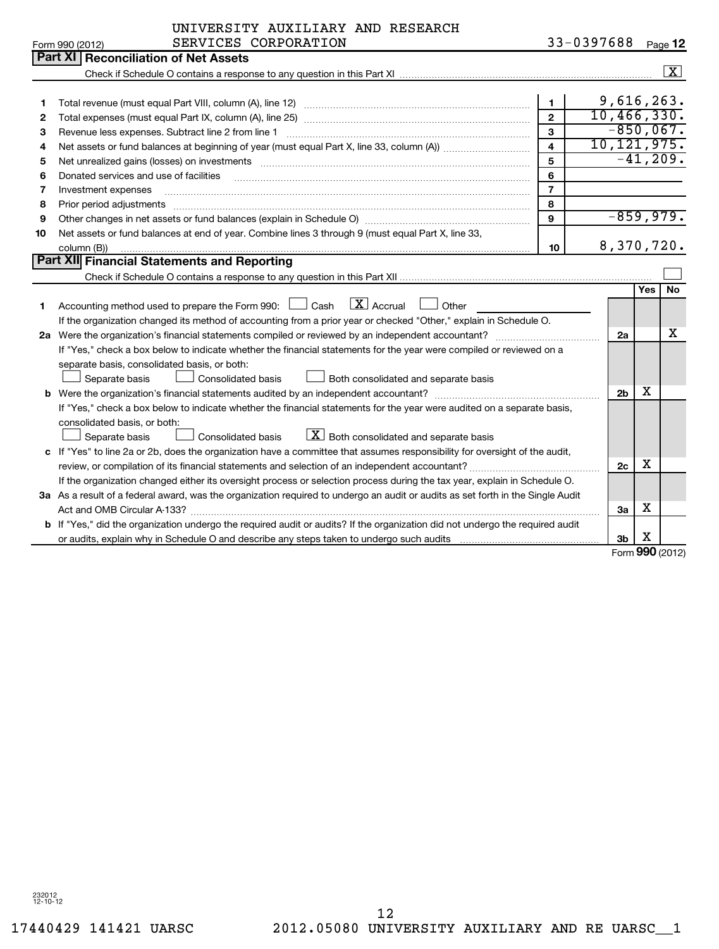**12**

|    | SERVICES CORPORATION<br>Form 990 (2012)                                                                                                                                                                                        |                | 33-0397688     |     | Page 12         |
|----|--------------------------------------------------------------------------------------------------------------------------------------------------------------------------------------------------------------------------------|----------------|----------------|-----|-----------------|
|    | Part XI   Reconciliation of Net Assets                                                                                                                                                                                         |                |                |     |                 |
|    |                                                                                                                                                                                                                                |                |                |     | $\vert x \vert$ |
|    |                                                                                                                                                                                                                                |                |                |     |                 |
| 1. |                                                                                                                                                                                                                                | $\blacksquare$ | 9,616,263.     |     |                 |
| 2  |                                                                                                                                                                                                                                | $\overline{2}$ | 10,466,330.    |     |                 |
| 3  | Revenue less expenses. Subtract line 2 from line 1                                                                                                                                                                             | 3              | $-850,067$ .   |     |                 |
| 4  |                                                                                                                                                                                                                                | $\overline{4}$ | 10, 121, 975.  |     |                 |
| 5  | Net unrealized gains (losses) on investments [11] matter in the content of the content of the content of the content of the content of the content of the content of the content of the content of the content of the content  | 5              |                |     | $-41,209.$      |
| 6  | Donated services and use of facilities                                                                                                                                                                                         | 6              |                |     |                 |
| 7  | Investment expenses                                                                                                                                                                                                            | $\overline{7}$ |                |     |                 |
| 8  | Prior period adjustments material contents and content and content and content and content and content and content and content and content and content and content and content and content and content and content and content | 8              |                |     |                 |
| 9  |                                                                                                                                                                                                                                | 9              | $-859,979.$    |     |                 |
| 10 | Net assets or fund balances at end of year. Combine lines 3 through 9 (must equal Part X, line 33,                                                                                                                             |                |                |     |                 |
|    | column (B))                                                                                                                                                                                                                    | 10             | 8,370,720.     |     |                 |
|    | Part XII Financial Statements and Reporting                                                                                                                                                                                    |                |                |     |                 |
|    |                                                                                                                                                                                                                                |                |                |     |                 |
|    |                                                                                                                                                                                                                                |                |                | Yes | <b>No</b>       |
| 1. | $\lfloor \mathbf{X} \rfloor$ Accrual<br>Accounting method used to prepare the Form 990: $\Box$ Cash<br>Other                                                                                                                   |                |                |     |                 |
|    | If the organization changed its method of accounting from a prior year or checked "Other," explain in Schedule O.                                                                                                              |                |                |     |                 |
|    | 2a Were the organization's financial statements compiled or reviewed by an independent accountant?                                                                                                                             |                | 2a             |     | x               |
|    | If "Yes," check a box below to indicate whether the financial statements for the year were compiled or reviewed on a                                                                                                           |                |                |     |                 |
|    | separate basis, consolidated basis, or both:                                                                                                                                                                                   |                |                |     |                 |
|    | Both consolidated and separate basis<br>Separate basis<br>Consolidated basis                                                                                                                                                   |                |                |     |                 |
|    |                                                                                                                                                                                                                                |                | 2 <sub>b</sub> | х   |                 |
|    | If "Yes," check a box below to indicate whether the financial statements for the year were audited on a separate basis,                                                                                                        |                |                |     |                 |
|    | consolidated basis, or both:                                                                                                                                                                                                   |                |                |     |                 |
|    | $\lfloor \underline{X} \rfloor$ Both consolidated and separate basis<br>Consolidated basis<br>Separate basis                                                                                                                   |                |                |     |                 |
| c  | If "Yes" to line 2a or 2b, does the organization have a committee that assumes responsibility for oversight of the audit,                                                                                                      |                |                |     |                 |
|    |                                                                                                                                                                                                                                |                | 2c             | х   |                 |
|    | If the organization changed either its oversight process or selection process during the tax year, explain in Schedule O.                                                                                                      |                |                |     |                 |
|    | 3a As a result of a federal award, was the organization required to undergo an audit or audits as set forth in the Single Audit                                                                                                |                |                |     |                 |
|    | Act and OMB Circular A-133?                                                                                                                                                                                                    |                | 3a             | х   |                 |
|    | <b>b</b> If "Yes," did the organization undergo the required audit or audits? If the organization did not undergo the required audit                                                                                           |                |                |     |                 |

Form **990** (2012) X

**3b**

or audits, explain why in Schedule O and describe any steps taken to undergo such audits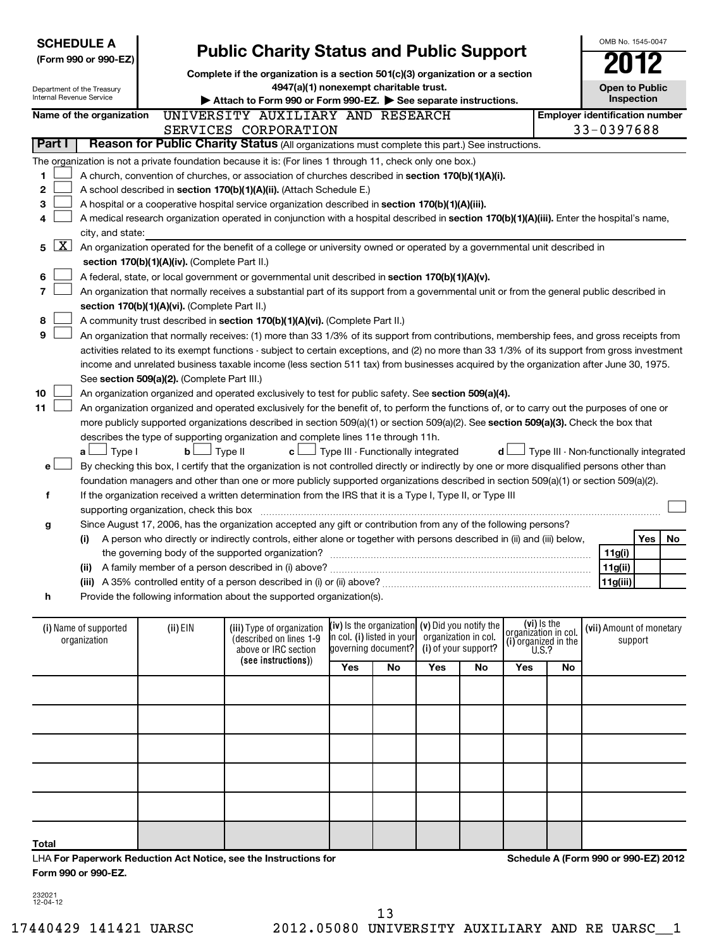| <b>SCHEDULE A</b><br><b>Public Charity Status and Public Support</b><br>(Form 990 or 990-EZ)<br>Complete if the organization is a section 501(c)(3) organization or a section<br>4947(a)(1) nonexempt charitable trust.<br>Department of the Treasury<br>Internal Revenue Service<br>Attach to Form 990 or Form 990-EZ. See separate instructions. |                                                                                                                                                                            |                                               |                                                                                                                                               |                                    |                                                                           |     | OMB No. 1545-0047<br><b>Open to Public</b><br>Inspection |                                                                      |    |                                        |                                     |    |  |
|----------------------------------------------------------------------------------------------------------------------------------------------------------------------------------------------------------------------------------------------------------------------------------------------------------------------------------------------------|----------------------------------------------------------------------------------------------------------------------------------------------------------------------------|-----------------------------------------------|-----------------------------------------------------------------------------------------------------------------------------------------------|------------------------------------|---------------------------------------------------------------------------|-----|----------------------------------------------------------|----------------------------------------------------------------------|----|----------------------------------------|-------------------------------------|----|--|
|                                                                                                                                                                                                                                                                                                                                                    | Name of the organization                                                                                                                                                   |                                               | UNIVERSITY AUXILIARY AND RESEARCH                                                                                                             |                                    |                                                                           |     |                                                          |                                                                      |    | <b>Employer identification number</b>  |                                     |    |  |
|                                                                                                                                                                                                                                                                                                                                                    |                                                                                                                                                                            |                                               | SERVICES CORPORATION                                                                                                                          |                                    |                                                                           |     |                                                          |                                                                      |    | 33-0397688                             |                                     |    |  |
| Part I                                                                                                                                                                                                                                                                                                                                             |                                                                                                                                                                            |                                               | Reason for Public Charity Status (All organizations must complete this part.) See instructions.                                               |                                    |                                                                           |     |                                                          |                                                                      |    |                                        |                                     |    |  |
|                                                                                                                                                                                                                                                                                                                                                    |                                                                                                                                                                            |                                               | The organization is not a private foundation because it is: (For lines 1 through 11, check only one box.)                                     |                                    |                                                                           |     |                                                          |                                                                      |    |                                        |                                     |    |  |
| 1                                                                                                                                                                                                                                                                                                                                                  |                                                                                                                                                                            |                                               |                                                                                                                                               |                                    |                                                                           |     |                                                          |                                                                      |    |                                        |                                     |    |  |
| 2                                                                                                                                                                                                                                                                                                                                                  | A church, convention of churches, or association of churches described in section 170(b)(1)(A)(i).<br>A school described in section 170(b)(1)(A)(ii). (Attach Schedule E.) |                                               |                                                                                                                                               |                                    |                                                                           |     |                                                          |                                                                      |    |                                        |                                     |    |  |
| з                                                                                                                                                                                                                                                                                                                                                  |                                                                                                                                                                            |                                               | A hospital or a cooperative hospital service organization described in section 170(b)(1)(A)(iii).                                             |                                    |                                                                           |     |                                                          |                                                                      |    |                                        |                                     |    |  |
| 4                                                                                                                                                                                                                                                                                                                                                  |                                                                                                                                                                            |                                               | A medical research organization operated in conjunction with a hospital described in section 170(b)(1)(A)(iii). Enter the hospital's name,    |                                    |                                                                           |     |                                                          |                                                                      |    |                                        |                                     |    |  |
|                                                                                                                                                                                                                                                                                                                                                    | city, and state:                                                                                                                                                           |                                               |                                                                                                                                               |                                    |                                                                           |     |                                                          |                                                                      |    |                                        |                                     |    |  |
| <u>x  </u><br>5                                                                                                                                                                                                                                                                                                                                    |                                                                                                                                                                            |                                               | An organization operated for the benefit of a college or university owned or operated by a governmental unit described in                     |                                    |                                                                           |     |                                                          |                                                                      |    |                                        |                                     |    |  |
|                                                                                                                                                                                                                                                                                                                                                    |                                                                                                                                                                            | section 170(b)(1)(A)(iv). (Complete Part II.) |                                                                                                                                               |                                    |                                                                           |     |                                                          |                                                                      |    |                                        |                                     |    |  |
| 6                                                                                                                                                                                                                                                                                                                                                  |                                                                                                                                                                            |                                               | A federal, state, or local government or governmental unit described in section 170(b)(1)(A)(v).                                              |                                    |                                                                           |     |                                                          |                                                                      |    |                                        |                                     |    |  |
| 7                                                                                                                                                                                                                                                                                                                                                  |                                                                                                                                                                            |                                               | An organization that normally receives a substantial part of its support from a governmental unit or from the general public described in     |                                    |                                                                           |     |                                                          |                                                                      |    |                                        |                                     |    |  |
|                                                                                                                                                                                                                                                                                                                                                    |                                                                                                                                                                            | section 170(b)(1)(A)(vi). (Complete Part II.) |                                                                                                                                               |                                    |                                                                           |     |                                                          |                                                                      |    |                                        |                                     |    |  |
| 8                                                                                                                                                                                                                                                                                                                                                  |                                                                                                                                                                            |                                               | A community trust described in section 170(b)(1)(A)(vi). (Complete Part II.)                                                                  |                                    |                                                                           |     |                                                          |                                                                      |    |                                        |                                     |    |  |
| 9                                                                                                                                                                                                                                                                                                                                                  |                                                                                                                                                                            |                                               | An organization that normally receives: (1) more than 33 1/3% of its support from contributions, membership fees, and gross receipts from     |                                    |                                                                           |     |                                                          |                                                                      |    |                                        |                                     |    |  |
|                                                                                                                                                                                                                                                                                                                                                    |                                                                                                                                                                            |                                               | activities related to its exempt functions - subject to certain exceptions, and (2) no more than 33 1/3% of its support from gross investment |                                    |                                                                           |     |                                                          |                                                                      |    |                                        |                                     |    |  |
|                                                                                                                                                                                                                                                                                                                                                    |                                                                                                                                                                            |                                               | income and unrelated business taxable income (less section 511 tax) from businesses acquired by the organization after June 30, 1975.         |                                    |                                                                           |     |                                                          |                                                                      |    |                                        |                                     |    |  |
|                                                                                                                                                                                                                                                                                                                                                    |                                                                                                                                                                            | See section 509(a)(2). (Complete Part III.)   |                                                                                                                                               |                                    |                                                                           |     |                                                          |                                                                      |    |                                        |                                     |    |  |
| 10                                                                                                                                                                                                                                                                                                                                                 |                                                                                                                                                                            |                                               | An organization organized and operated exclusively to test for public safety. See section 509(a)(4).                                          |                                    |                                                                           |     |                                                          |                                                                      |    |                                        |                                     |    |  |
| 11                                                                                                                                                                                                                                                                                                                                                 |                                                                                                                                                                            |                                               | An organization organized and operated exclusively for the benefit of, to perform the functions of, or to carry out the purposes of one or    |                                    |                                                                           |     |                                                          |                                                                      |    |                                        |                                     |    |  |
|                                                                                                                                                                                                                                                                                                                                                    |                                                                                                                                                                            |                                               | more publicly supported organizations described in section 509(a)(1) or section 509(a)(2). See section 509(a)(3). Check the box that          |                                    |                                                                           |     |                                                          |                                                                      |    |                                        |                                     |    |  |
|                                                                                                                                                                                                                                                                                                                                                    |                                                                                                                                                                            |                                               | describes the type of supporting organization and complete lines 11e through 11h.                                                             |                                    |                                                                           |     |                                                          |                                                                      |    |                                        |                                     |    |  |
|                                                                                                                                                                                                                                                                                                                                                    | $\Box$ Type I<br>a L                                                                                                                                                       | bl                                            | J Type II<br>c l                                                                                                                              | Type III - Functionally integrated |                                                                           |     |                                                          | d l                                                                  |    | Type III - Non-functionally integrated |                                     |    |  |
| e۱                                                                                                                                                                                                                                                                                                                                                 |                                                                                                                                                                            |                                               | By checking this box, I certify that the organization is not controlled directly or indirectly by one or more disqualified persons other than |                                    |                                                                           |     |                                                          |                                                                      |    |                                        |                                     |    |  |
|                                                                                                                                                                                                                                                                                                                                                    |                                                                                                                                                                            |                                               | foundation managers and other than one or more publicly supported organizations described in section 509(a)(1) or section 509(a)(2).          |                                    |                                                                           |     |                                                          |                                                                      |    |                                        |                                     |    |  |
| f                                                                                                                                                                                                                                                                                                                                                  |                                                                                                                                                                            |                                               | If the organization received a written determination from the IRS that it is a Type I, Type II, or Type III                                   |                                    |                                                                           |     |                                                          |                                                                      |    |                                        |                                     |    |  |
|                                                                                                                                                                                                                                                                                                                                                    |                                                                                                                                                                            | supporting organization, check this box       |                                                                                                                                               |                                    |                                                                           |     |                                                          |                                                                      |    |                                        |                                     |    |  |
|                                                                                                                                                                                                                                                                                                                                                    |                                                                                                                                                                            |                                               | Since August 17, 2006, has the organization accepted any gift or contribution from any of the following persons?                              |                                    |                                                                           |     |                                                          |                                                                      |    |                                        |                                     |    |  |
| g                                                                                                                                                                                                                                                                                                                                                  |                                                                                                                                                                            |                                               |                                                                                                                                               |                                    |                                                                           |     |                                                          |                                                                      |    |                                        | Yes                                 | No |  |
|                                                                                                                                                                                                                                                                                                                                                    | (i)                                                                                                                                                                        |                                               | A person who directly or indirectly controls, either alone or together with persons described in (ii) and (iii) below,                        |                                    |                                                                           |     |                                                          |                                                                      |    |                                        |                                     |    |  |
|                                                                                                                                                                                                                                                                                                                                                    |                                                                                                                                                                            |                                               |                                                                                                                                               |                                    |                                                                           |     |                                                          |                                                                      |    | 11g(i)<br>11g(ii)                      |                                     |    |  |
|                                                                                                                                                                                                                                                                                                                                                    |                                                                                                                                                                            |                                               | (ii) A family member of a person described in (i) above?                                                                                      |                                    |                                                                           |     |                                                          |                                                                      |    |                                        |                                     |    |  |
|                                                                                                                                                                                                                                                                                                                                                    |                                                                                                                                                                            |                                               | Provide the following information about the supported organization(s).                                                                        |                                    |                                                                           |     |                                                          |                                                                      |    | 11g(iii)                               |                                     |    |  |
| h                                                                                                                                                                                                                                                                                                                                                  |                                                                                                                                                                            |                                               |                                                                                                                                               |                                    |                                                                           |     |                                                          |                                                                      |    |                                        |                                     |    |  |
|                                                                                                                                                                                                                                                                                                                                                    | (i) Name of supported<br>organization                                                                                                                                      | (ii) EIN                                      | (iii) Type of organization<br>(described on lines 1-9<br>above or IRC section                                                                 | in col. (i) listed in your         | (iv) is the organization $(v)$ Did you notify the<br>laovernina document? |     | organization in col.<br>(i) of your support?             | (vi) is the<br>organizátion in col.<br>(i) organized in the $U.S.$ ? |    |                                        | (vii) Amount of monetary<br>support |    |  |
|                                                                                                                                                                                                                                                                                                                                                    |                                                                                                                                                                            |                                               | (see instructions))                                                                                                                           | Yes                                | No                                                                        | Yes | No                                                       | Yes                                                                  | No |                                        |                                     |    |  |
|                                                                                                                                                                                                                                                                                                                                                    |                                                                                                                                                                            |                                               |                                                                                                                                               |                                    |                                                                           |     |                                                          |                                                                      |    |                                        |                                     |    |  |
|                                                                                                                                                                                                                                                                                                                                                    |                                                                                                                                                                            |                                               |                                                                                                                                               |                                    |                                                                           |     |                                                          |                                                                      |    |                                        |                                     |    |  |
|                                                                                                                                                                                                                                                                                                                                                    |                                                                                                                                                                            |                                               |                                                                                                                                               |                                    |                                                                           |     |                                                          |                                                                      |    |                                        |                                     |    |  |
|                                                                                                                                                                                                                                                                                                                                                    |                                                                                                                                                                            |                                               |                                                                                                                                               |                                    |                                                                           |     |                                                          |                                                                      |    |                                        |                                     |    |  |
|                                                                                                                                                                                                                                                                                                                                                    |                                                                                                                                                                            |                                               |                                                                                                                                               |                                    |                                                                           |     |                                                          |                                                                      |    |                                        |                                     |    |  |
|                                                                                                                                                                                                                                                                                                                                                    |                                                                                                                                                                            |                                               |                                                                                                                                               |                                    |                                                                           |     |                                                          |                                                                      |    |                                        |                                     |    |  |
|                                                                                                                                                                                                                                                                                                                                                    |                                                                                                                                                                            |                                               |                                                                                                                                               |                                    |                                                                           |     |                                                          |                                                                      |    |                                        |                                     |    |  |

| Total                                                            |  |  |
|------------------------------------------------------------------|--|--|
| LHA For Paperwork Reduction Act Notice, see the Instructions for |  |  |
| Form 990 or 990-EZ.                                              |  |  |

**Schedule A (Form 990 or 990-EZ) 2012**

232021 12-04-12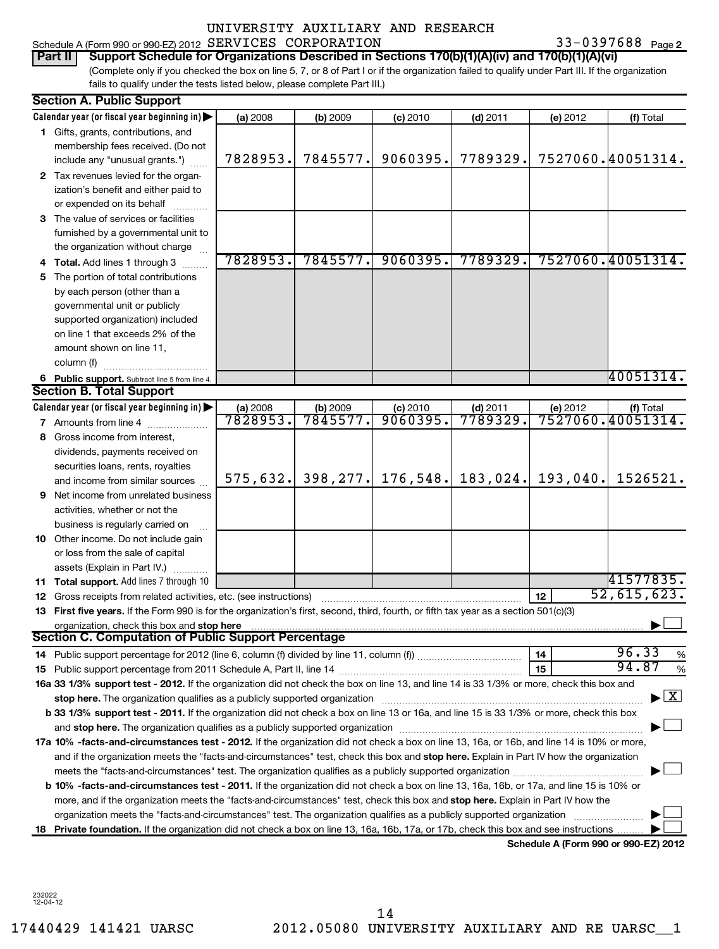## UNIVERSITY AUXILIARY AND RESEARCH SERVICES CORPORATION 33-0397688

| Part II   Support Schedule for Organizations Described in Sections 170(b)(1)(A)(iv) and 170(b)(1)(A)(vi)                                        |
|-------------------------------------------------------------------------------------------------------------------------------------------------|
| (Complete only if you checked the box on line 5, 7, or 8 of Part I or if the organization failed to qualify under Part III. If the organization |
| fails to qualify under the tests listed below, please complete Part III.)                                                                       |

|    | <b>Section A. Public Support</b>                                                                                                                                                                                                                                                             |          |           |            |            |          |                                          |
|----|----------------------------------------------------------------------------------------------------------------------------------------------------------------------------------------------------------------------------------------------------------------------------------------------|----------|-----------|------------|------------|----------|------------------------------------------|
|    | Calendar year (or fiscal year beginning in)                                                                                                                                                                                                                                                  | (a) 2008 | (b) 2009  | (c) 2010   | $(d)$ 2011 | (e) 2012 | (f) Total                                |
|    | 1 Gifts, grants, contributions, and                                                                                                                                                                                                                                                          |          |           |            |            |          |                                          |
|    | membership fees received. (Do not                                                                                                                                                                                                                                                            |          |           |            |            |          |                                          |
|    | include any "unusual grants.")                                                                                                                                                                                                                                                               | 7828953. | 7845577.  | 9060395.   | 7789329.   |          | 7527060.40051314.                        |
|    | 2 Tax revenues levied for the organ-                                                                                                                                                                                                                                                         |          |           |            |            |          |                                          |
|    | ization's benefit and either paid to                                                                                                                                                                                                                                                         |          |           |            |            |          |                                          |
|    | or expended on its behalf                                                                                                                                                                                                                                                                    |          |           |            |            |          |                                          |
|    | 3 The value of services or facilities                                                                                                                                                                                                                                                        |          |           |            |            |          |                                          |
|    | furnished by a governmental unit to                                                                                                                                                                                                                                                          |          |           |            |            |          |                                          |
|    | the organization without charge                                                                                                                                                                                                                                                              |          |           |            |            |          |                                          |
|    | 4 Total. Add lines 1 through 3                                                                                                                                                                                                                                                               | 7828953. | 7845577.  | 9060395.   | 7789329.   |          | 7527060.40051314.                        |
| 5. | The portion of total contributions                                                                                                                                                                                                                                                           |          |           |            |            |          |                                          |
|    | by each person (other than a                                                                                                                                                                                                                                                                 |          |           |            |            |          |                                          |
|    | governmental unit or publicly                                                                                                                                                                                                                                                                |          |           |            |            |          |                                          |
|    | supported organization) included                                                                                                                                                                                                                                                             |          |           |            |            |          |                                          |
|    | on line 1 that exceeds 2% of the                                                                                                                                                                                                                                                             |          |           |            |            |          |                                          |
|    | amount shown on line 11,                                                                                                                                                                                                                                                                     |          |           |            |            |          |                                          |
|    | column (f)                                                                                                                                                                                                                                                                                   |          |           |            |            |          |                                          |
|    | 6 Public support. Subtract line 5 from line 4.                                                                                                                                                                                                                                               |          |           |            |            |          | 40051314.                                |
|    | <b>Section B. Total Support</b>                                                                                                                                                                                                                                                              |          |           |            |            |          |                                          |
|    | Calendar year (or fiscal year beginning in)                                                                                                                                                                                                                                                  | (a) 2008 | (b) 2009  | $(c)$ 2010 | (d) 2011   | (e) 2012 | (f) Total                                |
|    | <b>7</b> Amounts from line 4                                                                                                                                                                                                                                                                 | 7828953  | 7845577.  | 9060395    | 7789329.   |          | 7527060.40051314.                        |
| 8  | Gross income from interest,                                                                                                                                                                                                                                                                  |          |           |            |            |          |                                          |
|    | dividends, payments received on                                                                                                                                                                                                                                                              |          |           |            |            |          |                                          |
|    | securities loans, rents, royalties                                                                                                                                                                                                                                                           |          |           |            |            |          |                                          |
|    | and income from similar sources                                                                                                                                                                                                                                                              | 575,632. | 398, 277. | 176,548.   | 183,024.   | 193,040. | 1526521.                                 |
| 9. | Net income from unrelated business                                                                                                                                                                                                                                                           |          |           |            |            |          |                                          |
|    | activities, whether or not the                                                                                                                                                                                                                                                               |          |           |            |            |          |                                          |
|    | business is regularly carried on                                                                                                                                                                                                                                                             |          |           |            |            |          |                                          |
|    | 10 Other income. Do not include gain                                                                                                                                                                                                                                                         |          |           |            |            |          |                                          |
|    | or loss from the sale of capital                                                                                                                                                                                                                                                             |          |           |            |            |          |                                          |
|    | assets (Explain in Part IV.)                                                                                                                                                                                                                                                                 |          |           |            |            |          |                                          |
|    | 11 Total support. Add lines 7 through 10                                                                                                                                                                                                                                                     |          |           |            |            |          | 41577835.                                |
|    | <b>12</b> Gross receipts from related activities, etc. (see instructions)                                                                                                                                                                                                                    |          |           |            |            | 12       | 52,615,623.                              |
|    | 13 First five years. If the Form 990 is for the organization's first, second, third, fourth, or fifth tax year as a section 501(c)(3)                                                                                                                                                        |          |           |            |            |          |                                          |
|    | organization, check this box and stop here manufactured and stop here are all the manufactured and stop here are all the manufactured and stop here are all the manufactured and stop here are all the manufactured and stop h<br><b>Section C. Computation of Public Support Percentage</b> |          |           |            |            |          |                                          |
|    |                                                                                                                                                                                                                                                                                              |          |           |            |            |          |                                          |
|    |                                                                                                                                                                                                                                                                                              |          |           |            |            | 14       | 96.33<br>$\%$<br>94.87                   |
|    |                                                                                                                                                                                                                                                                                              |          |           |            |            | 15       | $\%$                                     |
|    | 16a 33 1/3% support test - 2012. If the organization did not check the box on line 13, and line 14 is 33 1/3% or more, check this box and                                                                                                                                                    |          |           |            |            |          | $\blacktriangleright$ $\boxed{\text{X}}$ |
|    | stop here. The organization qualifies as a publicly supported organization manufaction manufacture content and the supported or an annufacture manufacture content and the supported or state in the state of the state of the                                                               |          |           |            |            |          |                                          |
|    | b 33 1/3% support test - 2011. If the organization did not check a box on line 13 or 16a, and line 15 is 33 1/3% or more, check this box                                                                                                                                                     |          |           |            |            |          |                                          |
|    |                                                                                                                                                                                                                                                                                              |          |           |            |            |          |                                          |
|    | 17a 10% -facts-and-circumstances test - 2012. If the organization did not check a box on line 13, 16a, or 16b, and line 14 is 10% or more,                                                                                                                                                   |          |           |            |            |          |                                          |
|    | and if the organization meets the "facts-and-circumstances" test, check this box and stop here. Explain in Part IV how the organization                                                                                                                                                      |          |           |            |            |          |                                          |
|    |                                                                                                                                                                                                                                                                                              |          |           |            |            |          |                                          |
|    | <b>b 10% -facts-and-circumstances test - 2011.</b> If the organization did not check a box on line 13, 16a, 16b, or 17a, and line 15 is 10% or                                                                                                                                               |          |           |            |            |          |                                          |
|    | more, and if the organization meets the "facts-and-circumstances" test, check this box and stop here. Explain in Part IV how the                                                                                                                                                             |          |           |            |            |          |                                          |
|    | organization meets the "facts-and-circumstances" test. The organization qualifies as a publicly supported organization<br>18 Private foundation. If the organization did not check a box on line 13, 16a, 16b, 17a, or 17b, check this box and see instructions                              |          |           |            |            |          |                                          |
|    |                                                                                                                                                                                                                                                                                              |          |           |            |            |          | Schedule A (Form 990 or 990-EZ) 2012     |
|    |                                                                                                                                                                                                                                                                                              |          |           |            |            |          |                                          |

232022 12-04-12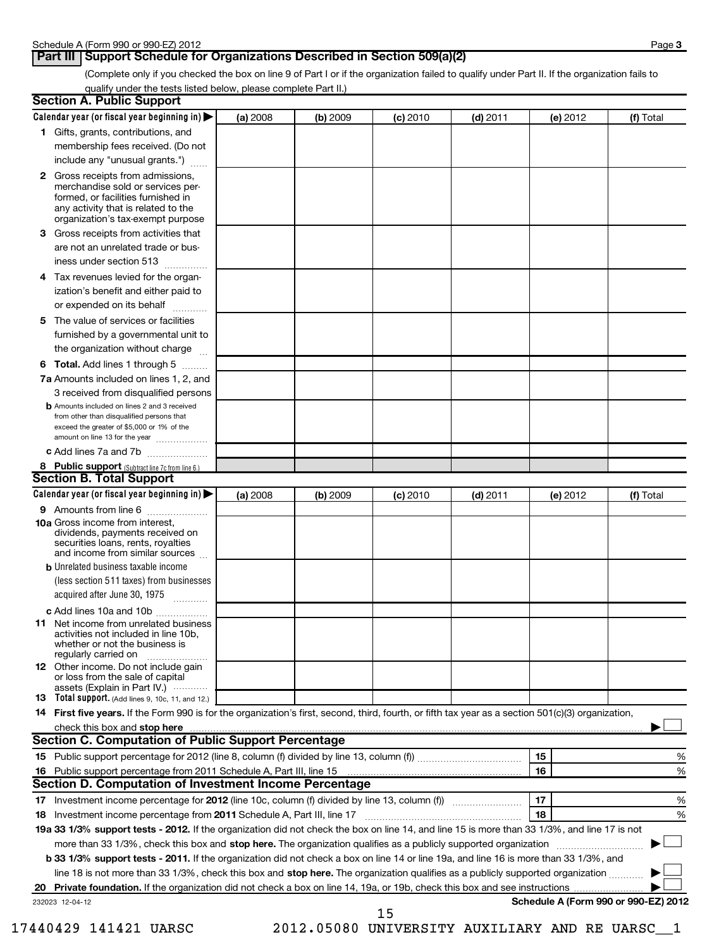## **Part III Support Schedule for Organizations Described in Section 509(a)(2)**

(Complete only if you checked the box on line 9 of Part I or if the organization failed to qualify under Part II. If the organization fails to qualify under the tests listed below, please complete Part II.)

| <b>Section A. Public Support</b>                                                                                                                                                                                               |          |          |            |            |          |                                      |
|--------------------------------------------------------------------------------------------------------------------------------------------------------------------------------------------------------------------------------|----------|----------|------------|------------|----------|--------------------------------------|
| Calendar year (or fiscal year beginning in)                                                                                                                                                                                    | (a) 2008 | (b) 2009 | $(c)$ 2010 | $(d)$ 2011 | (e) 2012 | (f) Total                            |
| 1 Gifts, grants, contributions, and                                                                                                                                                                                            |          |          |            |            |          |                                      |
| membership fees received. (Do not                                                                                                                                                                                              |          |          |            |            |          |                                      |
| include any "unusual grants.")                                                                                                                                                                                                 |          |          |            |            |          |                                      |
| <b>2</b> Gross receipts from admissions,<br>merchandise sold or services per-<br>formed, or facilities furnished in<br>any activity that is related to the<br>organization's tax-exempt purpose                                |          |          |            |            |          |                                      |
| 3 Gross receipts from activities that<br>are not an unrelated trade or bus-                                                                                                                                                    |          |          |            |            |          |                                      |
| iness under section 513                                                                                                                                                                                                        |          |          |            |            |          |                                      |
| Tax revenues levied for the organ-<br>4<br>ization's benefit and either paid to<br>or expended on its behalf                                                                                                                   |          |          |            |            |          |                                      |
| 5 The value of services or facilities                                                                                                                                                                                          |          |          |            |            |          |                                      |
| furnished by a governmental unit to<br>the organization without charge                                                                                                                                                         |          |          |            |            |          |                                      |
| <b>6 Total.</b> Add lines 1 through 5                                                                                                                                                                                          |          |          |            |            |          |                                      |
| 7a Amounts included on lines 1, 2, and<br>3 received from disqualified persons                                                                                                                                                 |          |          |            |            |          |                                      |
| <b>b</b> Amounts included on lines 2 and 3 received<br>from other than disqualified persons that<br>exceed the greater of \$5,000 or 1% of the<br>amount on line 13 for the year                                               |          |          |            |            |          |                                      |
| c Add lines 7a and 7b                                                                                                                                                                                                          |          |          |            |            |          |                                      |
| 8 Public support (Subtract line 7c from line 6.)                                                                                                                                                                               |          |          |            |            |          |                                      |
| <b>Section B. Total Support</b>                                                                                                                                                                                                |          |          |            |            |          |                                      |
| Calendar year (or fiscal year beginning in)                                                                                                                                                                                    | (a) 2008 | (b) 2009 | (c) 2010   | $(d)$ 2011 | (e) 2012 | (f) Total                            |
| 9 Amounts from line 6<br><b>10a</b> Gross income from interest,<br>dividends, payments received on<br>securities loans, rents, royalties                                                                                       |          |          |            |            |          |                                      |
| and income from similar sources                                                                                                                                                                                                |          |          |            |            |          |                                      |
| <b>b</b> Unrelated business taxable income<br>(less section 511 taxes) from businesses<br>acquired after June 30, 1975<br>$\overline{\phantom{a}}$                                                                             |          |          |            |            |          |                                      |
| c Add lines 10a and 10b                                                                                                                                                                                                        |          |          |            |            |          |                                      |
| <b>11</b> Net income from unrelated business<br>activities not included in line 10b,<br>whether or not the business is<br>regularly carried on                                                                                 |          |          |            |            |          |                                      |
| 12 Other income. Do not include gain<br>or loss from the sale of capital<br>assets (Explain in Part IV.)                                                                                                                       |          |          |            |            |          |                                      |
| <b>13</b> Total support. (Add lines 9, 10c, 11, and 12.)                                                                                                                                                                       |          |          |            |            |          |                                      |
| 14 First five years. If the Form 990 is for the organization's first, second, third, fourth, or fifth tax year as a section 501(c)(3) organization,                                                                            |          |          |            |            |          |                                      |
| check this box and stop here manufactured and content to the state of the state of the state of the state of the state of the state of the state of the state of the state of the state of the state of the state of the state |          |          |            |            |          |                                      |
| Section C. Computation of Public Support Percentage                                                                                                                                                                            |          |          |            |            |          |                                      |
|                                                                                                                                                                                                                                |          |          |            |            | 15       | %                                    |
| Section D. Computation of Investment Income Percentage                                                                                                                                                                         |          |          |            |            | 16       | %                                    |
|                                                                                                                                                                                                                                |          |          |            |            | 17       |                                      |
| 18 Investment income percentage from 2011 Schedule A, Part III, line 17                                                                                                                                                        |          |          |            |            | 18       | %<br>%                               |
| 19a 33 1/3% support tests - 2012. If the organization did not check the box on line 14, and line 15 is more than 33 1/3%, and line 17 is not                                                                                   |          |          |            |            |          |                                      |
| more than 33 1/3%, check this box and stop here. The organization qualifies as a publicly supported organization                                                                                                               |          |          |            |            |          |                                      |
| b 33 1/3% support tests - 2011. If the organization did not check a box on line 14 or line 19a, and line 16 is more than 33 1/3%, and                                                                                          |          |          |            |            |          |                                      |
| line 18 is not more than 33 1/3%, check this box and stop here. The organization qualifies as a publicly supported organization                                                                                                |          |          |            |            |          |                                      |
| 20                                                                                                                                                                                                                             |          |          |            |            |          |                                      |
| 232023 12-04-12                                                                                                                                                                                                                |          |          |            |            |          | Schedule A (Form 990 or 990-EZ) 2012 |
|                                                                                                                                                                                                                                |          |          | 15         |            |          |                                      |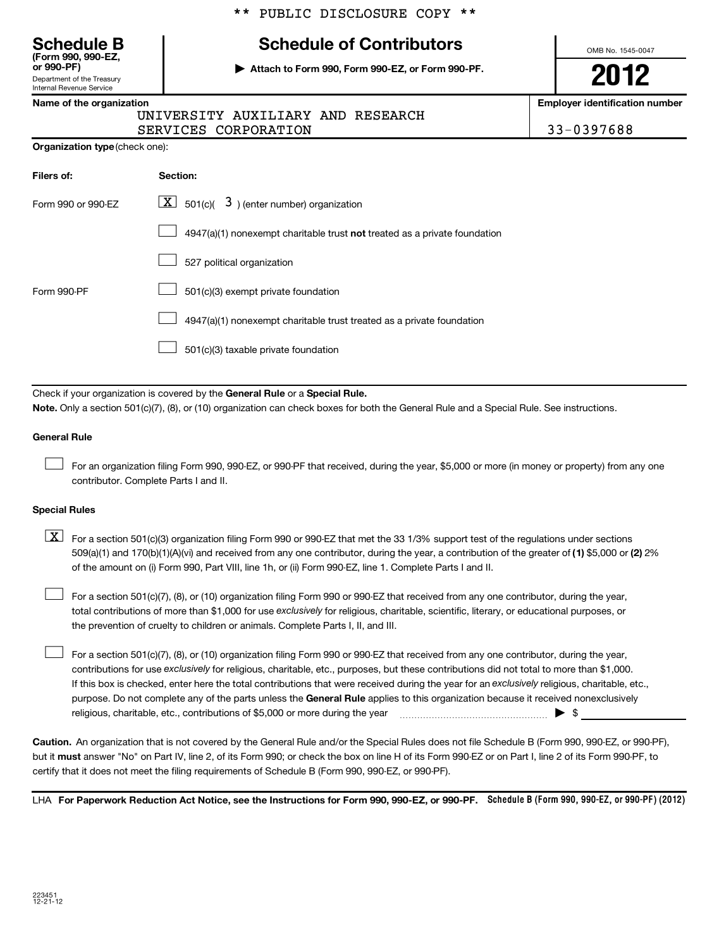# **(Form 990, 990-EZ,**

Department of the Treasury

## Internal Revenue Service

## **Schedule B Schedule of Contributors**

**or 990-PF) | Attach to Form 990, Form 990-EZ, or Form 990-PF.**

OMB No. 1545-0047

**2012**

**Name of the organization Employer identification number**

| .                                 |  |  |
|-----------------------------------|--|--|
| UNIVERSITY AUXILIARY AND RESEARCH |  |  |

SERVICES CORPORATION 833-0397688

**Organization type** (check one):

| Filers of:         | <b>Section:</b>                                                           |
|--------------------|---------------------------------------------------------------------------|
| Form 990 or 990-FZ | $\lfloor \underline{X} \rfloor$ 501(c)( 3) (enter number) organization    |
|                    | 4947(a)(1) nonexempt charitable trust not treated as a private foundation |
|                    | 527 political organization                                                |
| Form 990-PF        | 501(c)(3) exempt private foundation                                       |
|                    | 4947(a)(1) nonexempt charitable trust treated as a private foundation     |
|                    | 501(c)(3) taxable private foundation                                      |

Check if your organization is covered by the General Rule or a Special Rule. **Note.**  Only a section 501(c)(7), (8), or (10) organization can check boxes for both the General Rule and a Special Rule. See instructions.

## **General Rule**

For an organization filing Form 990, 990-EZ, or 990-PF that received, during the year, \$5,000 or more (in money or property) from any one contributor. Complete Parts I and II.  $\left\vert \cdot\right\vert$ 

## **Special Rules**

509(a)(1) and 170(b)(1)(A)(vi) and received from any one contributor, during the year, a contribution of the greater of (1**)** \$5,000 or (**2**) 2%  $\boxed{\textbf{X}}$  For a section 501(c)(3) organization filing Form 990 or 990-EZ that met the 33 1/3% support test of the regulations under sections of the amount on (i) Form 990, Part VIII, line 1h, or (ii) Form 990-EZ, line 1. Complete Parts I and II.

total contributions of more than \$1,000 for use exclusively for religious, charitable, scientific, literary, or educational purposes, or For a section 501(c)(7), (8), or (10) organization filing Form 990 or 990-EZ that received from any one contributor, during the year, the prevention of cruelty to children or animals. Complete Parts I, II, and III.  $\left\vert \cdot\right\vert$ 

purpose. Do not complete any of the parts unless the General Rule applies to this organization because it received nonexclusively contributions for use exclusively for religious, charitable, etc., purposes, but these contributions did not total to more than \$1,000. If this box is checked, enter here the total contributions that were received during the year for an exclusively religious, charitable, etc., For a section 501(c)(7), (8), or (10) organization filing Form 990 or 990-EZ that received from any one contributor, during the year, religious, charitable, etc., contributions of \$5,000 or more during the year  $\ldots$   $\ldots$   $\ldots$   $\ldots$   $\ldots$   $\ldots$   $\ldots$   $\ldots$   $\blacktriangleright$   $\uparrow$  $\left\vert \cdot\right\vert$ 

**Caution.** An organization that is not covered by the General Rule and/or the Special Rules does not file Schedule B (Form 990, 990-EZ, or 990-PF), but it **must** answer "No" on Part IV, line 2, of its Form 990; or check the box on line H of its Form 990-EZ or on Part I, line 2 of its Form 990-PF, to certify that it does not meet the filing requirements of Schedule B (Form 990, 990-EZ, or 990-PF).

LHA For Paperwork Reduction Act Notice, see the Instructions for Form 990, 990-EZ, or 990-PF. Schedule B (Form 990, 990-EZ, or 990-PF) (2012)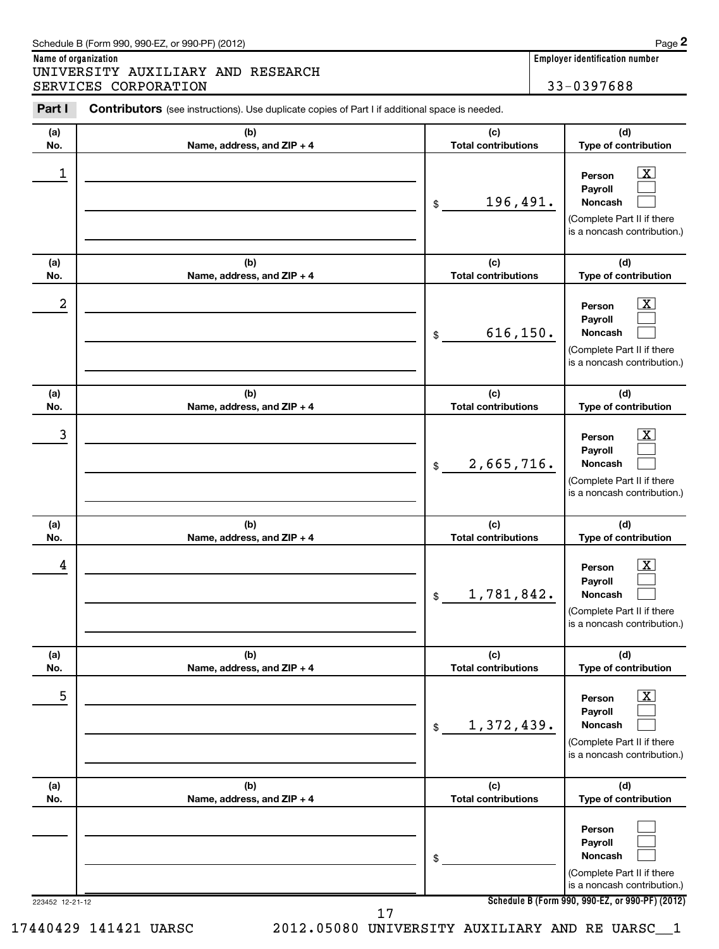| (a)<br>No.      | (b)<br>Name, address, and ZIP + 4                                             | (c)<br><b>Total contributions</b> | (d)<br>Type of contribution                                                                                                                  |  |  |
|-----------------|-------------------------------------------------------------------------------|-----------------------------------|----------------------------------------------------------------------------------------------------------------------------------------------|--|--|
| 1               |                                                                               | 196,491.<br>\$                    | $\overline{\mathbf{X}}$<br>Person<br>Payroll<br><b>Noncash</b><br>(Complete Part II if there<br>is a noncash contribution.)                  |  |  |
| (a)<br>No.      | (b)<br>Name, address, and ZIP + 4                                             | (c)<br><b>Total contributions</b> | (d)<br>Type of contribution                                                                                                                  |  |  |
| 2               |                                                                               | 616, 150.<br>\$                   | $\overline{\mathbf{X}}$<br>Person<br>Payroll<br>Noncash<br>(Complete Part II if there<br>is a noncash contribution.)                         |  |  |
| (a)<br>No.      | (b)<br>Name, address, and ZIP + 4                                             | (c)<br><b>Total contributions</b> | (d)<br>Type of contribution                                                                                                                  |  |  |
| 3               |                                                                               | 2,665,716.<br>\$                  | $\overline{\text{X}}$<br>Person<br>Payroll<br>Noncash<br>(Complete Part II if there<br>is a noncash contribution.)                           |  |  |
| (a)<br>No.      | (b)<br>Name, address, and ZIP + 4                                             | (c)<br><b>Total contributions</b> | (d)<br>Type of contribution                                                                                                                  |  |  |
| 4               |                                                                               | 1,781,842.<br>$$\mathbb{S}$$      | $\overline{\text{X}}$<br>Person<br>Payroll<br><b>Noncash</b><br>(Complete Part II if there<br>is a noncash contribution.)                    |  |  |
| (a)<br>No.      | (b)<br>Name, address, and ZIP + 4                                             | (c)<br><b>Total contributions</b> | (d)<br>Type of contribution                                                                                                                  |  |  |
| 5               |                                                                               | 1,372,439.<br>\$                  | $\boxed{\text{X}}$<br>Person<br>Payroll<br>Noncash<br>(Complete Part II if there<br>is a noncash contribution.)                              |  |  |
| (a)<br>No.      | (b)<br>Name, address, and ZIP + 4                                             | (c)<br><b>Total contributions</b> | (d)<br>Type of contribution                                                                                                                  |  |  |
|                 |                                                                               | \$                                | Person<br>Payroll<br>Noncash<br>(Complete Part II if there<br>is a noncash contribution.)<br>Schedule B (Form 990, 990-EZ, or 990-PF) (2012) |  |  |
| 223452 12-21-12 | 17<br>2012.05080 UNIVERSITY AUXILIARY AND RE UARSC_1<br>17440429 141421 UARSC |                                   |                                                                                                                                              |  |  |

Part I Contributors (see instructions). Use duplicate copies of Part I if additional space is needed.

**Name of organization Employer identification number**

SERVICES CORPORATION 33-0397688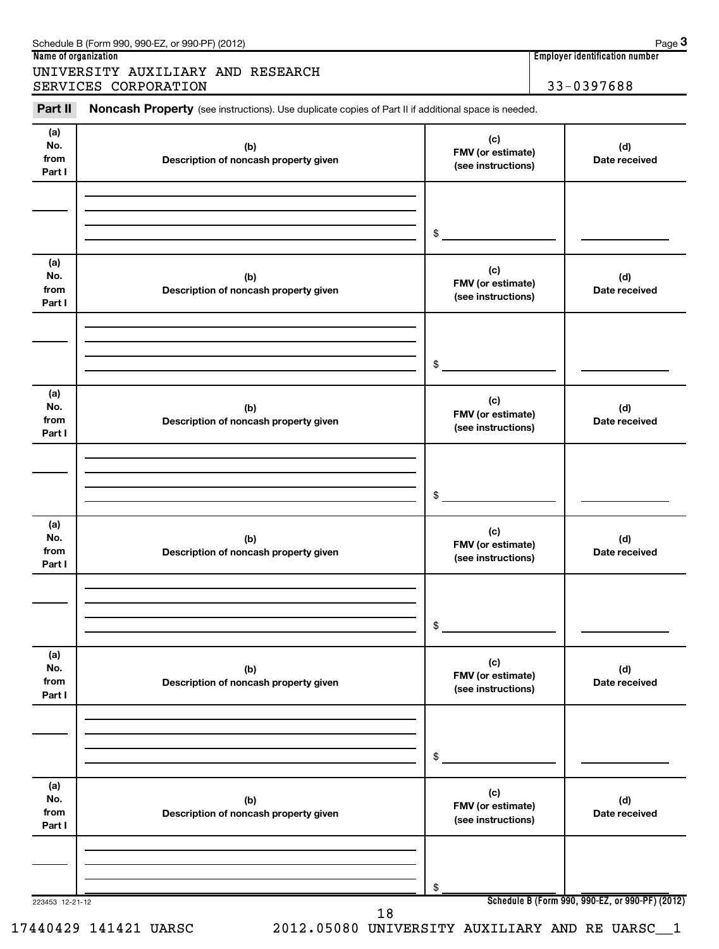|                              | Schedule B (Form 990, 990-EZ, or 990-PF) (2012)                                                            |                 |            | Page 3               |  |  |  |  |
|------------------------------|------------------------------------------------------------------------------------------------------------|-----------------|------------|----------------------|--|--|--|--|
|                              | <b>Employer identification number</b><br>Name of organization                                              |                 |            |                      |  |  |  |  |
|                              | UNIVERSITY AUXILIARY AND RESEARCH<br>SERVICES CORPORATION                                                  |                 | 33-0397688 |                      |  |  |  |  |
| Part II                      | <b>Noncash Property</b> (see instructions). Use duplicate copies of Part II if additional space is needed. |                 |            |                      |  |  |  |  |
| (a)<br>No.<br>from<br>Part I | (c)<br>(b)<br><b>FMV</b> (or estimate)<br>Description of noncash property given<br>(see instructions)      |                 |            | (d)<br>Date received |  |  |  |  |
|                              |                                                                                                            | \$              |            |                      |  |  |  |  |
| (a)                          |                                                                                                            | $\cdot$ $\cdot$ |            |                      |  |  |  |  |

| (a)<br>No.<br>from<br>Part I | (b)<br>Description of noncash property given | (c)<br>FMV (or estimate)<br>(see instructions) | (d)<br>Date received                            |
|------------------------------|----------------------------------------------|------------------------------------------------|-------------------------------------------------|
|                              |                                              | \$                                             |                                                 |
| (a)<br>No.<br>from<br>Part I | (b)<br>Description of noncash property given | (c)<br>FMV (or estimate)<br>(see instructions) | (d)<br>Date received                            |
|                              |                                              | \$                                             |                                                 |
| (a)<br>No.<br>from<br>Part I | (b)<br>Description of noncash property given | (c)<br>FMV (or estimate)<br>(see instructions) | (d)<br>Date received                            |
|                              |                                              | \$                                             |                                                 |
| (a)<br>No.<br>from<br>Part I | (b)<br>Description of noncash property given | (c)<br>FMV (or estimate)<br>(see instructions) | (d)<br>Date received                            |
|                              |                                              | \$                                             |                                                 |
| (a)<br>No.<br>from<br>Part I | (b)<br>Description of noncash property given | (c)<br>FMV (or estimate)<br>(see instructions) | (d)<br>Date received                            |
|                              |                                              | \$                                             |                                                 |
| 223453 12-21-12              | 18                                           |                                                | Schedule B (Form 990, 990-EZ, or 990-PF) (2012) |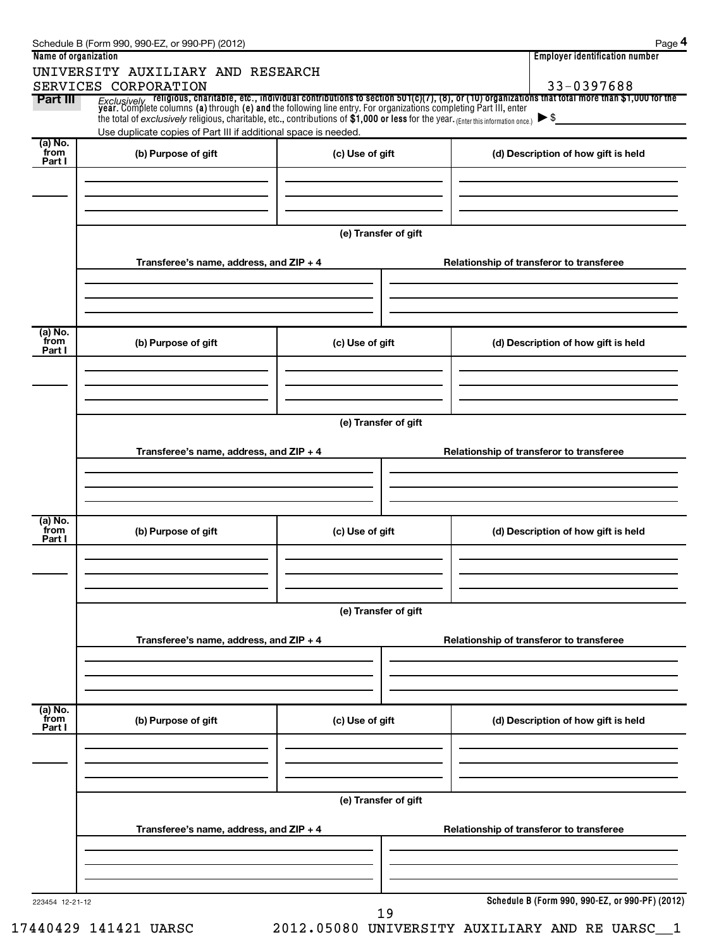| Name of organization        |                                                                 |                      | <b>Employer identification number</b>                                                                                                                                                                                          |  |  |  |  |  |  |
|-----------------------------|-----------------------------------------------------------------|----------------------|--------------------------------------------------------------------------------------------------------------------------------------------------------------------------------------------------------------------------------|--|--|--|--|--|--|
|                             | UNIVERSITY AUXILIARY AND RESEARCH                               |                      |                                                                                                                                                                                                                                |  |  |  |  |  |  |
| Part III                    | SERVICES CORPORATION                                            |                      | 33-0397688                                                                                                                                                                                                                     |  |  |  |  |  |  |
|                             |                                                                 |                      | Exclusively religious, charitable, etc., individual contributions to section 501(c)(7), (8), or (10) organizations that total more than \$1,000 for the year. Complete columns (a) through (e) and the following line entry. F |  |  |  |  |  |  |
|                             | Use duplicate copies of Part III if additional space is needed. |                      |                                                                                                                                                                                                                                |  |  |  |  |  |  |
| (a) No.<br>from<br>Part I   | (b) Purpose of gift                                             | (c) Use of gift      | (d) Description of how gift is held                                                                                                                                                                                            |  |  |  |  |  |  |
|                             |                                                                 |                      |                                                                                                                                                                                                                                |  |  |  |  |  |  |
|                             |                                                                 |                      |                                                                                                                                                                                                                                |  |  |  |  |  |  |
|                             |                                                                 | (e) Transfer of gift |                                                                                                                                                                                                                                |  |  |  |  |  |  |
|                             | Transferee's name, address, and ZIP + 4                         |                      | Relationship of transferor to transferee                                                                                                                                                                                       |  |  |  |  |  |  |
|                             |                                                                 |                      |                                                                                                                                                                                                                                |  |  |  |  |  |  |
|                             |                                                                 |                      |                                                                                                                                                                                                                                |  |  |  |  |  |  |
| $(a)$ No.<br>from<br>Part I | (b) Purpose of gift                                             | (c) Use of gift      | (d) Description of how gift is held                                                                                                                                                                                            |  |  |  |  |  |  |
|                             |                                                                 |                      |                                                                                                                                                                                                                                |  |  |  |  |  |  |
|                             |                                                                 |                      |                                                                                                                                                                                                                                |  |  |  |  |  |  |
|                             | (e) Transfer of gift                                            |                      |                                                                                                                                                                                                                                |  |  |  |  |  |  |
|                             | Transferee's name, address, and ZIP + 4                         |                      | Relationship of transferor to transferee                                                                                                                                                                                       |  |  |  |  |  |  |
|                             |                                                                 |                      |                                                                                                                                                                                                                                |  |  |  |  |  |  |
|                             |                                                                 |                      |                                                                                                                                                                                                                                |  |  |  |  |  |  |
| $(a)$ No.<br>from<br>Part I | (b) Purpose of gift                                             | (c) Use of gift      | (d) Description of how gift is held                                                                                                                                                                                            |  |  |  |  |  |  |
|                             |                                                                 |                      |                                                                                                                                                                                                                                |  |  |  |  |  |  |
|                             |                                                                 |                      |                                                                                                                                                                                                                                |  |  |  |  |  |  |
|                             | (e) Transfer of gift                                            |                      |                                                                                                                                                                                                                                |  |  |  |  |  |  |
|                             | Transferee's name, address, and ZIP + 4                         |                      | Relationship of transferor to transferee                                                                                                                                                                                       |  |  |  |  |  |  |
|                             |                                                                 |                      |                                                                                                                                                                                                                                |  |  |  |  |  |  |
|                             |                                                                 |                      |                                                                                                                                                                                                                                |  |  |  |  |  |  |
| (a) No.<br>from<br>Part I   | (b) Purpose of gift                                             | (c) Use of gift      | (d) Description of how gift is held                                                                                                                                                                                            |  |  |  |  |  |  |
|                             |                                                                 |                      |                                                                                                                                                                                                                                |  |  |  |  |  |  |
|                             |                                                                 |                      |                                                                                                                                                                                                                                |  |  |  |  |  |  |
|                             |                                                                 | (e) Transfer of gift |                                                                                                                                                                                                                                |  |  |  |  |  |  |
|                             | Transferee's name, address, and ZIP + 4                         |                      | Relationship of transferor to transferee                                                                                                                                                                                       |  |  |  |  |  |  |
|                             |                                                                 |                      |                                                                                                                                                                                                                                |  |  |  |  |  |  |
|                             |                                                                 |                      |                                                                                                                                                                                                                                |  |  |  |  |  |  |
| 223454 12-21-12             |                                                                 | 19                   | Schedule B (Form 990, 990-EZ, or 990-PF) (2012)                                                                                                                                                                                |  |  |  |  |  |  |

17440429 141421 UARSC 2012.05080 UNIVERSITY AUXILIARY AND RE UARSC\_\_1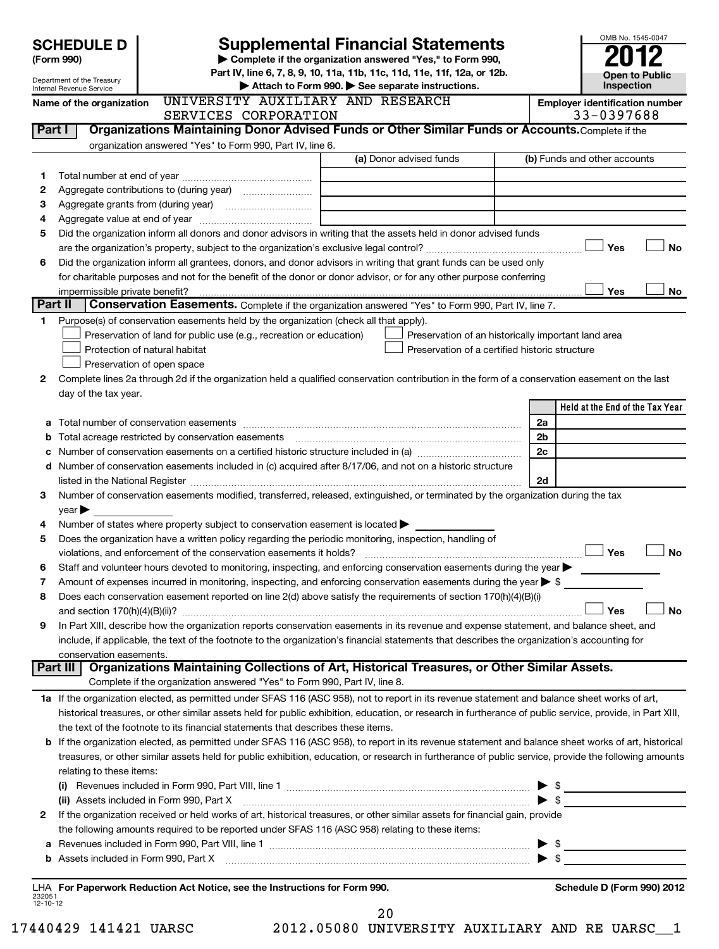|          |                                                                                                                                          |  |                                                                                                                                                                                                                                                                                                              |  |    |                                                     |  |                |                          | OMB No. 1545-0047            |                                       |
|----------|------------------------------------------------------------------------------------------------------------------------------------------|--|--------------------------------------------------------------------------------------------------------------------------------------------------------------------------------------------------------------------------------------------------------------------------------------------------------------|--|----|-----------------------------------------------------|--|----------------|--------------------------|------------------------------|---------------------------------------|
|          | <b>Supplemental Financial Statements</b><br><b>SCHEDULE D</b><br>Complete if the organization answered "Yes," to Form 990,<br>(Form 990) |  |                                                                                                                                                                                                                                                                                                              |  |    |                                                     |  |                |                          |                              |                                       |
|          | Department of the Treasury                                                                                                               |  | Part IV, line 6, 7, 8, 9, 10, 11a, 11b, 11c, 11d, 11e, 11f, 12a, or 12b.                                                                                                                                                                                                                                     |  |    |                                                     |  |                |                          |                              | Open to Public                        |
|          | Internal Revenue Service                                                                                                                 |  |                                                                                                                                                                                                                                                                                                              |  |    | Attach to Form 990. See separate instructions.      |  |                |                          | Inspection                   |                                       |
|          | UNIVERSITY AUXILIARY AND RESEARCH<br>Name of the organization<br>SERVICES CORPORATION                                                    |  |                                                                                                                                                                                                                                                                                                              |  |    |                                                     |  |                |                          | 33-0397688                   | <b>Employer identification number</b> |
| Part I   |                                                                                                                                          |  | Organizations Maintaining Donor Advised Funds or Other Similar Funds or Accounts. Complete if the                                                                                                                                                                                                            |  |    |                                                     |  |                |                          |                              |                                       |
|          |                                                                                                                                          |  | organization answered "Yes" to Form 990, Part IV, line 6.                                                                                                                                                                                                                                                    |  |    |                                                     |  |                |                          |                              |                                       |
|          |                                                                                                                                          |  |                                                                                                                                                                                                                                                                                                              |  |    | (a) Donor advised funds                             |  |                |                          | (b) Funds and other accounts |                                       |
| 1        |                                                                                                                                          |  |                                                                                                                                                                                                                                                                                                              |  |    |                                                     |  |                |                          |                              |                                       |
| 2        |                                                                                                                                          |  |                                                                                                                                                                                                                                                                                                              |  |    |                                                     |  |                |                          |                              |                                       |
| З<br>4   | Aggregate value at end of year                                                                                                           |  |                                                                                                                                                                                                                                                                                                              |  |    |                                                     |  |                |                          |                              |                                       |
| 5        |                                                                                                                                          |  | Did the organization inform all donors and donor advisors in writing that the assets held in donor advised funds                                                                                                                                                                                             |  |    |                                                     |  |                |                          |                              |                                       |
|          |                                                                                                                                          |  |                                                                                                                                                                                                                                                                                                              |  |    |                                                     |  |                |                          | Yes                          | No                                    |
| 6        |                                                                                                                                          |  | Did the organization inform all grantees, donors, and donor advisors in writing that grant funds can be used only                                                                                                                                                                                            |  |    |                                                     |  |                |                          |                              |                                       |
|          |                                                                                                                                          |  | for charitable purposes and not for the benefit of the donor or donor advisor, or for any other purpose conferring                                                                                                                                                                                           |  |    |                                                     |  |                |                          |                              |                                       |
|          | impermissible private benefit?                                                                                                           |  |                                                                                                                                                                                                                                                                                                              |  |    |                                                     |  |                |                          | Yes                          | No                                    |
| Part II  |                                                                                                                                          |  | <b>Conservation Easements.</b> Complete if the organization answered "Yes" to Form 990, Part IV, line 7.                                                                                                                                                                                                     |  |    |                                                     |  |                |                          |                              |                                       |
| 1.       |                                                                                                                                          |  | Purpose(s) of conservation easements held by the organization (check all that apply).<br>Preservation of land for public use (e.g., recreation or education)                                                                                                                                                 |  |    | Preservation of an historically important land area |  |                |                          |                              |                                       |
|          | Protection of natural habitat                                                                                                            |  |                                                                                                                                                                                                                                                                                                              |  |    | Preservation of a certified historic structure      |  |                |                          |                              |                                       |
|          | Preservation of open space                                                                                                               |  |                                                                                                                                                                                                                                                                                                              |  |    |                                                     |  |                |                          |                              |                                       |
| 2        |                                                                                                                                          |  | Complete lines 2a through 2d if the organization held a qualified conservation contribution in the form of a conservation easement on the last                                                                                                                                                               |  |    |                                                     |  |                |                          |                              |                                       |
|          | day of the tax year.                                                                                                                     |  |                                                                                                                                                                                                                                                                                                              |  |    |                                                     |  |                |                          |                              |                                       |
|          |                                                                                                                                          |  |                                                                                                                                                                                                                                                                                                              |  |    |                                                     |  |                |                          |                              | Held at the End of the Tax Year       |
|          |                                                                                                                                          |  | Total number of conservation easements                                                                                                                                                                                                                                                                       |  |    |                                                     |  | 2a             |                          |                              |                                       |
|          |                                                                                                                                          |  | Total acreage restricted by conservation easements                                                                                                                                                                                                                                                           |  |    |                                                     |  | 2 <sub>b</sub> |                          |                              |                                       |
|          |                                                                                                                                          |  |                                                                                                                                                                                                                                                                                                              |  |    |                                                     |  | 2c             |                          |                              |                                       |
| d        |                                                                                                                                          |  | Number of conservation easements included in (c) acquired after 8/17/06, and not on a historic structure                                                                                                                                                                                                     |  |    |                                                     |  |                |                          |                              |                                       |
| З        |                                                                                                                                          |  | listed in the National Register [111] [12] The Marian Marian Marian Marian Marian Marian Marian Marian Marian M<br>Number of conservation easements modified, transferred, released, extinguished, or terminated by the organization during the tax                                                          |  |    |                                                     |  | 2d             |                          |                              |                                       |
|          | $\vee$ ear $\blacktriangleright$                                                                                                         |  |                                                                                                                                                                                                                                                                                                              |  |    |                                                     |  |                |                          |                              |                                       |
| 4        |                                                                                                                                          |  | Number of states where property subject to conservation easement is located >                                                                                                                                                                                                                                |  |    |                                                     |  |                |                          |                              |                                       |
| 5        |                                                                                                                                          |  | Does the organization have a written policy regarding the periodic monitoring, inspection, handling of                                                                                                                                                                                                       |  |    |                                                     |  |                |                          |                              |                                       |
|          |                                                                                                                                          |  | violations, and enforcement of the conservation easements it holds?                                                                                                                                                                                                                                          |  |    |                                                     |  |                |                          | Yes                          | No                                    |
| 6        |                                                                                                                                          |  | Staff and volunteer hours devoted to monitoring, inspecting, and enforcing conservation easements during the year >                                                                                                                                                                                          |  |    |                                                     |  |                |                          |                              |                                       |
| 7        |                                                                                                                                          |  | Amount of expenses incurred in monitoring, inspecting, and enforcing conservation easements during the year $\triangleright$ \$                                                                                                                                                                              |  |    |                                                     |  |                |                          |                              |                                       |
| 8        |                                                                                                                                          |  | Does each conservation easement reported on line 2(d) above satisfy the requirements of section 170(h)(4)(B)(i)                                                                                                                                                                                              |  |    |                                                     |  |                |                          |                              |                                       |
| 9        | and section $170(h)(4)(B)(ii)?$                                                                                                          |  | In Part XIII, describe how the organization reports conservation easements in its revenue and expense statement, and balance sheet, and                                                                                                                                                                      |  |    |                                                     |  |                |                          | Yes                          | <b>No</b>                             |
|          |                                                                                                                                          |  | include, if applicable, the text of the footnote to the organization's financial statements that describes the organization's accounting for                                                                                                                                                                 |  |    |                                                     |  |                |                          |                              |                                       |
|          | conservation easements.                                                                                                                  |  |                                                                                                                                                                                                                                                                                                              |  |    |                                                     |  |                |                          |                              |                                       |
|          | Part III                                                                                                                                 |  | Organizations Maintaining Collections of Art, Historical Treasures, or Other Similar Assets.                                                                                                                                                                                                                 |  |    |                                                     |  |                |                          |                              |                                       |
|          |                                                                                                                                          |  | Complete if the organization answered "Yes" to Form 990, Part IV, line 8.                                                                                                                                                                                                                                    |  |    |                                                     |  |                |                          |                              |                                       |
|          |                                                                                                                                          |  | 1a If the organization elected, as permitted under SFAS 116 (ASC 958), not to report in its revenue statement and balance sheet works of art,                                                                                                                                                                |  |    |                                                     |  |                |                          |                              |                                       |
|          |                                                                                                                                          |  | historical treasures, or other similar assets held for public exhibition, education, or research in furtherance of public service, provide, in Part XIII,                                                                                                                                                    |  |    |                                                     |  |                |                          |                              |                                       |
|          |                                                                                                                                          |  | the text of the footnote to its financial statements that describes these items.                                                                                                                                                                                                                             |  |    |                                                     |  |                |                          |                              |                                       |
|          |                                                                                                                                          |  | b If the organization elected, as permitted under SFAS 116 (ASC 958), to report in its revenue statement and balance sheet works of art, historical<br>treasures, or other similar assets held for public exhibition, education, or research in furtherance of public service, provide the following amounts |  |    |                                                     |  |                |                          |                              |                                       |
|          | relating to these items:                                                                                                                 |  |                                                                                                                                                                                                                                                                                                              |  |    |                                                     |  |                |                          |                              |                                       |
|          |                                                                                                                                          |  |                                                                                                                                                                                                                                                                                                              |  |    |                                                     |  |                |                          |                              |                                       |
|          | (ii) Assets included in Form 990, Part X                                                                                                 |  |                                                                                                                                                                                                                                                                                                              |  |    |                                                     |  |                | $\blacktriangleright$ \$ |                              |                                       |
| 2        |                                                                                                                                          |  | If the organization received or held works of art, historical treasures, or other similar assets for financial gain, provide                                                                                                                                                                                 |  |    |                                                     |  |                |                          |                              |                                       |
|          |                                                                                                                                          |  | the following amounts required to be reported under SFAS 116 (ASC 958) relating to these items:                                                                                                                                                                                                              |  |    |                                                     |  |                |                          |                              |                                       |
| а        |                                                                                                                                          |  |                                                                                                                                                                                                                                                                                                              |  |    |                                                     |  |                |                          |                              |                                       |
| b        |                                                                                                                                          |  |                                                                                                                                                                                                                                                                                                              |  |    |                                                     |  |                |                          |                              |                                       |
|          |                                                                                                                                          |  | LHA For Paperwork Reduction Act Notice, see the Instructions for Form 990.                                                                                                                                                                                                                                   |  |    |                                                     |  |                |                          |                              | Schedule D (Form 990) 2012            |
| 12-10-12 |                                                                                                                                          |  |                                                                                                                                                                                                                                                                                                              |  |    |                                                     |  |                |                          |                              |                                       |
|          |                                                                                                                                          |  |                                                                                                                                                                                                                                                                                                              |  | 20 |                                                     |  |                |                          |                              |                                       |

| 80 | IINTVERS <sup>.</sup> |
|----|-----------------------|

17440429 141421 UARSC 2012.05080 UNIVERSITY AUXILIARY AND RE UARSC\_\_1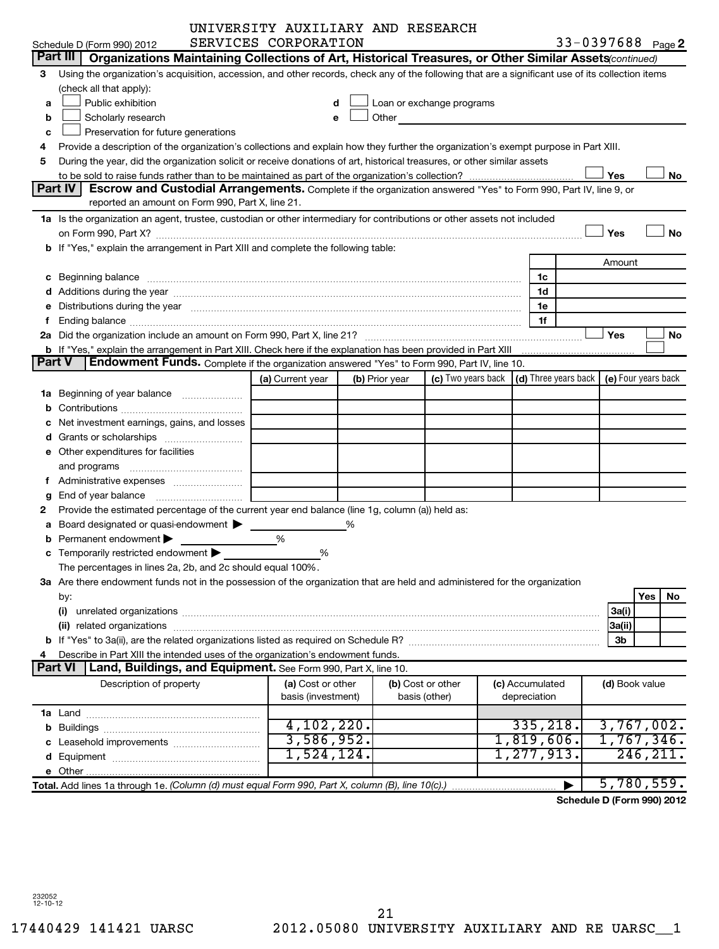|        |                                                                                                                                                                                                                                | UNIVERSITY AUXILIARY AND RESEARCH |   |                                                                                                                                                                                                                               |                                                                             |                 |                |                            |
|--------|--------------------------------------------------------------------------------------------------------------------------------------------------------------------------------------------------------------------------------|-----------------------------------|---|-------------------------------------------------------------------------------------------------------------------------------------------------------------------------------------------------------------------------------|-----------------------------------------------------------------------------|-----------------|----------------|----------------------------|
|        | Schedule D (Form 990) 2012                                                                                                                                                                                                     | SERVICES CORPORATION              |   |                                                                                                                                                                                                                               |                                                                             |                 |                | 33-0397688 Page 2          |
|        | Part III   Organizations Maintaining Collections of Art, Historical Treasures, or Other Similar Assets (continued)                                                                                                             |                                   |   |                                                                                                                                                                                                                               |                                                                             |                 |                |                            |
| 3      | Using the organization's acquisition, accession, and other records, check any of the following that are a significant use of its collection items                                                                              |                                   |   |                                                                                                                                                                                                                               |                                                                             |                 |                |                            |
|        | (check all that apply):                                                                                                                                                                                                        |                                   |   |                                                                                                                                                                                                                               |                                                                             |                 |                |                            |
| a      | Public exhibition                                                                                                                                                                                                              | d                                 |   | Loan or exchange programs                                                                                                                                                                                                     |                                                                             |                 |                |                            |
| b      | Scholarly research                                                                                                                                                                                                             | e                                 |   | Other and the contract of the contract of the contract of the contract of the contract of the contract of the contract of the contract of the contract of the contract of the contract of the contract of the contract of the |                                                                             |                 |                |                            |
| c      | Preservation for future generations                                                                                                                                                                                            |                                   |   |                                                                                                                                                                                                                               |                                                                             |                 |                |                            |
| 4      | Provide a description of the organization's collections and explain how they further the organization's exempt purpose in Part XIII.                                                                                           |                                   |   |                                                                                                                                                                                                                               |                                                                             |                 |                |                            |
| 5      | During the year, did the organization solicit or receive donations of art, historical treasures, or other similar assets                                                                                                       |                                   |   |                                                                                                                                                                                                                               |                                                                             |                 |                |                            |
|        |                                                                                                                                                                                                                                |                                   |   |                                                                                                                                                                                                                               |                                                                             |                 | Yes            | No                         |
|        | <b>Part IV I</b><br>Escrow and Custodial Arrangements. Complete if the organization answered "Yes" to Form 990, Part IV, line 9, or                                                                                            |                                   |   |                                                                                                                                                                                                                               |                                                                             |                 |                |                            |
|        | reported an amount on Form 990, Part X, line 21.                                                                                                                                                                               |                                   |   |                                                                                                                                                                                                                               |                                                                             |                 |                |                            |
|        | 1a Is the organization an agent, trustee, custodian or other intermediary for contributions or other assets not included                                                                                                       |                                   |   |                                                                                                                                                                                                                               |                                                                             |                 |                |                            |
|        | on Form 990, Part X? [11] matter and the contract of the contract of the contract of the contract of the contract of the contract of the contract of the contract of the contract of the contract of the contract of the contr |                                   |   |                                                                                                                                                                                                                               |                                                                             |                 | Yes            | <b>No</b>                  |
|        | b If "Yes," explain the arrangement in Part XIII and complete the following table:                                                                                                                                             |                                   |   |                                                                                                                                                                                                                               |                                                                             |                 |                |                            |
|        |                                                                                                                                                                                                                                |                                   |   |                                                                                                                                                                                                                               |                                                                             |                 | Amount         |                            |
|        | c Beginning balance measurements and the contract of the contract of the contract of the contract of the contract of the contract of the contract of the contract of the contract of the contract of the contract of the contr |                                   |   |                                                                                                                                                                                                                               |                                                                             | 1c              |                |                            |
|        |                                                                                                                                                                                                                                |                                   |   |                                                                                                                                                                                                                               |                                                                             | 1d              |                |                            |
|        | e Distributions during the year manufactured and continuum control of the year manufactured and the year manufactured and the year manufactured and the year manufactured and the year manufactured and the year manufactured  |                                   |   |                                                                                                                                                                                                                               |                                                                             | 1e              |                |                            |
| f      |                                                                                                                                                                                                                                |                                   |   |                                                                                                                                                                                                                               |                                                                             | 1f              |                |                            |
|        |                                                                                                                                                                                                                                |                                   |   |                                                                                                                                                                                                                               |                                                                             |                 | Yes            | No                         |
| Part V | <b>Endowment Funds.</b> Complete if the organization answered "Yes" to Form 990, Part IV, line 10.                                                                                                                             |                                   |   |                                                                                                                                                                                                                               |                                                                             |                 |                |                            |
|        |                                                                                                                                                                                                                                | (a) Current year                  |   | (b) Prior year                                                                                                                                                                                                                | (c) Two years back $\vert$ (d) Three years back $\vert$ (e) Four years back |                 |                |                            |
|        | 1a Beginning of year balance                                                                                                                                                                                                   |                                   |   |                                                                                                                                                                                                                               |                                                                             |                 |                |                            |
|        |                                                                                                                                                                                                                                |                                   |   |                                                                                                                                                                                                                               |                                                                             |                 |                |                            |
|        | c Net investment earnings, gains, and losses                                                                                                                                                                                   |                                   |   |                                                                                                                                                                                                                               |                                                                             |                 |                |                            |
|        |                                                                                                                                                                                                                                |                                   |   |                                                                                                                                                                                                                               |                                                                             |                 |                |                            |
|        | e Other expenditures for facilities                                                                                                                                                                                            |                                   |   |                                                                                                                                                                                                                               |                                                                             |                 |                |                            |
|        | and programs                                                                                                                                                                                                                   |                                   |   |                                                                                                                                                                                                                               |                                                                             |                 |                |                            |
|        | f Administrative expenses                                                                                                                                                                                                      |                                   |   |                                                                                                                                                                                                                               |                                                                             |                 |                |                            |
| g      |                                                                                                                                                                                                                                |                                   |   |                                                                                                                                                                                                                               |                                                                             |                 |                |                            |
| 2      | Provide the estimated percentage of the current year end balance (line 1g, column (a)) held as:                                                                                                                                |                                   |   |                                                                                                                                                                                                                               |                                                                             |                 |                |                            |
|        | a Board designated or quasi-endowment $\blacktriangleright$                                                                                                                                                                    |                                   | % |                                                                                                                                                                                                                               |                                                                             |                 |                |                            |
| b      | Permanent endowment >                                                                                                                                                                                                          | %                                 |   |                                                                                                                                                                                                                               |                                                                             |                 |                |                            |
|        | c Temporarily restricted endowment $\blacktriangleright$                                                                                                                                                                       | %                                 |   |                                                                                                                                                                                                                               |                                                                             |                 |                |                            |
|        | The percentages in lines 2a, 2b, and 2c should equal 100%.                                                                                                                                                                     |                                   |   |                                                                                                                                                                                                                               |                                                                             |                 |                |                            |
|        | 3a Are there endowment funds not in the possession of the organization that are held and administered for the organization                                                                                                     |                                   |   |                                                                                                                                                                                                                               |                                                                             |                 |                |                            |
|        | by:                                                                                                                                                                                                                            |                                   |   |                                                                                                                                                                                                                               |                                                                             |                 |                | Yes<br>No                  |
|        | (i)                                                                                                                                                                                                                            |                                   |   |                                                                                                                                                                                                                               |                                                                             |                 | 3a(i)          |                            |
|        |                                                                                                                                                                                                                                |                                   |   |                                                                                                                                                                                                                               |                                                                             |                 | 3a(ii)         |                            |
|        |                                                                                                                                                                                                                                |                                   |   |                                                                                                                                                                                                                               |                                                                             |                 | 3b             |                            |
| 4      | Describe in Part XIII the intended uses of the organization's endowment funds.                                                                                                                                                 |                                   |   |                                                                                                                                                                                                                               |                                                                             |                 |                |                            |
|        | <b>Part VI</b><br>Land, Buildings, and Equipment. See Form 990, Part X, line 10.                                                                                                                                               |                                   |   |                                                                                                                                                                                                                               |                                                                             |                 |                |                            |
|        | Description of property                                                                                                                                                                                                        | (a) Cost or other                 |   |                                                                                                                                                                                                                               | (b) Cost or other                                                           | (c) Accumulated | (d) Book value |                            |
|        |                                                                                                                                                                                                                                | basis (investment)                |   |                                                                                                                                                                                                                               | basis (other)                                                               | depreciation    |                |                            |
|        |                                                                                                                                                                                                                                |                                   |   |                                                                                                                                                                                                                               |                                                                             |                 |                |                            |
|        |                                                                                                                                                                                                                                | 4,102,220.                        |   |                                                                                                                                                                                                                               |                                                                             | 335, 218.       |                | 3,767,002.                 |
|        |                                                                                                                                                                                                                                | 3,586,952.                        |   |                                                                                                                                                                                                                               |                                                                             | 1,819,606.      |                | 1,767,346.                 |
|        |                                                                                                                                                                                                                                | 1,524,124.                        |   |                                                                                                                                                                                                                               |                                                                             | 1,277,913.      |                | 246,211.                   |
|        |                                                                                                                                                                                                                                |                                   |   |                                                                                                                                                                                                                               |                                                                             |                 |                |                            |
|        | Total. Add lines 1a through 1e. (Column (d) must equal Form 990, Part X, column (B), line 10(c).)                                                                                                                              |                                   |   |                                                                                                                                                                                                                               |                                                                             |                 |                | 5,780,559.                 |
|        |                                                                                                                                                                                                                                |                                   |   |                                                                                                                                                                                                                               |                                                                             |                 |                | Schedule D (Form 990) 2012 |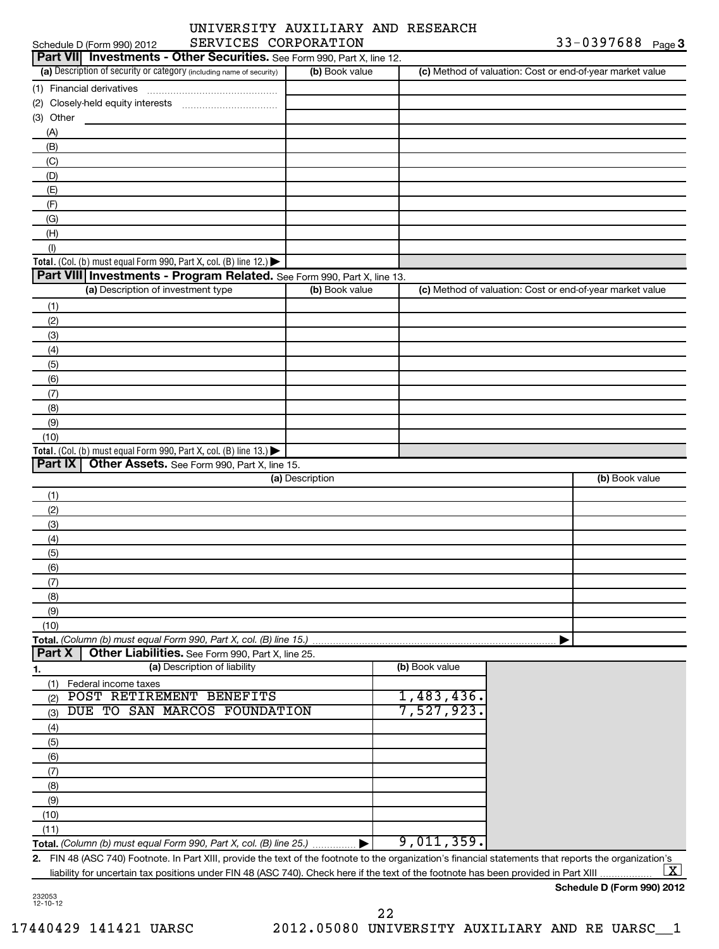## Schedule D (Form 990) 2012 SERVICES CORPORATION 33-0397688 Page UNIVERSITY AUXILIARY AND RESEARCH

| Part VII Investments - Other Securities. See Form 990, Part X, line 12.                                                                                 |                 |                |                                                           |
|---------------------------------------------------------------------------------------------------------------------------------------------------------|-----------------|----------------|-----------------------------------------------------------|
| (a) Description of security or category (including name of security)                                                                                    | (b) Book value  |                | (c) Method of valuation: Cost or end-of-year market value |
| (1) Financial derivatives                                                                                                                               |                 |                |                                                           |
|                                                                                                                                                         |                 |                |                                                           |
| (3) Other                                                                                                                                               |                 |                |                                                           |
| (A)                                                                                                                                                     |                 |                |                                                           |
| (B)                                                                                                                                                     |                 |                |                                                           |
| (C)                                                                                                                                                     |                 |                |                                                           |
| (D)                                                                                                                                                     |                 |                |                                                           |
| (E)                                                                                                                                                     |                 |                |                                                           |
| (F)                                                                                                                                                     |                 |                |                                                           |
| (G)                                                                                                                                                     |                 |                |                                                           |
| (H)                                                                                                                                                     |                 |                |                                                           |
| (1)                                                                                                                                                     |                 |                |                                                           |
| Total. (Col. (b) must equal Form 990, Part X, col. (B) line 12.) $\blacktriangleright$                                                                  |                 |                |                                                           |
| Part VIII   Investments - Program Related. See Form 990, Part X, line 13.                                                                               |                 |                |                                                           |
| (a) Description of investment type                                                                                                                      | (b) Book value  |                | (c) Method of valuation: Cost or end-of-year market value |
| (1)                                                                                                                                                     |                 |                |                                                           |
| (2)                                                                                                                                                     |                 |                |                                                           |
| (3)                                                                                                                                                     |                 |                |                                                           |
| (4)                                                                                                                                                     |                 |                |                                                           |
| (5)                                                                                                                                                     |                 |                |                                                           |
| (6)                                                                                                                                                     |                 |                |                                                           |
| (7)                                                                                                                                                     |                 |                |                                                           |
| (8)                                                                                                                                                     |                 |                |                                                           |
| (9)                                                                                                                                                     |                 |                |                                                           |
| (10)                                                                                                                                                    |                 |                |                                                           |
| Total. (Col. (b) must equal Form 990, Part X, col. (B) line 13.) $\blacktriangleright$                                                                  |                 |                |                                                           |
| Part IX<br>Other Assets. See Form 990, Part X, line 15.                                                                                                 |                 |                |                                                           |
|                                                                                                                                                         | (a) Description |                | (b) Book value                                            |
| (1)                                                                                                                                                     |                 |                |                                                           |
| (2)                                                                                                                                                     |                 |                |                                                           |
| (3)                                                                                                                                                     |                 |                |                                                           |
| (4)                                                                                                                                                     |                 |                |                                                           |
| (5)                                                                                                                                                     |                 |                |                                                           |
| (6)                                                                                                                                                     |                 |                |                                                           |
| (7)                                                                                                                                                     |                 |                |                                                           |
| (8)                                                                                                                                                     |                 |                |                                                           |
| (9)                                                                                                                                                     |                 |                |                                                           |
| (10)                                                                                                                                                    |                 |                |                                                           |
| Total. (Column (b) must equal Form 990, Part X, col. (B) line 15.)                                                                                      |                 |                |                                                           |
| Part X<br>Other Liabilities. See Form 990, Part X, line 25.                                                                                             |                 |                |                                                           |
| (a) Description of liability<br>1.                                                                                                                      |                 | (b) Book value |                                                           |
| (1)<br>Federal income taxes                                                                                                                             |                 |                |                                                           |
| POST RETIREMENT BENEFITS<br>(2)                                                                                                                         |                 | 1,483,436.     |                                                           |
| DUE TO SAN MARCOS FOUNDATION<br>(3)                                                                                                                     |                 | 7,527,923.     |                                                           |
| (4)                                                                                                                                                     |                 |                |                                                           |
| (5)                                                                                                                                                     |                 |                |                                                           |
| (6)                                                                                                                                                     |                 |                |                                                           |
| (7)                                                                                                                                                     |                 |                |                                                           |
| (8)                                                                                                                                                     |                 |                |                                                           |
| (9)                                                                                                                                                     |                 |                |                                                           |
| (10)                                                                                                                                                    |                 |                |                                                           |
| (11)                                                                                                                                                    |                 |                |                                                           |
| Total. (Column (b) must equal Form 990, Part X, col. (B) line 25.)                                                                                      |                 | 9,011,359.     |                                                           |
| 2. FIN 48 (ASC 740) Footnote. In Part XIII, provide the text of the footnote to the organization's financial statements that reports the organization's |                 |                |                                                           |

liability for uncertain tax positions under FIN 48 (ASC 740). Check here if the text of the footnote has been provided in Part XIII.  $\lfloor x \rfloor$ 

## **Schedule D (Form 990) 2012**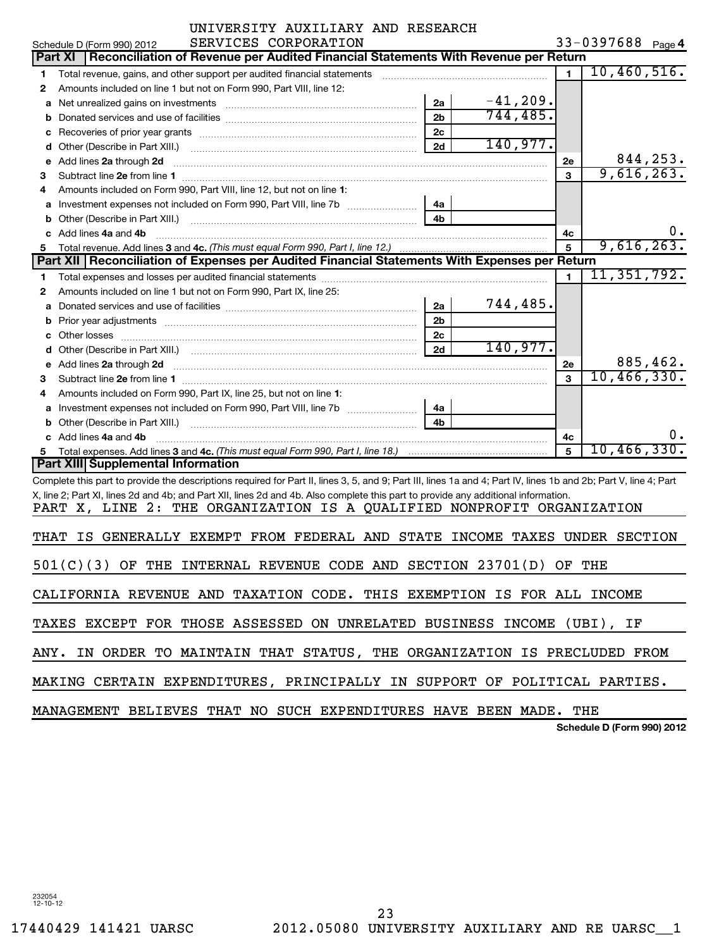| UNIVERSITY AUXILIARY AND RESEARCH                                                                                                                                |                                 |  |  |  |  |  |  |  |  |  |
|------------------------------------------------------------------------------------------------------------------------------------------------------------------|---------------------------------|--|--|--|--|--|--|--|--|--|
| 33-0397688 Page 4<br>SERVICES CORPORATION<br>Schedule D (Form 990) 2012                                                                                          |                                 |  |  |  |  |  |  |  |  |  |
| Reconciliation of Revenue per Audited Financial Statements With Revenue per Return<br><b>Part XI</b>                                                             |                                 |  |  |  |  |  |  |  |  |  |
| Total revenue, gains, and other support per audited financial statements<br>1                                                                                    | 10,460,516.<br>$\blacksquare$   |  |  |  |  |  |  |  |  |  |
| Amounts included on line 1 but not on Form 990, Part VIII, line 12:<br>2                                                                                         |                                 |  |  |  |  |  |  |  |  |  |
| 2a<br>а                                                                                                                                                          | $-41, 209.$                     |  |  |  |  |  |  |  |  |  |
| 2 <sub>b</sub><br>b                                                                                                                                              | 744, 485.                       |  |  |  |  |  |  |  |  |  |
| 2 <sub>c</sub><br>Recoveries of prior year grants [11, 120] North Machinese Street Prior (120) 120 Machinese Machinese (120) 120<br>с                            |                                 |  |  |  |  |  |  |  |  |  |
| 2d<br>d                                                                                                                                                          | 140,977.                        |  |  |  |  |  |  |  |  |  |
| Add lines 2a through 2d<br>е                                                                                                                                     | 844,253.<br>2e                  |  |  |  |  |  |  |  |  |  |
| з                                                                                                                                                                | 9,616,263.<br>3                 |  |  |  |  |  |  |  |  |  |
| Amounts included on Form 990, Part VIII, line 12, but not on line 1:                                                                                             |                                 |  |  |  |  |  |  |  |  |  |
|                                                                                                                                                                  |                                 |  |  |  |  |  |  |  |  |  |
| 4a<br>а                                                                                                                                                          |                                 |  |  |  |  |  |  |  |  |  |
| b                                                                                                                                                                |                                 |  |  |  |  |  |  |  |  |  |
| Add lines 4a and 4b                                                                                                                                              | $0 \cdot$<br>4c                 |  |  |  |  |  |  |  |  |  |
| Total revenue. Add lines 3 and 4c. (This must equal Form 990, Part I, line 12.)<br>5.                                                                            | 9,616,263.<br>5                 |  |  |  |  |  |  |  |  |  |
| Part XII Reconciliation of Expenses per Audited Financial Statements With Expenses per Return                                                                    |                                 |  |  |  |  |  |  |  |  |  |
| 1                                                                                                                                                                | 11, 351, 792.<br>$\blacksquare$ |  |  |  |  |  |  |  |  |  |
| Amounts included on line 1 but not on Form 990, Part IX, line 25:<br>2                                                                                           |                                 |  |  |  |  |  |  |  |  |  |
| 2a<br>а                                                                                                                                                          | 744,485.                        |  |  |  |  |  |  |  |  |  |
| 2 <sub>b</sub><br>b                                                                                                                                              |                                 |  |  |  |  |  |  |  |  |  |
| Other losses<br>2 <sub>c</sub>                                                                                                                                   |                                 |  |  |  |  |  |  |  |  |  |
| 2d<br>d                                                                                                                                                          | 140,977.                        |  |  |  |  |  |  |  |  |  |
| Add lines 2a through 2d<br>е                                                                                                                                     | 885,462.<br>2е                  |  |  |  |  |  |  |  |  |  |
| 3                                                                                                                                                                | 10,466,330.<br>$\mathbf{a}$     |  |  |  |  |  |  |  |  |  |
| Amounts included on Form 990, Part IX, line 25, but not on line 1:                                                                                               |                                 |  |  |  |  |  |  |  |  |  |
| Investment expenses not included on Form 990, Part VIII, line 7b [11, 111, 111, 111]<br>4a<br>а                                                                  |                                 |  |  |  |  |  |  |  |  |  |
| b                                                                                                                                                                |                                 |  |  |  |  |  |  |  |  |  |
| Add lines 4a and 4b                                                                                                                                              | υ.<br>4с                        |  |  |  |  |  |  |  |  |  |
| 5.                                                                                                                                                               | 10,466,330.<br>5                |  |  |  |  |  |  |  |  |  |
| <b>Part XIII Supplemental Information</b>                                                                                                                        |                                 |  |  |  |  |  |  |  |  |  |
| Complete this part to provide the descriptions required for Part II, lines 3, 5, and 9; Part III, lines 1a and 4; Part IV, lines 1b and 2b; Part V, line 4; Part |                                 |  |  |  |  |  |  |  |  |  |
| X, line 2; Part XI, lines 2d and 4b; and Part XII, lines 2d and 4b. Also complete this part to provide any additional information.                               |                                 |  |  |  |  |  |  |  |  |  |
| PART X, LINE 2: THE ORGANIZATION IS A QUALIFIED NONPROFIT ORGANIZATION                                                                                           |                                 |  |  |  |  |  |  |  |  |  |
|                                                                                                                                                                  |                                 |  |  |  |  |  |  |  |  |  |
| IS GENERALLY EXEMPT FROM FEDERAL AND STATE INCOME TAXES UNDER SECTION<br>THAT                                                                                    |                                 |  |  |  |  |  |  |  |  |  |
| $501(C)(3)$ OF THE INTERNAL REVENUE CODE AND SECTION 23701(D) OF THE                                                                                             |                                 |  |  |  |  |  |  |  |  |  |
| CALIFORNIA REVENUE AND TAXATION CODE. THIS EXEMPTION IS FOR ALL INCOME                                                                                           |                                 |  |  |  |  |  |  |  |  |  |
| TAXES EXCEPT FOR THOSE ASSESSED ON UNRELATED BUSINESS INCOME (UBI), IF                                                                                           |                                 |  |  |  |  |  |  |  |  |  |
| ANY. IN ORDER TO MAINTAIN THAT STATUS, THE ORGANIZATION IS PRECLUDED FROM                                                                                        |                                 |  |  |  |  |  |  |  |  |  |
| MAKING CERTAIN EXPENDITURES, PRINCIPALLY IN SUPPORT OF POLITICAL PARTIES.                                                                                        |                                 |  |  |  |  |  |  |  |  |  |
| MANAGEMENT BELIEVES THAT NO SUCH EXPENDITURES HAVE BEEN MADE. THE                                                                                                |                                 |  |  |  |  |  |  |  |  |  |

| Schedule D (Form 990) 2012 |
|----------------------------|
|----------------------------|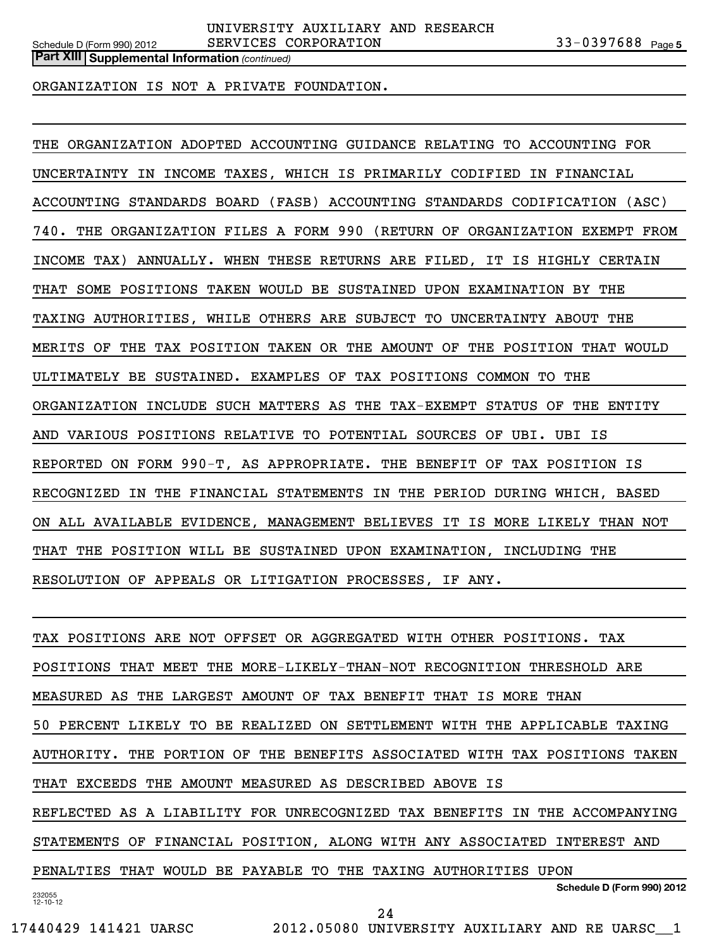**Part XIII | Supplemental Information** (continued)

ORGANIZATION IS NOT A PRIVATE FOUNDATION.

THE ORGANIZATION ADOPTED ACCOUNTING GUIDANCE RELATING TO ACCOUNTING FOR UNCERTAINTY IN INCOME TAXES, WHICH IS PRIMARILY CODIFIED IN FINANCIAL ACCOUNTING STANDARDS BOARD (FASB) ACCOUNTING STANDARDS CODIFICATION (ASC) 740. THE ORGANIZATION FILES A FORM 990 (RETURN OF ORGANIZATION EXEMPT FROM INCOME TAX) ANNUALLY. WHEN THESE RETURNS ARE FILED, IT IS HIGHLY CERTAIN THAT SOME POSITIONS TAKEN WOULD BE SUSTAINED UPON EXAMINATION BY THE TAXING AUTHORITIES, WHILE OTHERS ARE SUBJECT TO UNCERTAINTY ABOUT THE MERITS OF THE TAX POSITION TAKEN OR THE AMOUNT OF THE POSITION THAT WOULD ULTIMATELY BE SUSTAINED. EXAMPLES OF TAX POSITIONS COMMON TO THE ORGANIZATION INCLUDE SUCH MATTERS AS THE TAX-EXEMPT STATUS OF THE ENTITY AND VARIOUS POSITIONS RELATIVE TO POTENTIAL SOURCES OF UBI. UBI IS REPORTED ON FORM 990-T, AS APPROPRIATE. THE BENEFIT OF TAX POSITION IS RECOGNIZED IN THE FINANCIAL STATEMENTS IN THE PERIOD DURING WHICH, BASED ON ALL AVAILABLE EVIDENCE, MANAGEMENT BELIEVES IT IS MORE LIKELY THAN NOT THAT THE POSITION WILL BE SUSTAINED UPON EXAMINATION, INCLUDING THE RESOLUTION OF APPEALS OR LITIGATION PROCESSES, IF ANY.

232055 12-10-12 **Schedule D (Form 990) 2012** TAX POSITIONS ARE NOT OFFSET OR AGGREGATED WITH OTHER POSITIONS. TAX POSITIONS THAT MEET THE MORE-LIKELY-THAN-NOT RECOGNITION THRESHOLD ARE MEASURED AS THE LARGEST AMOUNT OF TAX BENEFIT THAT IS MORE THAN 50 PERCENT LIKELY TO BE REALIZED ON SETTLEMENT WITH THE APPLICABLE TAXING AUTHORITY. THE PORTION OF THE BENEFITS ASSOCIATED WITH TAX POSITIONS TAKEN THAT EXCEEDS THE AMOUNT MEASURED AS DESCRIBED ABOVE IS REFLECTED AS A LIABILITY FOR UNRECOGNIZED TAX BENEFITS IN THE ACCOMPANYING STATEMENTS OF FINANCIAL POSITION, ALONG WITH ANY ASSOCIATED INTEREST AND PENALTIES THAT WOULD BE PAYABLE TO THE TAXING AUTHORITIES UPON

24

17440429 141421 UARSC 2012.05080 UNIVERSITY AUXILIARY AND RE UARSC\_\_1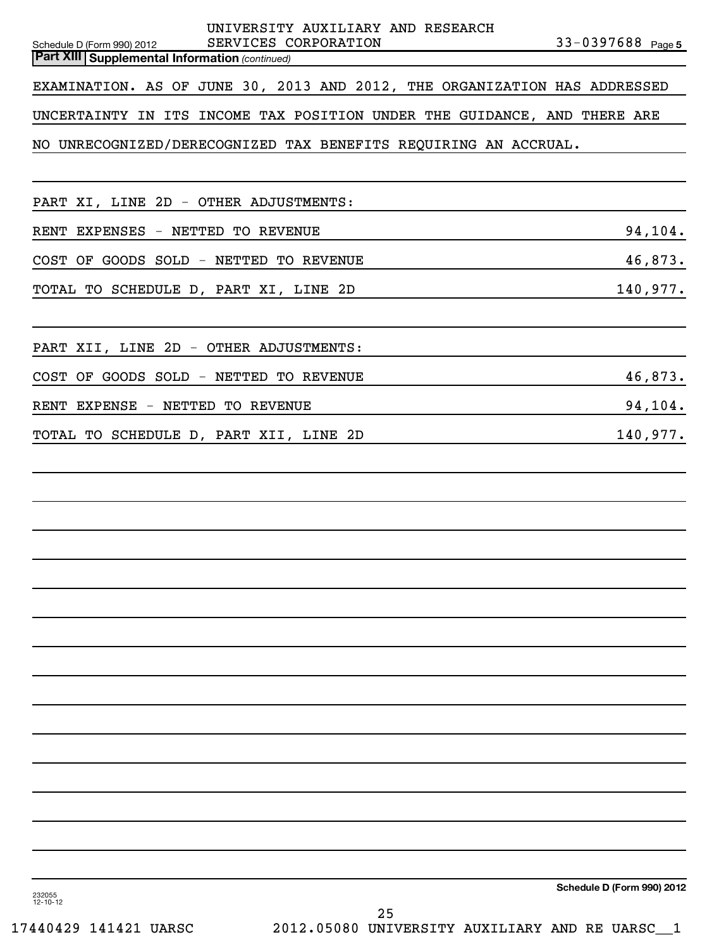| UNIVERSITY AUXILIARY AND RESEARCH<br>SERVICES CORPORATION<br>Schedule D (Form 990) 2012<br><b>Part XIII   Supplemental Information (continued)</b> | $33 - 0397688$ Page 5      |
|----------------------------------------------------------------------------------------------------------------------------------------------------|----------------------------|
| EXAMINATION. AS OF JUNE 30, 2013 AND 2012, THE ORGANIZATION HAS ADDRESSED                                                                          |                            |
| UNCERTAINTY IN ITS INCOME TAX POSITION UNDER THE GUIDANCE, AND THERE ARE                                                                           |                            |
| NO UNRECOGNIZED/DERECOGNIZED TAX BENEFITS REQUIRING AN ACCRUAL.                                                                                    |                            |
|                                                                                                                                                    |                            |
| PART XI, LINE 2D - OTHER ADJUSTMENTS:                                                                                                              |                            |
| RENT EXPENSES - NETTED TO REVENUE                                                                                                                  | 94,104.                    |
| COST OF GOODS SOLD - NETTED TO REVENUE                                                                                                             | 46,873.                    |
| TOTAL TO SCHEDULE D, PART XI, LINE 2D                                                                                                              | 140,977.                   |
|                                                                                                                                                    |                            |
| PART XII, LINE 2D - OTHER ADJUSTMENTS:                                                                                                             |                            |
| COST OF GOODS SOLD - NETTED TO REVENUE                                                                                                             | 46,873.                    |
| RENT EXPENSE - NETTED TO REVENUE                                                                                                                   | 94,104.                    |
| TOTAL TO SCHEDULE D, PART XII, LINE 2D                                                                                                             | 140,977.                   |
|                                                                                                                                                    |                            |
|                                                                                                                                                    |                            |
|                                                                                                                                                    |                            |
|                                                                                                                                                    |                            |
|                                                                                                                                                    |                            |
|                                                                                                                                                    |                            |
|                                                                                                                                                    |                            |
|                                                                                                                                                    |                            |
|                                                                                                                                                    |                            |
|                                                                                                                                                    |                            |
|                                                                                                                                                    |                            |
|                                                                                                                                                    |                            |
|                                                                                                                                                    |                            |
|                                                                                                                                                    |                            |
|                                                                                                                                                    |                            |
| 232055                                                                                                                                             | Schedule D (Form 990) 2012 |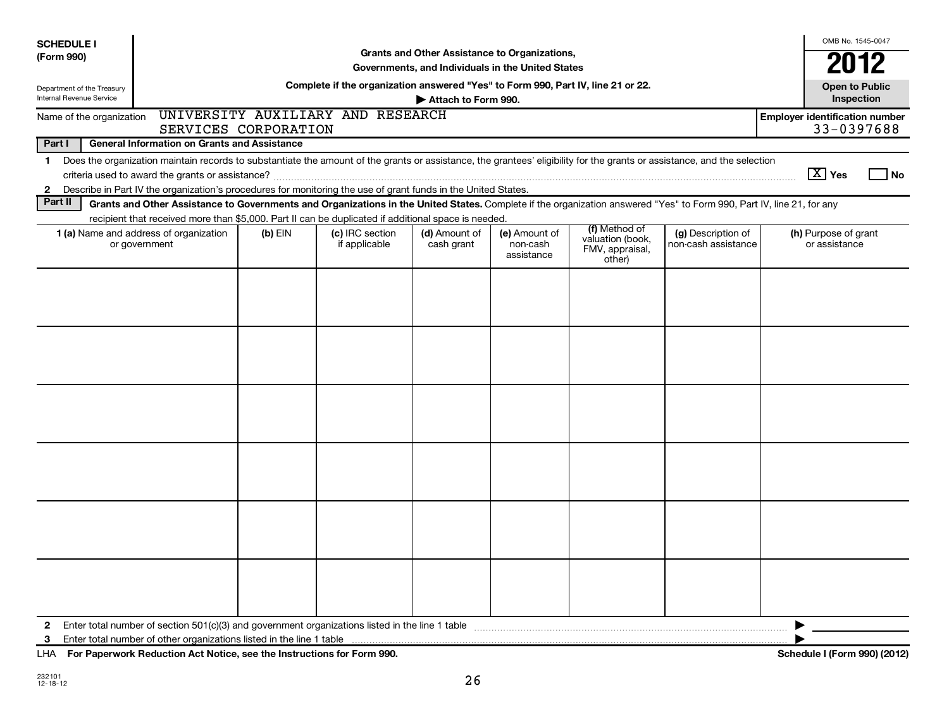| <b>SCHEDULE I</b>               |                                                                                                                                                                          |                      |                                                                                  |                             | Grants and Other Assistance to Organizations,     |                                                                |                                           | OMB No. 1545-0047                                   |
|---------------------------------|--------------------------------------------------------------------------------------------------------------------------------------------------------------------------|----------------------|----------------------------------------------------------------------------------|-----------------------------|---------------------------------------------------|----------------------------------------------------------------|-------------------------------------------|-----------------------------------------------------|
| (Form 990)                      |                                                                                                                                                                          |                      |                                                                                  |                             | Governments, and Individuals in the United States |                                                                |                                           | 2012                                                |
| Department of the Treasury      |                                                                                                                                                                          |                      | Complete if the organization answered "Yes" to Form 990, Part IV, line 21 or 22. |                             |                                                   |                                                                |                                           | <b>Open to Public</b>                               |
| <b>Internal Revenue Service</b> |                                                                                                                                                                          |                      |                                                                                  | Attach to Form 990.         |                                                   |                                                                |                                           | Inspection                                          |
| Name of the organization        |                                                                                                                                                                          | SERVICES CORPORATION | UNIVERSITY AUXILIARY AND RESEARCH                                                |                             |                                                   |                                                                |                                           | <b>Employer identification number</b><br>33-0397688 |
| Part I                          | <b>General Information on Grants and Assistance</b>                                                                                                                      |                      |                                                                                  |                             |                                                   |                                                                |                                           |                                                     |
| $\mathbf 1$                     | Does the organization maintain records to substantiate the amount of the grants or assistance, the grantees' eligibility for the grants or assistance, and the selection |                      |                                                                                  |                             |                                                   |                                                                |                                           |                                                     |
|                                 |                                                                                                                                                                          |                      |                                                                                  |                             |                                                   |                                                                |                                           | $ \overline{X} $ Yes<br>l No                        |
| $\mathbf{2}$                    | Describe in Part IV the organization's procedures for monitoring the use of grant funds in the United States.                                                            |                      |                                                                                  |                             |                                                   |                                                                |                                           |                                                     |
| Part II                         | Grants and Other Assistance to Governments and Organizations in the United States. Complete if the organization answered "Yes" to Form 990, Part IV, line 21, for any    |                      |                                                                                  |                             |                                                   |                                                                |                                           |                                                     |
|                                 | recipient that received more than \$5,000. Part II can be duplicated if additional space is needed.                                                                      |                      |                                                                                  |                             |                                                   |                                                                |                                           |                                                     |
|                                 | 1 (a) Name and address of organization<br>or government                                                                                                                  | $(b)$ EIN            | (c) IRC section<br>if applicable                                                 | (d) Amount of<br>cash grant | (e) Amount of<br>non-cash<br>assistance           | (f) Method of<br>valuation (book,<br>FMV, appraisal,<br>other) | (g) Description of<br>non-cash assistance | (h) Purpose of grant<br>or assistance               |
|                                 |                                                                                                                                                                          |                      |                                                                                  |                             |                                                   |                                                                |                                           |                                                     |
|                                 |                                                                                                                                                                          |                      |                                                                                  |                             |                                                   |                                                                |                                           |                                                     |
|                                 |                                                                                                                                                                          |                      |                                                                                  |                             |                                                   |                                                                |                                           |                                                     |
|                                 |                                                                                                                                                                          |                      |                                                                                  |                             |                                                   |                                                                |                                           |                                                     |
|                                 |                                                                                                                                                                          |                      |                                                                                  |                             |                                                   |                                                                |                                           |                                                     |
|                                 |                                                                                                                                                                          |                      |                                                                                  |                             |                                                   |                                                                |                                           |                                                     |
|                                 |                                                                                                                                                                          |                      |                                                                                  |                             |                                                   |                                                                |                                           |                                                     |
|                                 |                                                                                                                                                                          |                      |                                                                                  |                             |                                                   |                                                                |                                           |                                                     |
|                                 |                                                                                                                                                                          |                      |                                                                                  |                             |                                                   |                                                                |                                           |                                                     |
|                                 |                                                                                                                                                                          |                      |                                                                                  |                             |                                                   |                                                                |                                           |                                                     |
|                                 |                                                                                                                                                                          |                      |                                                                                  |                             |                                                   |                                                                |                                           |                                                     |
|                                 |                                                                                                                                                                          |                      |                                                                                  |                             |                                                   |                                                                |                                           |                                                     |
|                                 |                                                                                                                                                                          |                      |                                                                                  |                             |                                                   |                                                                |                                           |                                                     |
|                                 |                                                                                                                                                                          |                      |                                                                                  |                             |                                                   |                                                                |                                           |                                                     |
|                                 |                                                                                                                                                                          |                      |                                                                                  |                             |                                                   |                                                                |                                           |                                                     |
|                                 |                                                                                                                                                                          |                      |                                                                                  |                             |                                                   |                                                                |                                           |                                                     |
|                                 |                                                                                                                                                                          |                      |                                                                                  |                             |                                                   |                                                                |                                           |                                                     |
| $\mathbf{2}$                    | Enter total number of section 501(c)(3) and government organizations listed in the line 1 table                                                                          |                      |                                                                                  |                             |                                                   |                                                                |                                           |                                                     |
| 3                               | Enter total number of other organizations listed in the line 1 table                                                                                                     |                      |                                                                                  |                             |                                                   |                                                                |                                           |                                                     |
|                                 | LHA For Paperwork Reduction Act Notice, see the Instructions for Form 990.                                                                                               |                      |                                                                                  |                             |                                                   |                                                                |                                           | Schedule I (Form 990) (2012)                        |

232101 12-18-12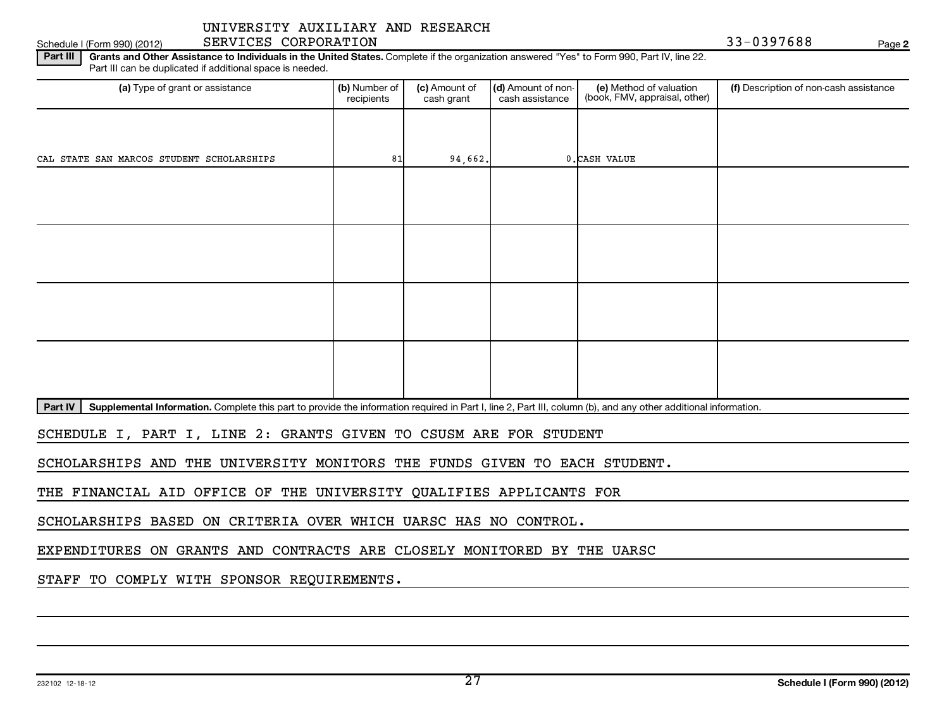## Schedule I (Form 990) (2012) SERVICES CORPORATION And the state of the state of the SS of the SS of the SS of the Page

**2**

Part III | Grants and Other Assistance to Individuals in the United States. Complete if the organization answered "Yes" to Form 990, Part IV, line 22. Part III can be duplicated if additional space is needed.

| (a) Type of grant or assistance           | (b) Number of<br>recipients | (c) Amount of<br>cash grant | (d) Amount of non-<br>cash assistance | (e) Method of valuation<br>(book, FMV, appraisal, other) | (f) Description of non-cash assistance |
|-------------------------------------------|-----------------------------|-----------------------------|---------------------------------------|----------------------------------------------------------|----------------------------------------|
|                                           |                             |                             |                                       |                                                          |                                        |
| CAL STATE SAN MARCOS STUDENT SCHOLARSHIPS | 81                          | 94,662.                     |                                       | 0. CASH VALUE                                            |                                        |
|                                           |                             |                             |                                       |                                                          |                                        |
|                                           |                             |                             |                                       |                                                          |                                        |
|                                           |                             |                             |                                       |                                                          |                                        |
|                                           |                             |                             |                                       |                                                          |                                        |
|                                           |                             |                             |                                       |                                                          |                                        |
|                                           |                             |                             |                                       |                                                          |                                        |
|                                           |                             |                             |                                       |                                                          |                                        |
|                                           |                             |                             |                                       |                                                          |                                        |

Part IV | Supplemental Information. Complete this part to provide the information required in Part I, line 2, Part III, column (b), and any other additional information.

SCHEDULE I, PART I, LINE 2: GRANTS GIVEN TO CSUSM ARE FOR STUDENT

SCHOLARSHIPS AND THE UNIVERSITY MONITORS THE FUNDS GIVEN TO EACH STUDENT.

THE FINANCIAL AID OFFICE OF THE UNIVERSITY QUALIFIES APPLICANTS FOR

SCHOLARSHIPS BASED ON CRITERIA OVER WHICH UARSC HAS NO CONTROL.

EXPENDITURES ON GRANTS AND CONTRACTS ARE CLOSELY MONITORED BY THE UARSC

STAFF TO COMPLY WITH SPONSOR REQUIREMENTS.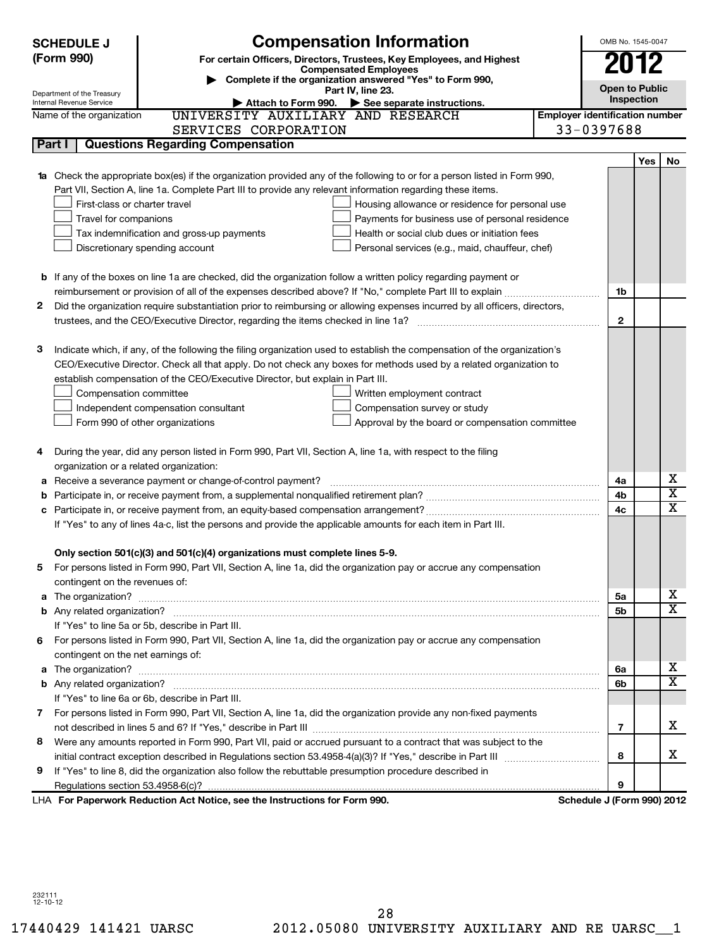|   | <b>SCHEDULE J</b>                  | <b>Compensation Information</b>                                                                                                                                                                      |                                       | OMB No. 1545-0047          |     |                         |
|---|------------------------------------|------------------------------------------------------------------------------------------------------------------------------------------------------------------------------------------------------|---------------------------------------|----------------------------|-----|-------------------------|
|   | (Form 990)                         | For certain Officers, Directors, Trustees, Key Employees, and Highest                                                                                                                                |                                       | 2012                       |     |                         |
|   |                                    | <b>Compensated Employees</b>                                                                                                                                                                         |                                       |                            |     |                         |
|   | Department of the Treasury         | Complete if the organization answered "Yes" to Form 990,<br>Part IV, line 23.                                                                                                                        |                                       | <b>Open to Public</b>      |     |                         |
|   | Internal Revenue Service           | Attach to Form 990. See separate instructions.                                                                                                                                                       |                                       | Inspection                 |     |                         |
|   | Name of the organization           | UNIVERSITY AUXILIARY AND RESEARCH                                                                                                                                                                    | <b>Employer identification number</b> |                            |     |                         |
|   |                                    | SERVICES CORPORATION                                                                                                                                                                                 |                                       | 33-0397688                 |     |                         |
|   | Part I                             | <b>Questions Regarding Compensation</b>                                                                                                                                                              |                                       |                            |     |                         |
|   |                                    |                                                                                                                                                                                                      |                                       |                            | Yes | No                      |
|   |                                    | Check the appropriate box(es) if the organization provided any of the following to or for a person listed in Form 990,                                                                               |                                       |                            |     |                         |
|   |                                    | Part VII, Section A, line 1a. Complete Part III to provide any relevant information regarding these items.                                                                                           |                                       |                            |     |                         |
|   | First-class or charter travel      | Housing allowance or residence for personal use                                                                                                                                                      |                                       |                            |     |                         |
|   | Travel for companions              | Payments for business use of personal residence                                                                                                                                                      |                                       |                            |     |                         |
|   |                                    | Health or social club dues or initiation fees<br>Tax indemnification and gross-up payments                                                                                                           |                                       |                            |     |                         |
|   |                                    | Discretionary spending account<br>Personal services (e.g., maid, chauffeur, chef)                                                                                                                    |                                       |                            |     |                         |
|   |                                    |                                                                                                                                                                                                      |                                       |                            |     |                         |
|   |                                    | <b>b</b> If any of the boxes on line 1a are checked, did the organization follow a written policy regarding payment or                                                                               |                                       |                            |     |                         |
|   |                                    |                                                                                                                                                                                                      |                                       | 1b                         |     |                         |
| 2 |                                    | Did the organization require substantiation prior to reimbursing or allowing expenses incurred by all officers, directors,                                                                           |                                       | $\mathbf{2}$               |     |                         |
|   |                                    |                                                                                                                                                                                                      |                                       |                            |     |                         |
|   |                                    | Indicate which, if any, of the following the filing organization used to establish the compensation of the organization's                                                                            |                                       |                            |     |                         |
| З |                                    |                                                                                                                                                                                                      |                                       |                            |     |                         |
|   |                                    | CEO/Executive Director. Check all that apply. Do not check any boxes for methods used by a related organization to<br>establish compensation of the CEO/Executive Director, but explain in Part III. |                                       |                            |     |                         |
|   | Compensation committee             | Written employment contract                                                                                                                                                                          |                                       |                            |     |                         |
|   |                                    | Compensation survey or study<br>Independent compensation consultant                                                                                                                                  |                                       |                            |     |                         |
|   |                                    | Approval by the board or compensation committee<br>Form 990 of other organizations                                                                                                                   |                                       |                            |     |                         |
|   |                                    |                                                                                                                                                                                                      |                                       |                            |     |                         |
|   |                                    | During the year, did any person listed in Form 990, Part VII, Section A, line 1a, with respect to the filing                                                                                         |                                       |                            |     |                         |
|   |                                    | organization or a related organization:                                                                                                                                                              |                                       |                            |     |                         |
| а |                                    | Receive a severance payment or change-of-control payment?                                                                                                                                            |                                       | 4a                         |     | x                       |
| b |                                    |                                                                                                                                                                                                      |                                       | 4b                         |     | $\overline{\textbf{x}}$ |
| с |                                    |                                                                                                                                                                                                      |                                       | 4 <sub>c</sub>             |     | X                       |
|   |                                    | If "Yes" to any of lines 4a-c, list the persons and provide the applicable amounts for each item in Part III.                                                                                        |                                       |                            |     |                         |
|   |                                    |                                                                                                                                                                                                      |                                       |                            |     |                         |
|   |                                    | Only section 501(c)(3) and 501(c)(4) organizations must complete lines 5-9.                                                                                                                          |                                       |                            |     |                         |
|   |                                    | For persons listed in Form 990, Part VII, Section A, line 1a, did the organization pay or accrue any compensation                                                                                    |                                       |                            |     |                         |
|   | contingent on the revenues of:     |                                                                                                                                                                                                      |                                       |                            |     |                         |
| a |                                    |                                                                                                                                                                                                      |                                       | 5а                         |     | x                       |
|   |                                    |                                                                                                                                                                                                      |                                       | 5b                         |     | $\overline{\mathtt{x}}$ |
|   |                                    | If "Yes" to line 5a or 5b, describe in Part III.                                                                                                                                                     |                                       |                            |     |                         |
|   |                                    | 6 For persons listed in Form 990, Part VII, Section A, line 1a, did the organization pay or accrue any compensation                                                                                  |                                       |                            |     |                         |
|   | contingent on the net earnings of: |                                                                                                                                                                                                      |                                       |                            |     |                         |
| a |                                    |                                                                                                                                                                                                      |                                       | 6a                         |     | х                       |
|   |                                    |                                                                                                                                                                                                      |                                       | 6b                         |     | $\overline{\texttt{x}}$ |
|   |                                    | If "Yes" to line 6a or 6b, describe in Part III.                                                                                                                                                     |                                       |                            |     |                         |
|   |                                    | 7 For persons listed in Form 990, Part VII, Section A, line 1a, did the organization provide any non-fixed payments                                                                                  |                                       |                            |     |                         |
|   |                                    |                                                                                                                                                                                                      |                                       | 7                          |     | x                       |
| 8 |                                    | Were any amounts reported in Form 990, Part VII, paid or accrued pursuant to a contract that was subject to the                                                                                      |                                       |                            |     |                         |
|   |                                    |                                                                                                                                                                                                      |                                       | 8                          |     | x                       |
| 9 |                                    | If "Yes" to line 8, did the organization also follow the rebuttable presumption procedure described in                                                                                               |                                       |                            |     |                         |
|   |                                    |                                                                                                                                                                                                      |                                       | 9                          |     |                         |
|   |                                    | LHA For Paperwork Reduction Act Notice, see the Instructions for Form 990.                                                                                                                           |                                       | Schedule J (Form 990) 2012 |     |                         |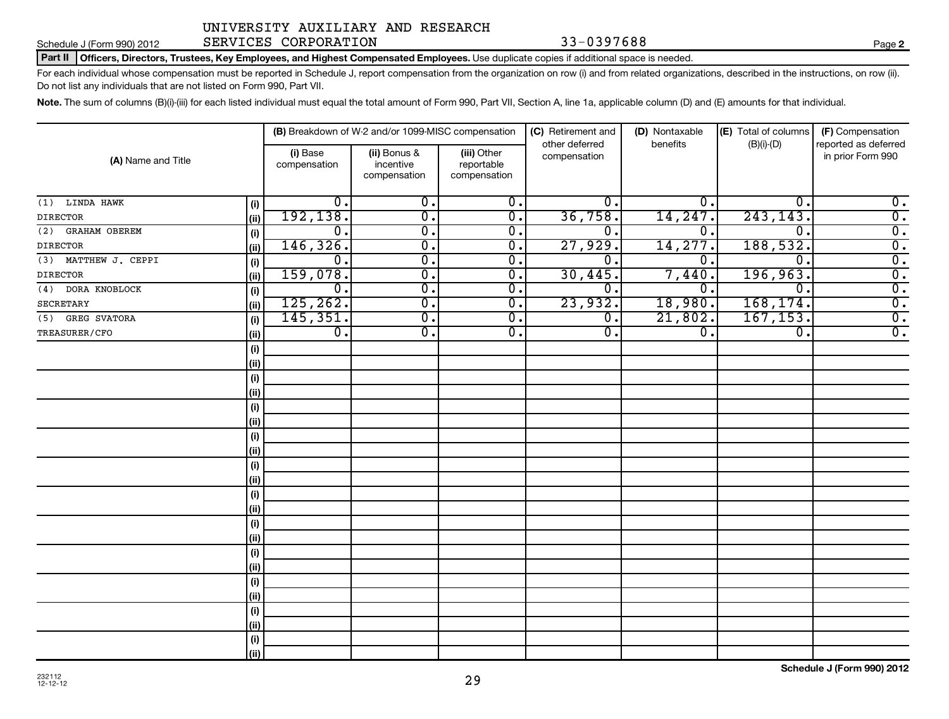## Schedule J (Form 990) 2012 SERVICES CORPORATION 33-0397688 Page

**2**

Part II | Officers, Directors, Trustees, Key Employees, and Highest Compensated Employees. Use duplicate copies if additional space is needed.

For each individual whose compensation must be reported in Schedule J, report compensation from the organization on row (i) and from related organizations, described in the instructions, on row (ii). Do not list any individuals that are not listed on Form 990, Part VII.

Note. The sum of columns (B)(i)-(iii) for each listed individual must equal the total amount of Form 990, Part VII, Section A, line 1a, applicable column (D) and (E) amounts for that individual.

| (A) Name and Title          |            |                          | (B) Breakdown of W-2 and/or 1099-MISC compensation |                                           | (C) Retirement and<br>other deferred | (D) Nontaxable<br>benefits  | (E) Total of columns        | (F) Compensation<br>reported as deferred |
|-----------------------------|------------|--------------------------|----------------------------------------------------|-------------------------------------------|--------------------------------------|-----------------------------|-----------------------------|------------------------------------------|
|                             |            | (i) Base<br>compensation | (ii) Bonus &<br>incentive<br>compensation          | (iii) Other<br>reportable<br>compensation | compensation                         |                             | $(B)(i)-(D)$                | in prior Form 990                        |
| $(1)$ LINDA HAWK            | (i)        | 0.                       | $\overline{0}$ .                                   | $\overline{0}$ .                          | 0.                                   | $0 \, .$                    | $\mathbf{0}$                | $\overline{0}$ .                         |
| <b>DIRECTOR</b>             | (ii)       | 192,138.                 | $\overline{0}$                                     | $\overline{0}$ .                          | 36,758.                              | 14,247                      | 243, 143.                   | $\overline{0}$ .                         |
| <b>GRAHAM OBEREM</b><br>(2) | $(\sf{i})$ | 0.                       | $\overline{0}$                                     | $\overline{0}$ .                          | о.                                   | 0                           | $\Omega$                    | $\overline{0}$ .                         |
| <b>DIRECTOR</b>             | (ii)       | 146, 326.                | $\overline{0}$                                     | $\overline{0}$ .                          | 27,929.                              | 14,277                      | 188,532.                    | $\overline{\mathfrak{o}}$ .              |
| (3) MATTHEW J. CEPPI        | (i)        | 0.                       | $\overline{0}$                                     | $\overline{0}$ .                          | 0.                                   | 0                           | $\Omega$                    | $\overline{0}$ .                         |
| <b>DIRECTOR</b>             | (ii)       | 159,078.                 | $\overline{0}$ .                                   | $\overline{0}$ .                          | 30,445.                              | 7,440                       | 196,963.                    | $\overline{0}$ .                         |
| $(4)$ DORA KNOBLOCK         | (i)        | $\overline{0}$ .         | $\overline{0}$ .                                   | $\overline{0}$ .                          | 0.                                   | 0.                          | $\Omega$                    | $\overline{0}$ .                         |
| <b>SECRETARY</b>            | (ii)       | 125, 262.                | $\overline{0}$                                     | $\overline{0}$ .                          | 23,932.                              | 18,980.                     | 168, 174.                   | $\overline{0}$ .                         |
| (5) GREG SVATORA            | (i)        | 145, 351.                | $\overline{0}$ .                                   | $\overline{0}$ .                          | $\overline{0}$ .                     | 21,802.                     | 167, 153.                   | $\overline{0}$ .                         |
| TREASURER/CFO               | (ii)       | $\overline{0}$ .         | $\overline{0}$ .                                   | $\overline{0}$ .                          | $\overline{0}$ .                     | $\overline{\mathfrak{o}}$ . | $\overline{\mathfrak{o}}$ . | $\overline{0}$ .                         |
|                             | (i)        |                          |                                                    |                                           |                                      |                             |                             |                                          |
|                             | (ii)       |                          |                                                    |                                           |                                      |                             |                             |                                          |
|                             | (i)        |                          |                                                    |                                           |                                      |                             |                             |                                          |
|                             | (ii)       |                          |                                                    |                                           |                                      |                             |                             |                                          |
|                             | (i)        |                          |                                                    |                                           |                                      |                             |                             |                                          |
|                             | (ii)       |                          |                                                    |                                           |                                      |                             |                             |                                          |
|                             | (i)        |                          |                                                    |                                           |                                      |                             |                             |                                          |
|                             | (ii)       |                          |                                                    |                                           |                                      |                             |                             |                                          |
|                             | (i)        |                          |                                                    |                                           |                                      |                             |                             |                                          |
|                             | (ii)       |                          |                                                    |                                           |                                      |                             |                             |                                          |
|                             | (i)        |                          |                                                    |                                           |                                      |                             |                             |                                          |
|                             | (ii)       |                          |                                                    |                                           |                                      |                             |                             |                                          |
|                             | (i)        |                          |                                                    |                                           |                                      |                             |                             |                                          |
|                             | (ii)       |                          |                                                    |                                           |                                      |                             |                             |                                          |
|                             | (i)        |                          |                                                    |                                           |                                      |                             |                             |                                          |
|                             | (ii)       |                          |                                                    |                                           |                                      |                             |                             |                                          |
|                             | (i)        |                          |                                                    |                                           |                                      |                             |                             |                                          |
|                             | (ii)       |                          |                                                    |                                           |                                      |                             |                             |                                          |
|                             | (i)        |                          |                                                    |                                           |                                      |                             |                             |                                          |
|                             | (ii)       |                          |                                                    |                                           |                                      |                             |                             |                                          |
|                             | (i)        |                          |                                                    |                                           |                                      |                             |                             |                                          |
|                             | (ii)       |                          |                                                    |                                           |                                      |                             |                             |                                          |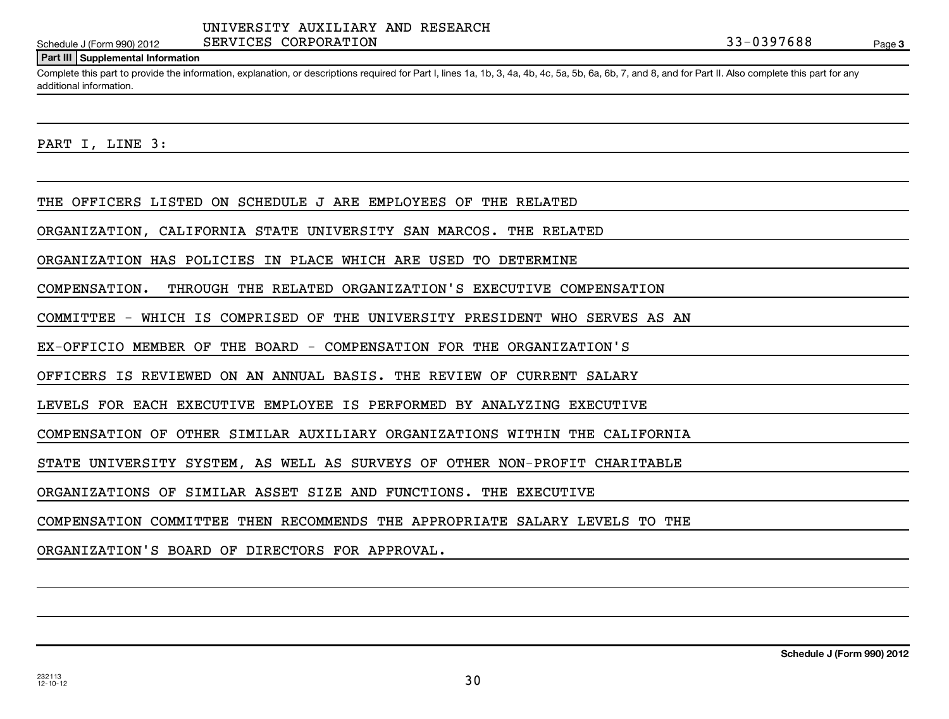Page 3

### **Part III Supplemental Information**

Complete this part to provide the information, explanation, or descriptions required for Part I, lines 1a, 1b, 3, 4a, 4b, 4c, 5a, 5b, 6a, 6b, 7, and 8, and for Part II. Also complete this part for any additional information.

PART I, LINE 3:

THE OFFICERS LISTED ON SCHEDULE J ARE EMPLOYEES OF THE RELATED

ORGANIZATION, CALIFORNIA STATE UNIVERSITY SAN MARCOS. THE RELATED

ORGANIZATION HAS POLICIES IN PLACE WHICH ARE USED TO DETERMINE

COMPENSATION. THROUGH THE RELATED ORGANIZATION'S EXECUTIVE COMPENSATION

COMMITTEE - WHICH IS COMPRISED OF THE UNIVERSITY PRESIDENT WHO SERVES AS AN

EX-OFFICIO MEMBER OF THE BOARD - COMPENSATION FOR THE ORGANIZATION'S

OFFICERS IS REVIEWED ON AN ANNUAL BASIS. THE REVIEW OF CURRENT SALARY

LEVELS FOR EACH EXECUTIVE EMPLOYEE IS PERFORMED BY ANALYZING EXECUTIVE

COMPENSATION OF OTHER SIMILAR AUXILIARY ORGANIZATIONS WITHIN THE CALIFORNIA

STATE UNIVERSITY SYSTEM, AS WELL AS SURVEYS OF OTHER NON-PROFIT CHARITABLE

ORGANIZATIONS OF SIMILAR ASSET SIZE AND FUNCTIONS. THE EXECUTIVE

COMPENSATION COMMITTEE THEN RECOMMENDS THE APPROPRIATE SALARY LEVELS TO THE

ORGANIZATION'S BOARD OF DIRECTORS FOR APPROVAL.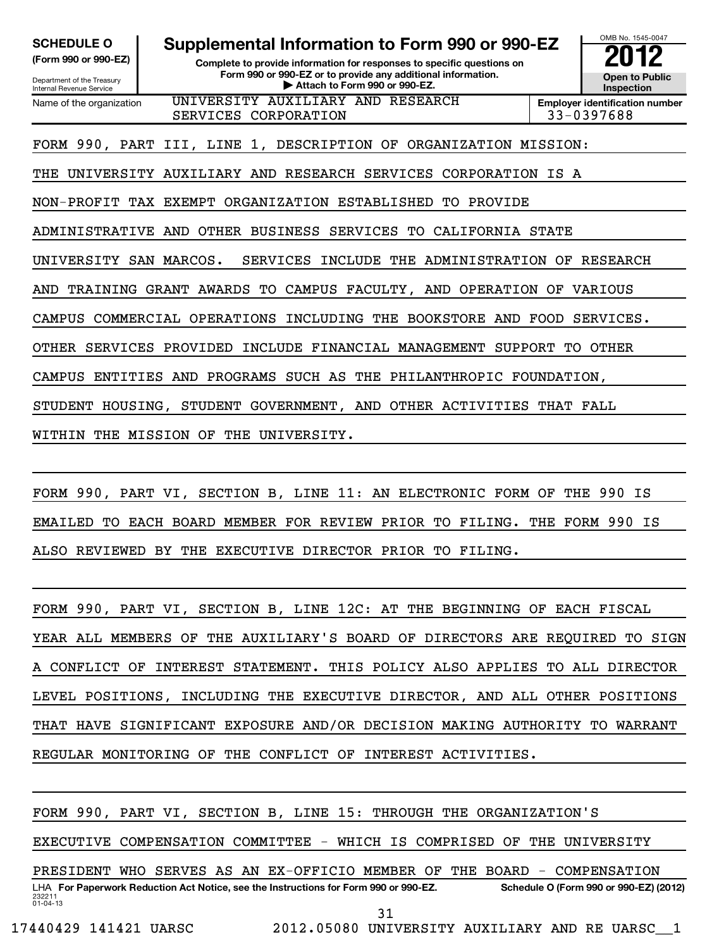Department of the Treasury Internal Revenue Service

**SCHEDULE O Supplemental Information to Form 990 or 990-EZ 2012**

**(Form 990 or 990-EZ) Complete to provide information for responses to specific questions on Form 990 or 990-EZ or to provide any additional information.** <del>U</del> Open to Provide any additional information. <br>
→ Attach to Form 990 or 990-EZ.

**Inspection**

OMB No. 1545-0047

Name of the organization UNIVERSITY AUXILIARY AND RESEARCH SERVICES CORPORATION 33-0397688

**Employer identification number**

FORM 990, PART III, LINE 1, DESCRIPTION OF ORGANIZATION MISSION:

THE UNIVERSITY AUXILIARY AND RESEARCH SERVICES CORPORATION IS A

NON-PROFIT TAX EXEMPT ORGANIZATION ESTABLISHED TO PROVIDE

ADMINISTRATIVE AND OTHER BUSINESS SERVICES TO CALIFORNIA STATE

UNIVERSITY SAN MARCOS. SERVICES INCLUDE THE ADMINISTRATION OF RESEARCH

AND TRAINING GRANT AWARDS TO CAMPUS FACULTY, AND OPERATION OF VARIOUS

CAMPUS COMMERCIAL OPERATIONS INCLUDING THE BOOKSTORE AND FOOD SERVICES.

OTHER SERVICES PROVIDED INCLUDE FINANCIAL MANAGEMENT SUPPORT TO OTHER

CAMPUS ENTITIES AND PROGRAMS SUCH AS THE PHILANTHROPIC FOUNDATION,

STUDENT HOUSING, STUDENT GOVERNMENT, AND OTHER ACTIVITIES THAT FALL

WITHIN THE MISSION OF THE UNIVERSITY.

FORM 990, PART VI, SECTION B, LINE 11: AN ELECTRONIC FORM OF THE 990 IS EMAILED TO EACH BOARD MEMBER FOR REVIEW PRIOR TO FILING. THE FORM 990 IS ALSO REVIEWED BY THE EXECUTIVE DIRECTOR PRIOR TO FILING.

FORM 990, PART VI, SECTION B, LINE 12C: AT THE BEGINNING OF EACH FISCAL YEAR ALL MEMBERS OF THE AUXILIARY'S BOARD OF DIRECTORS ARE REQUIRED TO SIGN A CONFLICT OF INTEREST STATEMENT. THIS POLICY ALSO APPLIES TO ALL DIRECTOR LEVEL POSITIONS, INCLUDING THE EXECUTIVE DIRECTOR, AND ALL OTHER POSITIONS THAT HAVE SIGNIFICANT EXPOSURE AND/OR DECISION MAKING AUTHORITY TO WARRANT REGULAR MONITORING OF THE CONFLICT OF INTEREST ACTIVITIES.

232211 01-04-13 LHA For Paperwork Reduction Act Notice, see the Instructions for Form 990 or 990-EZ. Schedule O (Form 990 or 990-EZ) (2012) FORM 990, PART VI, SECTION B, LINE 15: THROUGH THE ORGANIZATION'S EXECUTIVE COMPENSATION COMMITTEE - WHICH IS COMPRISED OF THE UNIVERSITY PRESIDENT WHO SERVES AS AN EX-OFFICIO MEMBER OF THE BOARD - COMPENSATION 31

17440429 141421 UARSC 2012.05080 UNIVERSITY AUXILIARY AND RE UARSC\_\_1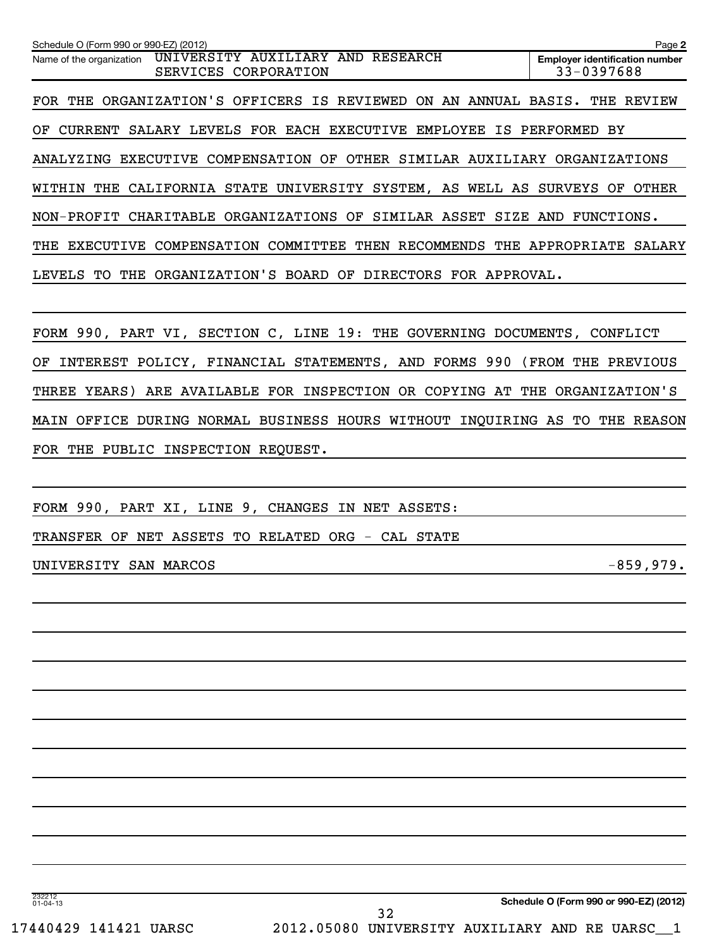| Schedule O (Form 990 or 990-EZ) (2012)                                                             | Page 2                                              |
|----------------------------------------------------------------------------------------------------|-----------------------------------------------------|
| RESEARCH<br>UNIVERSITY AUXILIARY AND<br>Name of the organization<br>CORPORATION<br><b>SERVICES</b> | <b>Emplover identification number</b><br>33-0397688 |
| FOR THE ORGANIZATION'S OFFICERS IS REVIEWED ON AN<br>ANNUAL BASIS.                                 | THE<br>REVIEW                                       |
| SALARY LEVELS FOR EACH EXECUTIVE<br>EMPLOYEE<br>OF<br><b>CURRENT</b><br>IS.                        | PERFORMED<br>ВY                                     |
| COMPENSATION<br>OF<br>OTHER<br>SIMILAR<br><b>EXECUTIVE</b><br>ANALYZING<br>AUXILIARY               | ORGANIZATIONS                                       |
| UNIVERSITY<br>SYSTEM, AS<br>WITHIN<br>CALIFORNIA STATE<br>THE<br>WELL AS                           | OTHER<br>SURVEYS<br>OF                              |
| ORGANIZATIONS OF<br>CHARITABLE<br>SIMILAR ASSET<br>NON-PROFIT<br>SIZE                              | FUNCTIONS.<br>AND                                   |
| COMPENSATION<br>COMMITTEE<br>RECOMMENDS<br>THEN<br>THE<br><b>EXECUTIVE</b><br>THE                  | APPROPRIATE<br>SALARY                               |
| ORGANIZATION'S BOARD OF DIRECTORS FOR APPROVAL.<br>LEVELS<br>THE<br>TО                             |                                                     |
|                                                                                                    |                                                     |

FORM 990, PART VI, SECTION C, LINE 19: THE GOVERNING DOCUMENTS, CONFLICT OF INTEREST POLICY, FINANCIAL STATEMENTS, AND FORMS 990 (FROM THE PREVIOUS THREE YEARS) ARE AVAILABLE FOR INSPECTION OR COPYING AT THE ORGANIZATION'S MAIN OFFICE DURING NORMAL BUSINESS HOURS WITHOUT INQUIRING AS TO THE REASON FOR THE PUBLIC INSPECTION REQUEST.

FORM 990, PART XI, LINE 9, CHANGES IN NET ASSETS:

TRANSFER OF NET ASSETS TO RELATED ORG - CAL STATE

UNIVERSITY SAN MARCOS and the set of the set of the set of the set of the set of the set of the set of the set o

232212 01-04-13

32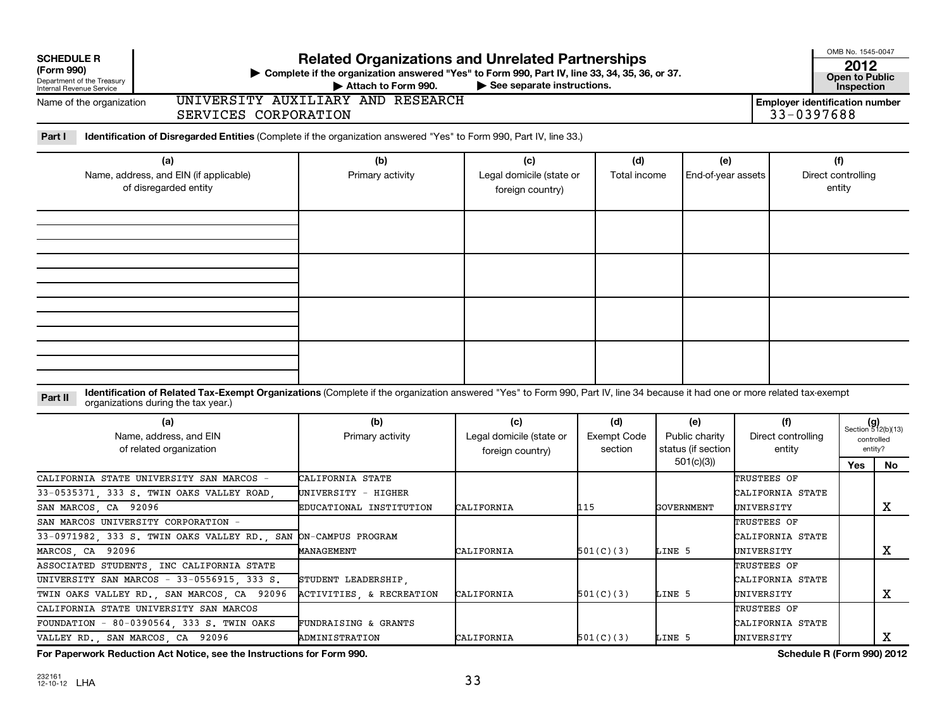| <b>SCHEDULE R</b><br>(Form 990)<br>Department of the Treasury<br>Internal Revenue Service<br>Name of the organization                                                                                                         | <b>Related Organizations and Unrelated Partnerships</b><br>▶ Complete if the organization answered "Yes" to Form 990, Part IV, line 33, 34, 35, 36, or 37.<br>Attach to Form 990.<br>UNIVERSITY AUXILIARY AND RESEARCH | See separate instructions.                          |                                      |                                                          | <b>Employer identification number</b>         | OMB No. 1545-0047<br>2012<br><b>Open to Public</b><br><b>Inspection</b> |         |
|-------------------------------------------------------------------------------------------------------------------------------------------------------------------------------------------------------------------------------|------------------------------------------------------------------------------------------------------------------------------------------------------------------------------------------------------------------------|-----------------------------------------------------|--------------------------------------|----------------------------------------------------------|-----------------------------------------------|-------------------------------------------------------------------------|---------|
| SERVICES CORPORATION                                                                                                                                                                                                          |                                                                                                                                                                                                                        |                                                     |                                      |                                                          | 33-0397688                                    |                                                                         |         |
| Part I<br>Identification of Disregarded Entities (Complete if the organization answered "Yes" to Form 990, Part IV, line 33.)                                                                                                 |                                                                                                                                                                                                                        |                                                     |                                      |                                                          |                                               |                                                                         |         |
| (a)<br>Name, address, and EIN (if applicable)<br>of disregarded entity                                                                                                                                                        | (b)<br>Primary activity                                                                                                                                                                                                | (c)<br>Legal domicile (state or<br>foreign country) | (d)<br>Total income                  | (e)<br>End-of-year assets                                |                                               | (f)<br>Direct controlling<br>entity                                     |         |
|                                                                                                                                                                                                                               |                                                                                                                                                                                                                        |                                                     |                                      |                                                          |                                               |                                                                         |         |
|                                                                                                                                                                                                                               |                                                                                                                                                                                                                        |                                                     |                                      |                                                          |                                               |                                                                         |         |
| Identification of Related Tax-Exempt Organizations (Complete if the organization answered "Yes" to Form 990, Part IV, line 34 because it had one or more related tax-exempt<br>Part II<br>organizations during the tax year.) |                                                                                                                                                                                                                        |                                                     |                                      |                                                          |                                               |                                                                         |         |
| (a)<br>Name, address, and EIN<br>of related organization                                                                                                                                                                      | (b)<br>Primary activity                                                                                                                                                                                                | (c)<br>Legal domicile (state or<br>foreign country) | (d)<br><b>Exempt Code</b><br>section | (e)<br>Public charity<br>status (if section<br>501(c)(3) | (f)<br>Direct controlling<br>entity           | $(g)$<br>Section 512(b)(13)<br>controlled<br>entity?                    |         |
| CALIFORNIA STATE UNIVERSITY SAN MARCOS<br>$33 - 0535371$ .<br>333 S. TWIN OAKS VALLEY ROAD<br>SAN MARCOS, CA 92096                                                                                                            | CALIFORNIA STATE<br>UNIVERSITY - HIGHER<br>EDUCATIONAL INSTITUTION                                                                                                                                                     | CALIFORNIA                                          | 115<br>GOVERNMENT                    |                                                          | TRUSTEES OF<br>CALIFORNIA STATE<br>UNIVERSITY | Yes                                                                     | No<br>х |
| SAN MARCOS UNIVERSITY CORPORATION -<br>33-0971982, 333 S. TWIN OAKS VALLEY RD.<br>SAN<br>MARCOS, CA<br>92096                                                                                                                  | ON-CAMPUS PROGRAM<br>MANAGEMENT                                                                                                                                                                                        | CALIFORNIA                                          | 501(C)(3)                            | LINE 5                                                   | TRUSTEES OF<br>CALIFORNIA STATE<br>UNIVERSITY |                                                                         | X       |
| ASSOCIATED STUDENTS, INC CALIFORNIA STATE<br>UNIVERSITY SAN MARCOS - 33-0556915, 333 S.<br>TWIN OAKS VALLEY RD., SAN MARCOS, CA 92096                                                                                         | STUDENT LEADERSHIP,<br>ACTIVITIES, & RECREATION                                                                                                                                                                        | CALIFORNIA                                          | 501(C)(3)                            | LINE 5                                                   | TRUSTEES OF<br>CALIFORNIA STATE<br>UNIVERSITY |                                                                         | х       |
| CALIFORNIA STATE UNIVERSITY SAN MARCOS<br>FOUNDATION<br>$-80-0390564$ , 333 S. TWIN OAKS<br>VALLEY RD.<br>SAN MARCOS, CA 92096                                                                                                | <b>FUNDRAISING &amp; GRANTS</b><br>ADMINISTRATION                                                                                                                                                                      | CALIFORNIA                                          | 501(C)(3)                            | LINE 5                                                   | TRUSTEES OF<br>CALIFORNIA STATE<br>UNIVERSITY |                                                                         | Х       |

**For Paperwork Reduction Act Notice, see the Instructions for Form 990. Schedule R (Form 990) 2012**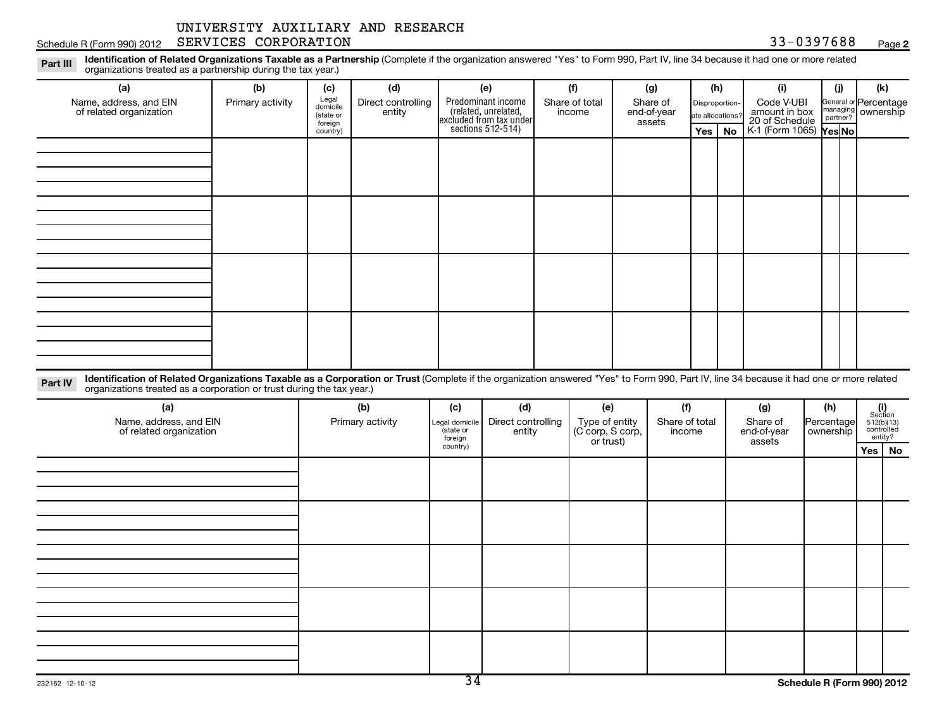Schedule R (Form 990) 2012 SERVICES CORPORATION (Schedule R (Form 990) 2012 SERVICES CORPORATION

**2**

Part III Identification of Related Organizations Taxable as a Partnership (Complete if the organization answered "Yes" to Form 990, Part IV, line 34 because it had one or more related<br>Read to reconizations tracted as a par organizations treated as a partnership during the tax year.)

| (a)                                                                                                                                                                                                                                                                         | (b)              | (c)                                       | (d)                          |                             | (e)                                                                                        | (f)                                | (g)                                      | (h) |                                                                                                                     | (i)                     | (i)        |  | (k)                                                                |  |
|-----------------------------------------------------------------------------------------------------------------------------------------------------------------------------------------------------------------------------------------------------------------------------|------------------|-------------------------------------------|------------------------------|-----------------------------|--------------------------------------------------------------------------------------------|------------------------------------|------------------------------------------|-----|---------------------------------------------------------------------------------------------------------------------|-------------------------|------------|--|--------------------------------------------------------------------|--|
| Name, address, and EIN<br>of related organization                                                                                                                                                                                                                           | Primary activity | Legal<br>domicile<br>(state or<br>foreign | Direct controlling<br>entity |                             | Predominant income<br>(related, unrelated,<br>excluded from tax under<br>sections 512-514) | Share of total<br>income           | Share of<br>end-of-year<br>assets<br>Yes |     | Code V-UBI<br>Disproportion-<br>amount in box<br>20 of Schedule<br>ate allocations?<br>K-1 (Form 1065) Yes No<br>No |                         | partner?   |  | General or Percentage<br>managing ownership                        |  |
|                                                                                                                                                                                                                                                                             |                  | country)                                  |                              |                             |                                                                                            |                                    |                                          |     |                                                                                                                     |                         |            |  |                                                                    |  |
|                                                                                                                                                                                                                                                                             |                  |                                           |                              |                             |                                                                                            |                                    |                                          |     |                                                                                                                     |                         |            |  |                                                                    |  |
|                                                                                                                                                                                                                                                                             |                  |                                           |                              |                             |                                                                                            |                                    |                                          |     |                                                                                                                     |                         |            |  |                                                                    |  |
|                                                                                                                                                                                                                                                                             |                  |                                           |                              |                             |                                                                                            |                                    |                                          |     |                                                                                                                     |                         |            |  |                                                                    |  |
|                                                                                                                                                                                                                                                                             |                  |                                           |                              |                             |                                                                                            |                                    |                                          |     |                                                                                                                     |                         |            |  |                                                                    |  |
|                                                                                                                                                                                                                                                                             |                  |                                           |                              |                             |                                                                                            |                                    |                                          |     |                                                                                                                     |                         |            |  |                                                                    |  |
|                                                                                                                                                                                                                                                                             |                  |                                           |                              |                             |                                                                                            |                                    |                                          |     |                                                                                                                     |                         |            |  |                                                                    |  |
|                                                                                                                                                                                                                                                                             |                  |                                           |                              |                             |                                                                                            |                                    |                                          |     |                                                                                                                     |                         |            |  |                                                                    |  |
|                                                                                                                                                                                                                                                                             |                  |                                           |                              |                             |                                                                                            |                                    |                                          |     |                                                                                                                     |                         |            |  |                                                                    |  |
|                                                                                                                                                                                                                                                                             |                  |                                           |                              |                             |                                                                                            |                                    |                                          |     |                                                                                                                     |                         |            |  |                                                                    |  |
|                                                                                                                                                                                                                                                                             |                  |                                           |                              |                             |                                                                                            |                                    |                                          |     |                                                                                                                     |                         |            |  |                                                                    |  |
|                                                                                                                                                                                                                                                                             |                  |                                           |                              |                             |                                                                                            |                                    |                                          |     |                                                                                                                     |                         |            |  |                                                                    |  |
|                                                                                                                                                                                                                                                                             |                  |                                           |                              |                             |                                                                                            |                                    |                                          |     |                                                                                                                     |                         |            |  |                                                                    |  |
| Identification of Related Organizations Taxable as a Corporation or Trust (Complete if the organization answered "Yes" to Form 990, Part IV, line 34 because it had one or more related<br>Part IV<br>organizations treated as a corporation or trust during the tax year.) |                  |                                           |                              |                             |                                                                                            |                                    |                                          |     |                                                                                                                     |                         |            |  |                                                                    |  |
| (a)                                                                                                                                                                                                                                                                         |                  |                                           | (b)                          | (c)                         | (d)                                                                                        | (e)                                | (f)                                      |     |                                                                                                                     | (g)                     | (h)        |  | $\begin{array}{c} (i) \\ \text{Section} \\ 512(b)(13) \end{array}$ |  |
| Name, address, and EIN<br>of related organization                                                                                                                                                                                                                           |                  |                                           | Primary activity             | Legal domicile<br>(state or | Direct controlling<br>entity                                                               | Type of entity<br>(C corp, S corp, | Share of total<br>income                 |     |                                                                                                                     | Share of<br>end-of-year | Percentage |  | controlled<br>entity?                                              |  |
|                                                                                                                                                                                                                                                                             |                  |                                           |                              | foreign<br>country)         |                                                                                            | or trust)                          |                                          |     |                                                                                                                     | assets                  |            |  | Yes   No                                                           |  |
|                                                                                                                                                                                                                                                                             |                  |                                           |                              |                             |                                                                                            |                                    |                                          |     |                                                                                                                     |                         |            |  |                                                                    |  |
|                                                                                                                                                                                                                                                                             |                  |                                           |                              |                             |                                                                                            |                                    |                                          |     |                                                                                                                     |                         |            |  |                                                                    |  |
|                                                                                                                                                                                                                                                                             |                  |                                           |                              |                             |                                                                                            |                                    |                                          |     |                                                                                                                     |                         |            |  |                                                                    |  |
|                                                                                                                                                                                                                                                                             |                  |                                           |                              |                             |                                                                                            |                                    |                                          |     |                                                                                                                     |                         |            |  |                                                                    |  |
|                                                                                                                                                                                                                                                                             |                  |                                           |                              |                             |                                                                                            |                                    |                                          |     |                                                                                                                     |                         |            |  |                                                                    |  |
|                                                                                                                                                                                                                                                                             |                  |                                           |                              |                             |                                                                                            |                                    |                                          |     |                                                                                                                     |                         |            |  |                                                                    |  |
|                                                                                                                                                                                                                                                                             |                  |                                           |                              |                             |                                                                                            |                                    |                                          |     |                                                                                                                     |                         |            |  |                                                                    |  |
|                                                                                                                                                                                                                                                                             |                  |                                           |                              |                             |                                                                                            |                                    |                                          |     |                                                                                                                     |                         |            |  |                                                                    |  |
|                                                                                                                                                                                                                                                                             |                  |                                           |                              |                             |                                                                                            |                                    |                                          |     |                                                                                                                     |                         |            |  |                                                                    |  |
|                                                                                                                                                                                                                                                                             |                  |                                           |                              |                             |                                                                                            |                                    |                                          |     |                                                                                                                     |                         |            |  |                                                                    |  |
|                                                                                                                                                                                                                                                                             |                  |                                           |                              |                             |                                                                                            |                                    |                                          |     |                                                                                                                     |                         |            |  |                                                                    |  |
|                                                                                                                                                                                                                                                                             |                  |                                           |                              |                             |                                                                                            |                                    |                                          |     |                                                                                                                     |                         |            |  |                                                                    |  |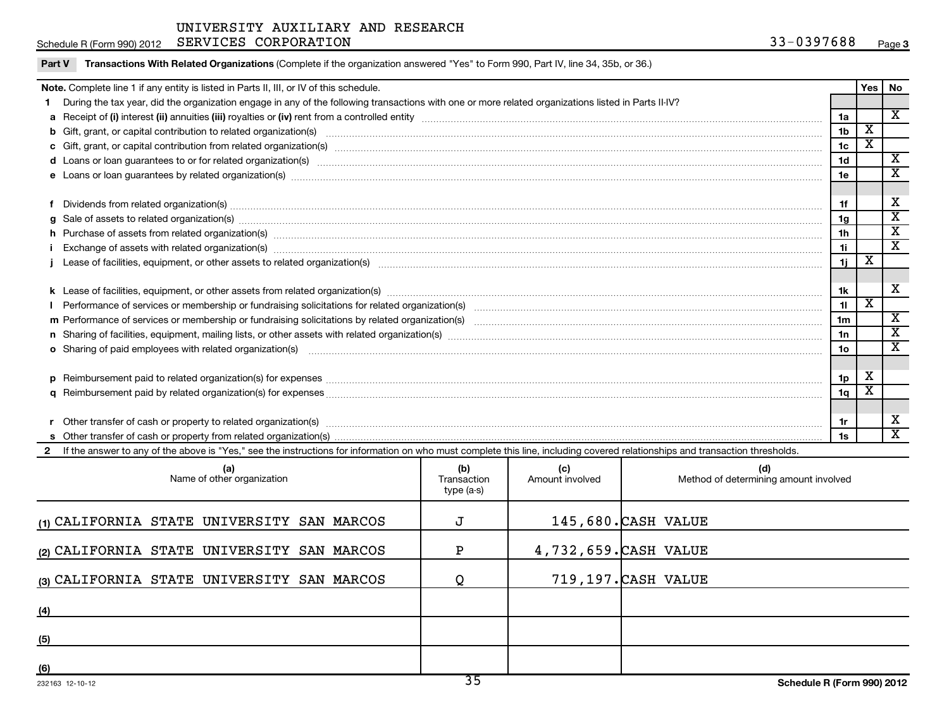|        | SERVICES CORPORATION<br>Schedule R (Form 990) 2012                                                                                                                                                                                                                                               | 33-0397688     |                         | Page 3                  |
|--------|--------------------------------------------------------------------------------------------------------------------------------------------------------------------------------------------------------------------------------------------------------------------------------------------------|----------------|-------------------------|-------------------------|
| Part V | Transactions With Related Organizations (Complete if the organization answered "Yes" to Form 990, Part IV, line 34, 35b, or 36.)                                                                                                                                                                 |                |                         |                         |
|        | Note. Complete line 1 if any entity is listed in Parts II, III, or IV of this schedule.                                                                                                                                                                                                          |                | Yes   No                |                         |
|        | 1 During the tax year, did the organization engage in any of the following transactions with one or more related organizations listed in Parts II-IV?                                                                                                                                            |                |                         |                         |
|        |                                                                                                                                                                                                                                                                                                  | 1a             |                         | $\overline{\mathbf{x}}$ |
|        |                                                                                                                                                                                                                                                                                                  | 1 <sub>b</sub> | $\overline{\mathbf{X}}$ |                         |
|        |                                                                                                                                                                                                                                                                                                  | 1c             | $\overline{\text{X}}$   |                         |
|        | d Loans or loan guarantees to or for related organization(s) www.communities.com/www.communities.com/www.communities.com/www.communities.com/www.communities.com/www.communities.com/www.communities.com/www.communities.com/w                                                                   | 1 <sub>d</sub> |                         | $\overline{\mathbf{X}}$ |
|        |                                                                                                                                                                                                                                                                                                  | 1e             |                         | $\overline{\mathbf{x}}$ |
|        |                                                                                                                                                                                                                                                                                                  |                |                         |                         |
|        | f Dividends from related organization(s) manufactured and contract the contract of the contract of the contract of the contract of the contract of the contract of the contract of the contract of the contract of the contrac                                                                   | 1f             |                         | X                       |
|        | $g$ Sale of assets to related organization(s) $\ldots$ $\ldots$ $\ldots$ $\ldots$ $\ldots$ $\ldots$ $\ldots$ $\ldots$ $\ldots$ $\ldots$ $\ldots$ $\ldots$ $\ldots$ $\ldots$ $\ldots$ $\ldots$ $\ldots$ $\ldots$ $\ldots$ $\ldots$ $\ldots$ $\ldots$ $\ldots$ $\ldots$ $\ldots$ $\ldots$ $\ldots$ | 1g             |                         | $\overline{\texttt{x}}$ |
|        | h Purchase of assets from related organization(s) manufactured content to content the content of the content of the content of the content of the content of the content of the content of the content of the content of the c                                                                   | 1h             |                         | $\overline{\texttt{x}}$ |
|        | Exchange of assets with related organization(s) measurements are constructed as a constructed by constraining or an exchange of assets with related organization(s) measurements are constructed by construction of the state                                                                    | 11             |                         | $\overline{\mathbf{x}}$ |
|        | j Lease of facilities, equipment, or other assets to related organization(s) matches and content to the content of the content of facilities, equipment, or other assets to related organization(s) matches and content to the                                                                   | 1j             | x                       |                         |
|        |                                                                                                                                                                                                                                                                                                  |                |                         |                         |
|        |                                                                                                                                                                                                                                                                                                  | 1k             |                         | X                       |
|        |                                                                                                                                                                                                                                                                                                  | 11             | $\overline{\mathbf{x}}$ |                         |
|        |                                                                                                                                                                                                                                                                                                  | 1 <sub>m</sub> |                         | $\overline{\mathbf{x}}$ |
|        |                                                                                                                                                                                                                                                                                                  | 1n             |                         | $\overline{\texttt{x}}$ |
|        | o Sharing of paid employees with related organization(s) manufactured and content to the content of the content of the content of the content of the content of the content of the content of the content of the content of th                                                                   | 1o             |                         | $\overline{\mathbf{x}}$ |
|        |                                                                                                                                                                                                                                                                                                  |                |                         |                         |
|        |                                                                                                                                                                                                                                                                                                  | 1p             | X                       |                         |
|        |                                                                                                                                                                                                                                                                                                  | 1q             | х                       |                         |
|        |                                                                                                                                                                                                                                                                                                  |                |                         |                         |
|        |                                                                                                                                                                                                                                                                                                  | 1r             |                         | X                       |
|        |                                                                                                                                                                                                                                                                                                  | 1s             |                         | $\overline{\mathbf{x}}$ |
|        | 2 If the answer to any of the above is "Yes," see the instructions for information on who must complete this line, including covered relationships and transaction thresholds.                                                                                                                   |                |                         |                         |

| (a)<br>Name of other organization          | (b)<br>Transaction<br>type (a-s) | (c)<br>Amount involved | (d)<br>Method of determining amount involved |
|--------------------------------------------|----------------------------------|------------------------|----------------------------------------------|
| (1) CALIFORNIA STATE UNIVERSITY SAN MARCOS |                                  |                        | 145,680. CASH VALUE                          |
| (2) CALIFORNIA STATE UNIVERSITY SAN MARCOS | P                                |                        | 4,732,659. CASH VALUE                        |
| (3) CALIFORNIA STATE UNIVERSITY SAN MARCOS |                                  |                        | 719,197. CASH VALUE                          |
| (4)                                        |                                  |                        |                                              |
| (5)                                        |                                  |                        |                                              |
| (6)                                        | $\overline{\phantom{a}}$         |                        |                                              |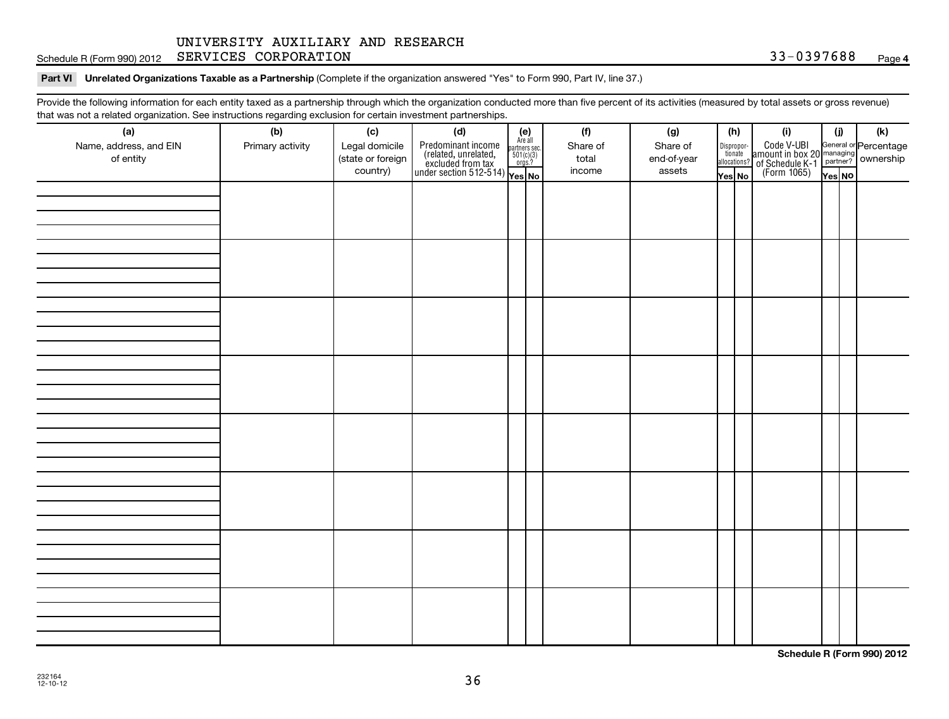Schedule R (Form 990) 2012 SERVICES CORPORATION (Schedule R (Form 990) 2012 SERVICES CORPORATION

### Part VI Unrelated Organizations Taxable as a Partnership (Complete if the organization answered "Yes" to Form 990, Part IV, line 37.)

Provide the following information for each entity taxed as a partnership through which the organization conducted more than five percent of its activities (measured by total assets or gross revenue) that was not a related organization. See instructions regarding exclusion for certain investment partnerships.

| (a)<br>Name, address, and EIN<br>of entity | (b)<br>Primary activity | (c)<br>Legal domicile<br>(state or foreign<br>country) | (d)<br>Predominant income<br>(related, unrelated, $\frac{\text{Area all}}{\text{501(c)(3)}}$<br>excluded from tax<br>under section 512-514)<br>Ves No | $(e)$<br>Are all | (f)<br>Share of<br>total<br>income | (g)<br>Share of<br>end-of-year<br>assets | (h) |  |  |  | Yes No |  |  |  | (i)<br>Dispropor-<br>Code V-UBI<br>dionate amount in box 20 managing<br>allocations? of Schedule K-1<br>Yes No (Form 1065)<br>Yes No |  | (i)<br>Yes NO | (k) |  |
|--------------------------------------------|-------------------------|--------------------------------------------------------|-------------------------------------------------------------------------------------------------------------------------------------------------------|------------------|------------------------------------|------------------------------------------|-----|--|--|--|--------|--|--|--|--------------------------------------------------------------------------------------------------------------------------------------|--|---------------|-----|--|
|                                            |                         |                                                        |                                                                                                                                                       |                  |                                    |                                          |     |  |  |  |        |  |  |  |                                                                                                                                      |  |               |     |  |
|                                            |                         |                                                        |                                                                                                                                                       |                  |                                    |                                          |     |  |  |  |        |  |  |  |                                                                                                                                      |  |               |     |  |
|                                            |                         |                                                        |                                                                                                                                                       |                  |                                    |                                          |     |  |  |  |        |  |  |  |                                                                                                                                      |  |               |     |  |
|                                            |                         |                                                        |                                                                                                                                                       |                  |                                    |                                          |     |  |  |  |        |  |  |  |                                                                                                                                      |  |               |     |  |
|                                            |                         |                                                        |                                                                                                                                                       |                  |                                    |                                          |     |  |  |  |        |  |  |  |                                                                                                                                      |  |               |     |  |
|                                            |                         |                                                        |                                                                                                                                                       |                  |                                    |                                          |     |  |  |  |        |  |  |  |                                                                                                                                      |  |               |     |  |
|                                            |                         |                                                        |                                                                                                                                                       |                  |                                    |                                          |     |  |  |  |        |  |  |  |                                                                                                                                      |  |               |     |  |
|                                            |                         |                                                        |                                                                                                                                                       |                  |                                    |                                          |     |  |  |  |        |  |  |  |                                                                                                                                      |  |               |     |  |

**Schedule R (Form 990) 2012**